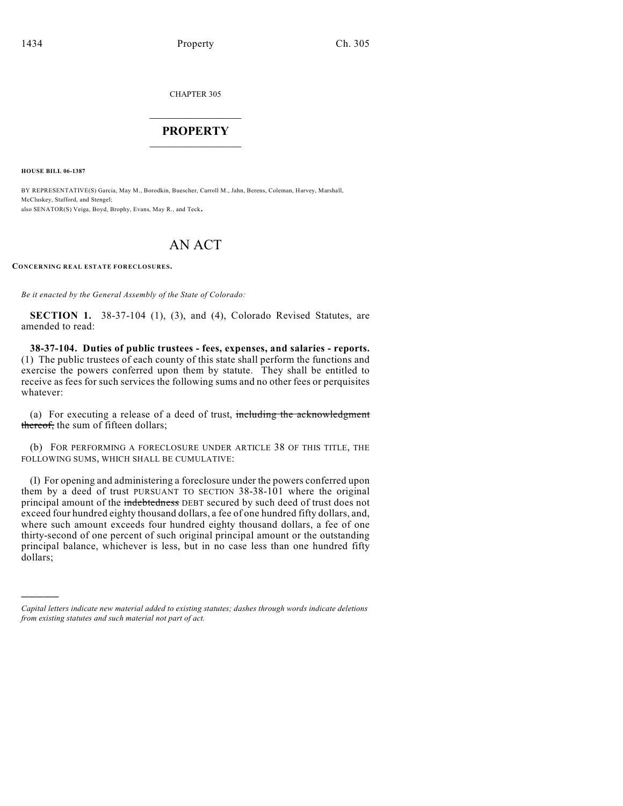CHAPTER 305

# $\mathcal{L}_\text{max}$  . The set of the set of the set of the set of the set of the set of the set of the set of the set of the set of the set of the set of the set of the set of the set of the set of the set of the set of the set **PROPERTY**  $\_$   $\_$   $\_$   $\_$   $\_$   $\_$   $\_$   $\_$   $\_$

**HOUSE BILL 06-1387**

)))))

BY REPRESENTATIVE(S) Garcia, May M., Borodkin, Buescher, Carroll M., Jahn, Berens, Coleman, Harvey, Marshall, McCluskey, Stafford, and Stengel; also SENATOR(S) Veiga, Boyd, Brophy, Evans, May R., and Teck.

# AN ACT

**CONCERNING REAL ESTATE FORECLOSURES.**

*Be it enacted by the General Assembly of the State of Colorado:*

**SECTION 1.** 38-37-104 (1), (3), and (4), Colorado Revised Statutes, are amended to read:

**38-37-104. Duties of public trustees - fees, expenses, and salaries - reports.** (1) The public trustees of each county of this state shall perform the functions and exercise the powers conferred upon them by statute. They shall be entitled to receive as fees for such services the following sums and no other fees or perquisites whatever:

(a) For executing a release of a deed of trust, including the acknowledgment thereof, the sum of fifteen dollars;

(b) FOR PERFORMING A FORECLOSURE UNDER ARTICLE 38 OF THIS TITLE, THE FOLLOWING SUMS, WHICH SHALL BE CUMULATIVE:

(I) For opening and administering a foreclosure under the powers conferred upon them by a deed of trust PURSUANT TO SECTION 38-38-101 where the original principal amount of the indebtedness DEBT secured by such deed of trust does not exceed four hundred eighty thousand dollars, a fee of one hundred fifty dollars, and, where such amount exceeds four hundred eighty thousand dollars, a fee of one thirty-second of one percent of such original principal amount or the outstanding principal balance, whichever is less, but in no case less than one hundred fifty dollars;

*Capital letters indicate new material added to existing statutes; dashes through words indicate deletions from existing statutes and such material not part of act.*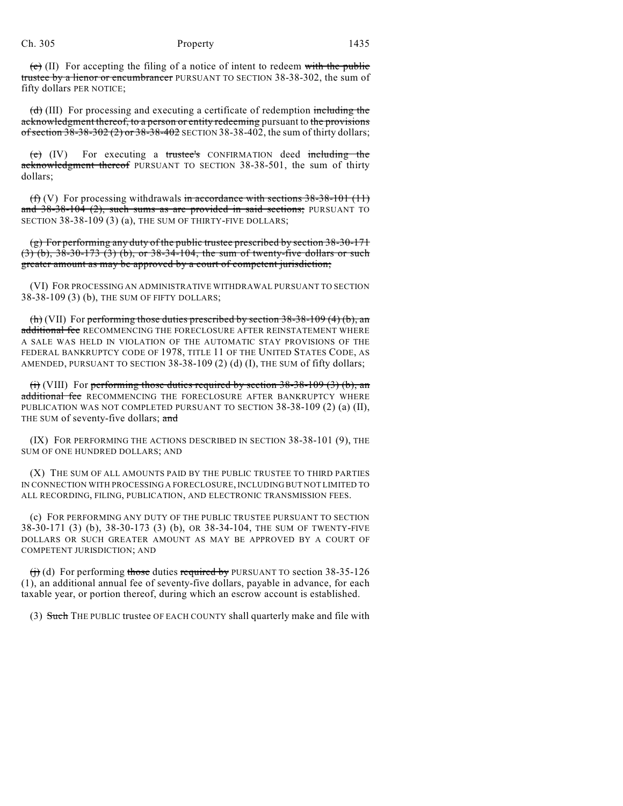$\overline{(c)}$  (II) For accepting the filing of a notice of intent to redeem with the public trustee by a lienor or encumbrancer PURSUANT TO SECTION 38-38-302, the sum of fifty dollars PER NOTICE;

(d) (III) For processing and executing a certificate of redemption including the acknowledgment thereof, to a person or entity redeeming pursuant to the provisions of section 38-38-302 (2) or 38-38-402 SECTION 38-38-402, the sum of thirty dollars;

 $\overline{(e)}$  (IV) For executing a trustee's CONFIRMATION deed including the acknowledgment thereof PURSUANT TO SECTION 38-38-501, the sum of thirty dollars;

(f) (V) For processing withdrawals in accordance with sections  $38-38-101$  (11) and 38-38-104 (2), such sums as are provided in said sections; PURSUANT TO SECTION 38-38-109 (3) (a), THE SUM OF THIRTY-FIVE DOLLARS;

(g) For performing any duty of the public trustee prescribed by section 38-30-171 (3) (b), 38-30-173 (3) (b), or 38-34-104, the sum of twenty-five dollars or such greater amount as may be approved by a court of competent jurisdiction;

(VI) FOR PROCESSING AN ADMINISTRATIVE WITHDRAWAL PURSUANT TO SECTION 38-38-109 (3) (b), THE SUM OF FIFTY DOLLARS;

(h) (VII) For performing those duties prescribed by section  $38-38-109$  (4) (b), an additional fee RECOMMENCING THE FORECLOSURE AFTER REINSTATEMENT WHERE A SALE WAS HELD IN VIOLATION OF THE AUTOMATIC STAY PROVISIONS OF THE FEDERAL BANKRUPTCY CODE OF 1978, TITLE 11 OF THE UNITED STATES CODE, AS AMENDED, PURSUANT TO SECTION 38-38-109 (2) (d) (I), THE SUM of fifty dollars;

(i) (VIII) For performing those duties required by section  $38-38-109$  (3) (b), an additional fee RECOMMENCING THE FORECLOSURE AFTER BANKRUPTCY WHERE PUBLICATION WAS NOT COMPLETED PURSUANT TO SECTION 38-38-109 (2) (a) (II), THE SUM of seventy-five dollars; and

(IX) FOR PERFORMING THE ACTIONS DESCRIBED IN SECTION 38-38-101 (9), THE SUM OF ONE HUNDRED DOLLARS; AND

(X) THE SUM OF ALL AMOUNTS PAID BY THE PUBLIC TRUSTEE TO THIRD PARTIES IN CONNECTION WITH PROCESSING A FORECLOSURE, INCLUDING BUT NOT LIMITED TO ALL RECORDING, FILING, PUBLICATION, AND ELECTRONIC TRANSMISSION FEES.

(c) FOR PERFORMING ANY DUTY OF THE PUBLIC TRUSTEE PURSUANT TO SECTION 38-30-171 (3) (b), 38-30-173 (3) (b), OR 38-34-104, THE SUM OF TWENTY-FIVE DOLLARS OR SUCH GREATER AMOUNT AS MAY BE APPROVED BY A COURT OF COMPETENT JURISDICTION; AND

 $\left(\mathbf{\hat{H}}\right)$  (d) For performing those duties required by PURSUANT TO section 38-35-126 (1), an additional annual fee of seventy-five dollars, payable in advance, for each taxable year, or portion thereof, during which an escrow account is established.

(3) Such THE PUBLIC trustee OF EACH COUNTY shall quarterly make and file with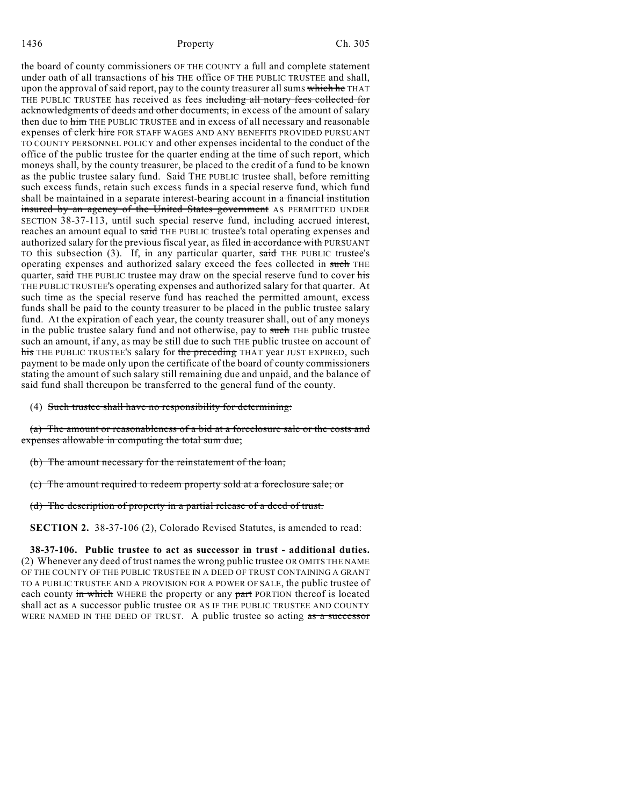# 1436 Property Ch. 305

the board of county commissioners OF THE COUNTY a full and complete statement under oath of all transactions of his THE office OF THE PUBLIC TRUSTEE and shall, upon the approval of said report, pay to the county treasurer all sums which he THAT THE PUBLIC TRUSTEE has received as fees including all notary fees collected for acknowledgments of deeds and other documents, in excess of the amount of salary then due to him THE PUBLIC TRUSTEE and in excess of all necessary and reasonable expenses of clerk hire FOR STAFF WAGES AND ANY BENEFITS PROVIDED PURSUANT TO COUNTY PERSONNEL POLICY and other expenses incidental to the conduct of the office of the public trustee for the quarter ending at the time of such report, which moneys shall, by the county treasurer, be placed to the credit of a fund to be known as the public trustee salary fund. Said THE PUBLIC trustee shall, before remitting such excess funds, retain such excess funds in a special reserve fund, which fund shall be maintained in a separate interest-bearing account in a financial institution insured by an agency of the United States government AS PERMITTED UNDER SECTION 38-37-113, until such special reserve fund, including accrued interest, reaches an amount equal to said THE PUBLIC trustee's total operating expenses and authorized salary for the previous fiscal year, as filed in accordance with PURSUANT TO this subsection (3). If, in any particular quarter, said THE PUBLIC trustee's operating expenses and authorized salary exceed the fees collected in such THE quarter, said THE PUBLIC trustee may draw on the special reserve fund to cover his THE PUBLIC TRUSTEE'S operating expenses and authorized salary for that quarter. At such time as the special reserve fund has reached the permitted amount, excess funds shall be paid to the county treasurer to be placed in the public trustee salary fund. At the expiration of each year, the county treasurer shall, out of any moneys in the public trustee salary fund and not otherwise, pay to such THE public trustee such an amount, if any, as may be still due to such THE public trustee on account of his THE PUBLIC TRUSTEE'S salary for the preceding THAT year JUST EXPIRED, such payment to be made only upon the certificate of the board of county commissioners stating the amount of such salary still remaining due and unpaid, and the balance of said fund shall thereupon be transferred to the general fund of the county.

(4) Such trustee shall have no responsibility for determining:

(a) The amount or reasonableness of a bid at a foreclosure sale or the costs and expenses allowable in computing the total sum due;

(b) The amount necessary for the reinstatement of the loan;

(c) The amount required to redeem property sold at a foreclosure sale; or

(d) The description of property in a partial release of a deed of trust.

**SECTION 2.** 38-37-106 (2), Colorado Revised Statutes, is amended to read:

**38-37-106. Public trustee to act as successor in trust - additional duties.** (2) Whenever any deed of trust names the wrong public trustee OR OMITS THE NAME OF THE COUNTY OF THE PUBLIC TRUSTEE IN A DEED OF TRUST CONTAINING A GRANT TO A PUBLIC TRUSTEE AND A PROVISION FOR A POWER OF SALE, the public trustee of each county in which WHERE the property or any part PORTION thereof is located shall act as A successor public trustee OR AS IF THE PUBLIC TRUSTEE AND COUNTY WERE NAMED IN THE DEED OF TRUST. A public trustee so acting as a successor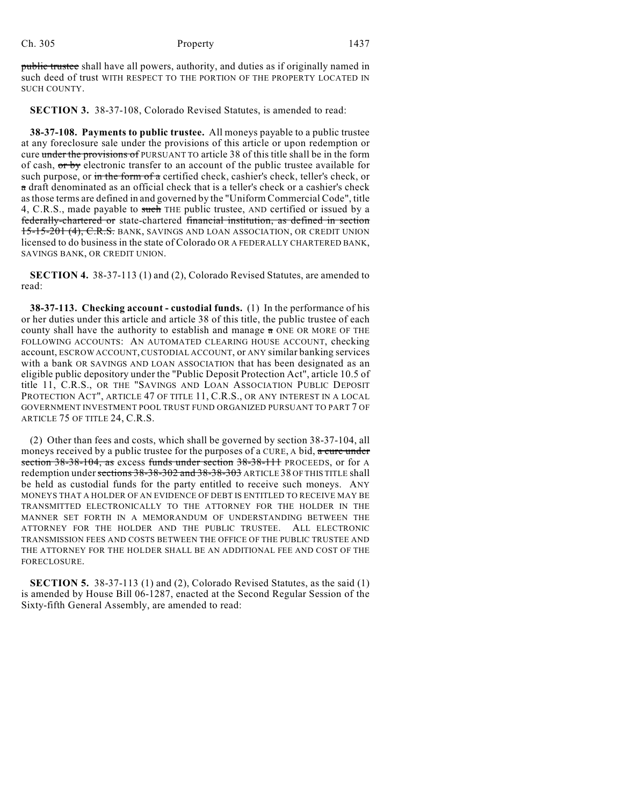public trustee shall have all powers, authority, and duties as if originally named in such deed of trust WITH RESPECT TO THE PORTION OF THE PROPERTY LOCATED IN SUCH COUNTY.

**SECTION 3.** 38-37-108, Colorado Revised Statutes, is amended to read:

**38-37-108. Payments to public trustee.** All moneys payable to a public trustee at any foreclosure sale under the provisions of this article or upon redemption or cure under the provisions of PURSUANT TO article 38 of this title shall be in the form of cash, or by electronic transfer to an account of the public trustee available for such purpose, or in the form of a certified check, cashier's check, teller's check, or a draft denominated as an official check that is a teller's check or a cashier's check as those terms are defined in and governed by the "Uniform Commercial Code", title 4, C.R.S., made payable to such THE public trustee, AND certified or issued by a federally-chartered or state-chartered financial institution, as defined in section 15-15-201 (4), C.R.S. BANK, SAVINGS AND LOAN ASSOCIATION, OR CREDIT UNION licensed to do business in the state of Colorado OR A FEDERALLY CHARTERED BANK, SAVINGS BANK, OR CREDIT UNION.

**SECTION 4.** 38-37-113 (1) and (2), Colorado Revised Statutes, are amended to read:

**38-37-113. Checking account - custodial funds.** (1) In the performance of his or her duties under this article and article 38 of this title, the public trustee of each county shall have the authority to establish and manage  $\pi$  ONE OR MORE OF THE FOLLOWING ACCOUNTS: AN AUTOMATED CLEARING HOUSE ACCOUNT, checking account, ESCROW ACCOUNT, CUSTODIAL ACCOUNT, or ANY similar banking services with a bank OR SAVINGS AND LOAN ASSOCIATION that has been designated as an eligible public depository under the "Public Deposit Protection Act", article 10.5 of title 11, C.R.S., OR THE "SAVINGS AND LOAN ASSOCIATION PUBLIC DEPOSIT PROTECTION ACT", ARTICLE 47 OF TITLE 11, C.R.S., OR ANY INTEREST IN A LOCAL GOVERNMENT INVESTMENT POOL TRUST FUND ORGANIZED PURSUANT TO PART 7 OF ARTICLE 75 OF TITLE 24, C.R.S.

(2) Other than fees and costs, which shall be governed by section 38-37-104, all moneys received by a public trustee for the purposes of a CURE, A bid, a cure under section 38-38-104, as excess funds under section 38-38-111 PROCEEDS, or for A redemption under sections 38-38-302 and 38-38-303 ARTICLE 38 OF THIS TITLE shall be held as custodial funds for the party entitled to receive such moneys. ANY MONEYS THAT A HOLDER OF AN EVIDENCE OF DEBT IS ENTITLED TO RECEIVE MAY BE TRANSMITTED ELECTRONICALLY TO THE ATTORNEY FOR THE HOLDER IN THE MANNER SET FORTH IN A MEMORANDUM OF UNDERSTANDING BETWEEN THE ATTORNEY FOR THE HOLDER AND THE PUBLIC TRUSTEE. ALL ELECTRONIC TRANSMISSION FEES AND COSTS BETWEEN THE OFFICE OF THE PUBLIC TRUSTEE AND THE ATTORNEY FOR THE HOLDER SHALL BE AN ADDITIONAL FEE AND COST OF THE FORECLOSURE.

**SECTION 5.** 38-37-113 (1) and (2), Colorado Revised Statutes, as the said (1) is amended by House Bill 06-1287, enacted at the Second Regular Session of the Sixty-fifth General Assembly, are amended to read: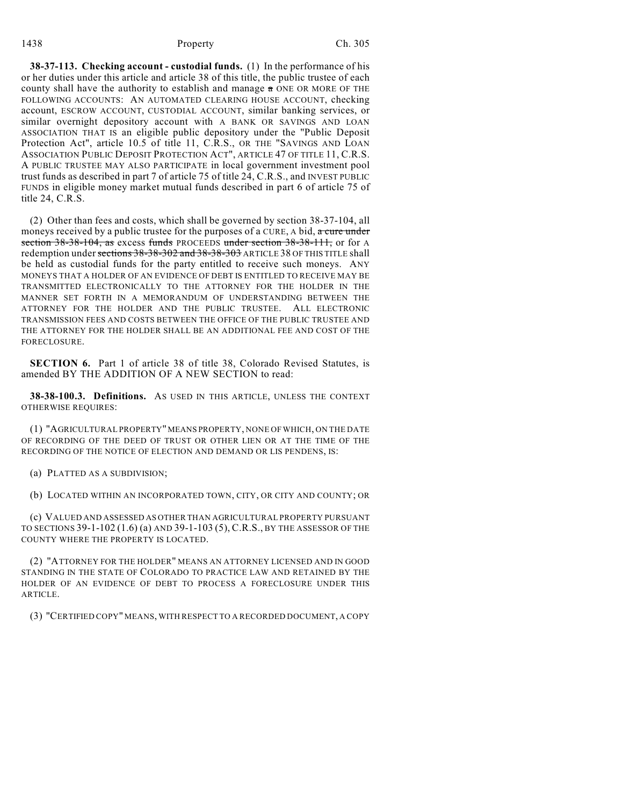# 1438 Property Ch. 305

**38-37-113. Checking account - custodial funds.** (1) In the performance of his or her duties under this article and article 38 of this title, the public trustee of each county shall have the authority to establish and manage  $\pi$  ONE OR MORE OF THE FOLLOWING ACCOUNTS: AN AUTOMATED CLEARING HOUSE ACCOUNT, checking account, ESCROW ACCOUNT, CUSTODIAL ACCOUNT, similar banking services, or similar overnight depository account with A BANK OR SAVINGS AND LOAN ASSOCIATION THAT IS an eligible public depository under the "Public Deposit Protection Act", article 10.5 of title 11, C.R.S., OR THE "SAVINGS AND LOAN ASSOCIATION PUBLIC DEPOSIT PROTECTION ACT", ARTICLE 47 OF TITLE 11, C.R.S. A PUBLIC TRUSTEE MAY ALSO PARTICIPATE in local government investment pool trust funds as described in part 7 of article 75 of title 24, C.R.S., and INVEST PUBLIC FUNDS in eligible money market mutual funds described in part 6 of article 75 of title 24, C.R.S.

(2) Other than fees and costs, which shall be governed by section 38-37-104, all moneys received by a public trustee for the purposes of a CURE, A bid, a cure under section 38-38-104, as excess funds PROCEEDS under section 38-38-111, or for A redemption under sections 38-38-302 and 38-38-303 ARTICLE 38 OF THIS TITLE shall be held as custodial funds for the party entitled to receive such moneys. ANY MONEYS THAT A HOLDER OF AN EVIDENCE OF DEBT IS ENTITLED TO RECEIVE MAY BE TRANSMITTED ELECTRONICALLY TO THE ATTORNEY FOR THE HOLDER IN THE MANNER SET FORTH IN A MEMORANDUM OF UNDERSTANDING BETWEEN THE ATTORNEY FOR THE HOLDER AND THE PUBLIC TRUSTEE. ALL ELECTRONIC TRANSMISSION FEES AND COSTS BETWEEN THE OFFICE OF THE PUBLIC TRUSTEE AND THE ATTORNEY FOR THE HOLDER SHALL BE AN ADDITIONAL FEE AND COST OF THE FORECLOSURE.

**SECTION 6.** Part 1 of article 38 of title 38, Colorado Revised Statutes, is amended BY THE ADDITION OF A NEW SECTION to read:

**38-38-100.3. Definitions.** AS USED IN THIS ARTICLE, UNLESS THE CONTEXT OTHERWISE REQUIRES:

(1) "AGRICULTURAL PROPERTY" MEANS PROPERTY, NONE OF WHICH, ON THE DATE OF RECORDING OF THE DEED OF TRUST OR OTHER LIEN OR AT THE TIME OF THE RECORDING OF THE NOTICE OF ELECTION AND DEMAND OR LIS PENDENS, IS:

(a) PLATTED AS A SUBDIVISION;

(b) LOCATED WITHIN AN INCORPORATED TOWN, CITY, OR CITY AND COUNTY; OR

(c) VALUED AND ASSESSED AS OTHER THAN AGRICULTURAL PROPERTY PURSUANT TO SECTIONS 39-1-102 (1.6) (a) AND 39-1-103 (5), C.R.S., BY THE ASSESSOR OF THE COUNTY WHERE THE PROPERTY IS LOCATED.

(2) "ATTORNEY FOR THE HOLDER" MEANS AN ATTORNEY LICENSED AND IN GOOD STANDING IN THE STATE OF COLORADO TO PRACTICE LAW AND RETAINED BY THE HOLDER OF AN EVIDENCE OF DEBT TO PROCESS A FORECLOSURE UNDER THIS ARTICLE.

(3) "CERTIFIED COPY" MEANS, WITH RESPECT TO A RECORDED DOCUMENT, A COPY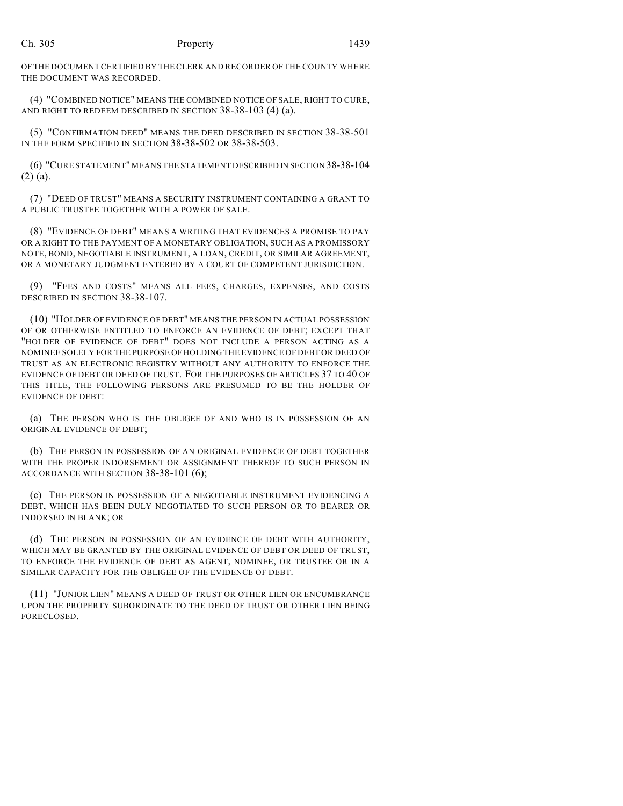OF THE DOCUMENT CERTIFIED BY THE CLERK AND RECORDER OF THE COUNTY WHERE THE DOCUMENT WAS RECORDED.

(4) "COMBINED NOTICE" MEANS THE COMBINED NOTICE OF SALE, RIGHT TO CURE, AND RIGHT TO REDEEM DESCRIBED IN SECTION 38-38-103 (4) (a).

(5) "CONFIRMATION DEED" MEANS THE DEED DESCRIBED IN SECTION 38-38-501 IN THE FORM SPECIFIED IN SECTION 38-38-502 OR 38-38-503.

(6) "CURE STATEMENT" MEANS THE STATEMENT DESCRIBED IN SECTION 38-38-104 (2) (a).

(7) "DEED OF TRUST" MEANS A SECURITY INSTRUMENT CONTAINING A GRANT TO A PUBLIC TRUSTEE TOGETHER WITH A POWER OF SALE.

(8) "EVIDENCE OF DEBT" MEANS A WRITING THAT EVIDENCES A PROMISE TO PAY OR A RIGHT TO THE PAYMENT OF A MONETARY OBLIGATION, SUCH AS A PROMISSORY NOTE, BOND, NEGOTIABLE INSTRUMENT, A LOAN, CREDIT, OR SIMILAR AGREEMENT, OR A MONETARY JUDGMENT ENTERED BY A COURT OF COMPETENT JURISDICTION.

(9) "FEES AND COSTS" MEANS ALL FEES, CHARGES, EXPENSES, AND COSTS DESCRIBED IN SECTION 38-38-107.

(10) "HOLDER OF EVIDENCE OF DEBT" MEANS THE PERSON IN ACTUAL POSSESSION OF OR OTHERWISE ENTITLED TO ENFORCE AN EVIDENCE OF DEBT; EXCEPT THAT "HOLDER OF EVIDENCE OF DEBT" DOES NOT INCLUDE A PERSON ACTING AS A NOMINEE SOLELY FOR THE PURPOSE OF HOLDING THE EVIDENCE OF DEBT OR DEED OF TRUST AS AN ELECTRONIC REGISTRY WITHOUT ANY AUTHORITY TO ENFORCE THE EVIDENCE OF DEBT OR DEED OF TRUST. FOR THE PURPOSES OF ARTICLES 37 TO 40 OF THIS TITLE, THE FOLLOWING PERSONS ARE PRESUMED TO BE THE HOLDER OF EVIDENCE OF DEBT:

(a) THE PERSON WHO IS THE OBLIGEE OF AND WHO IS IN POSSESSION OF AN ORIGINAL EVIDENCE OF DEBT;

(b) THE PERSON IN POSSESSION OF AN ORIGINAL EVIDENCE OF DEBT TOGETHER WITH THE PROPER INDORSEMENT OR ASSIGNMENT THEREOF TO SUCH PERSON IN ACCORDANCE WITH SECTION 38-38-101 (6);

(c) THE PERSON IN POSSESSION OF A NEGOTIABLE INSTRUMENT EVIDENCING A DEBT, WHICH HAS BEEN DULY NEGOTIATED TO SUCH PERSON OR TO BEARER OR INDORSED IN BLANK; OR

(d) THE PERSON IN POSSESSION OF AN EVIDENCE OF DEBT WITH AUTHORITY, WHICH MAY BE GRANTED BY THE ORIGINAL EVIDENCE OF DEBT OR DEED OF TRUST, TO ENFORCE THE EVIDENCE OF DEBT AS AGENT, NOMINEE, OR TRUSTEE OR IN A SIMILAR CAPACITY FOR THE OBLIGEE OF THE EVIDENCE OF DEBT.

(11) "JUNIOR LIEN" MEANS A DEED OF TRUST OR OTHER LIEN OR ENCUMBRANCE UPON THE PROPERTY SUBORDINATE TO THE DEED OF TRUST OR OTHER LIEN BEING FORECLOSED.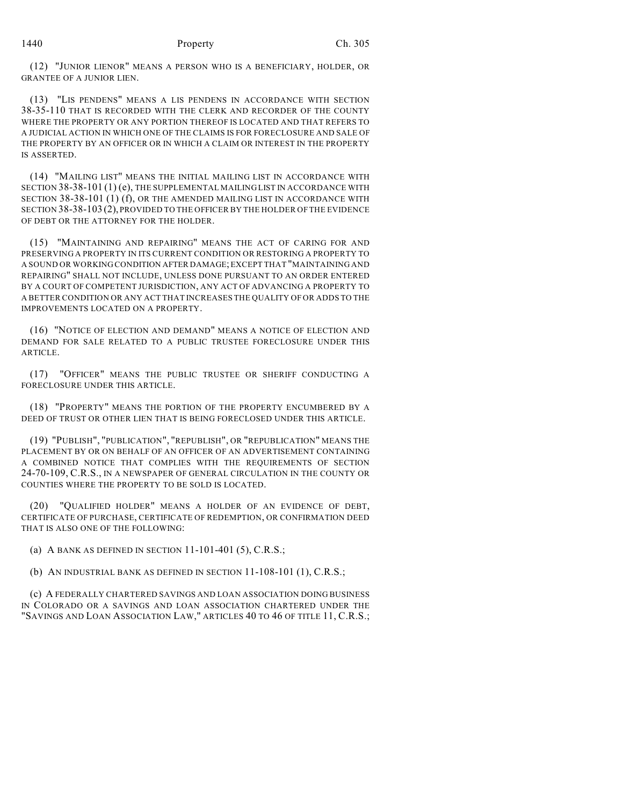(12) "JUNIOR LIENOR" MEANS A PERSON WHO IS A BENEFICIARY, HOLDER, OR GRANTEE OF A JUNIOR LIEN.

(13) "LIS PENDENS" MEANS A LIS PENDENS IN ACCORDANCE WITH SECTION 38-35-110 THAT IS RECORDED WITH THE CLERK AND RECORDER OF THE COUNTY WHERE THE PROPERTY OR ANY PORTION THEREOF IS LOCATED AND THAT REFERS TO A JUDICIAL ACTION IN WHICH ONE OF THE CLAIMS IS FOR FORECLOSURE AND SALE OF THE PROPERTY BY AN OFFICER OR IN WHICH A CLAIM OR INTEREST IN THE PROPERTY IS ASSERTED.

(14) "MAILING LIST" MEANS THE INITIAL MAILING LIST IN ACCORDANCE WITH SECTION 38-38-101 (1) (e), THE SUPPLEMENTAL MAILING LIST IN ACCORDANCE WITH SECTION 38-38-101 (1) (f), OR THE AMENDED MAILING LIST IN ACCORDANCE WITH SECTION 38-38-103 (2), PROVIDED TO THE OFFICER BY THE HOLDER OF THE EVIDENCE OF DEBT OR THE ATTORNEY FOR THE HOLDER.

(15) "MAINTAINING AND REPAIRING" MEANS THE ACT OF CARING FOR AND PRESERVING A PROPERTY IN ITS CURRENT CONDITION OR RESTORING A PROPERTY TO A SOUND OR WORKING CONDITION AFTER DAMAGE; EXCEPT THAT "MAINTAINING AND REPAIRING" SHALL NOT INCLUDE, UNLESS DONE PURSUANT TO AN ORDER ENTERED BY A COURT OF COMPETENT JURISDICTION, ANY ACT OF ADVANCING A PROPERTY TO A BETTER CONDITION OR ANY ACT THAT INCREASES THE QUALITY OF OR ADDS TO THE IMPROVEMENTS LOCATED ON A PROPERTY.

(16) "NOTICE OF ELECTION AND DEMAND" MEANS A NOTICE OF ELECTION AND DEMAND FOR SALE RELATED TO A PUBLIC TRUSTEE FORECLOSURE UNDER THIS ARTICLE.

(17) "OFFICER" MEANS THE PUBLIC TRUSTEE OR SHERIFF CONDUCTING A FORECLOSURE UNDER THIS ARTICLE.

(18) "PROPERTY" MEANS THE PORTION OF THE PROPERTY ENCUMBERED BY A DEED OF TRUST OR OTHER LIEN THAT IS BEING FORECLOSED UNDER THIS ARTICLE.

(19) "PUBLISH", "PUBLICATION", "REPUBLISH", OR "REPUBLICATION" MEANS THE PLACEMENT BY OR ON BEHALF OF AN OFFICER OF AN ADVERTISEMENT CONTAINING A COMBINED NOTICE THAT COMPLIES WITH THE REQUIREMENTS OF SECTION 24-70-109, C.R.S., IN A NEWSPAPER OF GENERAL CIRCULATION IN THE COUNTY OR COUNTIES WHERE THE PROPERTY TO BE SOLD IS LOCATED.

(20) "QUALIFIED HOLDER" MEANS A HOLDER OF AN EVIDENCE OF DEBT, CERTIFICATE OF PURCHASE, CERTIFICATE OF REDEMPTION, OR CONFIRMATION DEED THAT IS ALSO ONE OF THE FOLLOWING:

(a) A BANK AS DEFINED IN SECTION 11-101-401 (5), C.R.S.;

(b) AN INDUSTRIAL BANK AS DEFINED IN SECTION 11-108-101 (1), C.R.S.;

(c) A FEDERALLY CHARTERED SAVINGS AND LOAN ASSOCIATION DOING BUSINESS IN COLORADO OR A SAVINGS AND LOAN ASSOCIATION CHARTERED UNDER THE "SAVINGS AND LOAN ASSOCIATION LAW," ARTICLES 40 TO 46 OF TITLE 11, C.R.S.;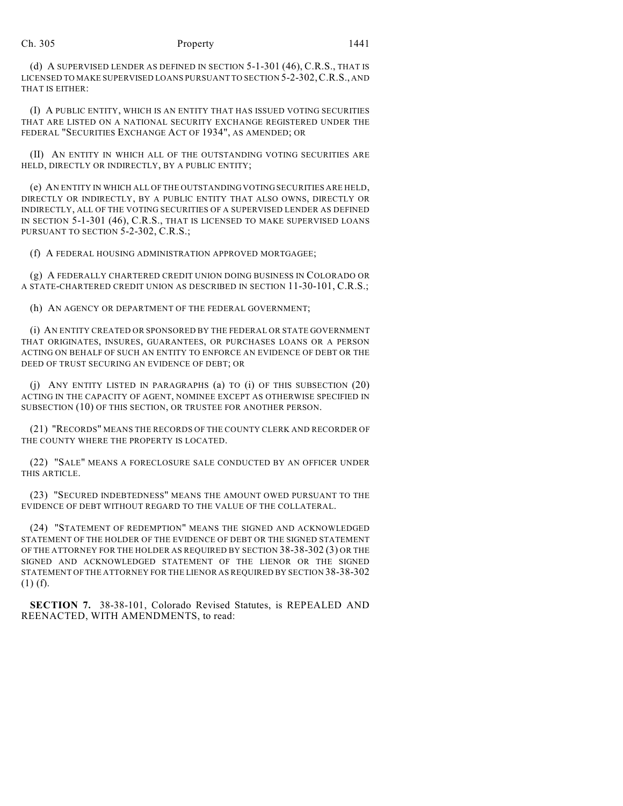(d) A SUPERVISED LENDER AS DEFINED IN SECTION 5-1-301 (46), C.R.S., THAT IS LICENSED TO MAKE SUPERVISED LOANS PURSUANT TO SECTION 5-2-302,C.R.S., AND THAT IS EITHER:

(I) A PUBLIC ENTITY, WHICH IS AN ENTITY THAT HAS ISSUED VOTING SECURITIES THAT ARE LISTED ON A NATIONAL SECURITY EXCHANGE REGISTERED UNDER THE FEDERAL "SECURITIES EXCHANGE ACT OF 1934", AS AMENDED; OR

(II) AN ENTITY IN WHICH ALL OF THE OUTSTANDING VOTING SECURITIES ARE HELD, DIRECTLY OR INDIRECTLY, BY A PUBLIC ENTITY;

(e) AN ENTITY IN WHICH ALL OF THE OUTSTANDING VOTING SECURITIES ARE HELD, DIRECTLY OR INDIRECTLY, BY A PUBLIC ENTITY THAT ALSO OWNS, DIRECTLY OR INDIRECTLY, ALL OF THE VOTING SECURITIES OF A SUPERVISED LENDER AS DEFINED IN SECTION 5-1-301 (46), C.R.S., THAT IS LICENSED TO MAKE SUPERVISED LOANS PURSUANT TO SECTION 5-2-302, C.R.S.;

(f) A FEDERAL HOUSING ADMINISTRATION APPROVED MORTGAGEE;

(g) A FEDERALLY CHARTERED CREDIT UNION DOING BUSINESS IN COLORADO OR A STATE-CHARTERED CREDIT UNION AS DESCRIBED IN SECTION 11-30-101, C.R.S.;

(h) AN AGENCY OR DEPARTMENT OF THE FEDERAL GOVERNMENT;

(i) AN ENTITY CREATED OR SPONSORED BY THE FEDERAL OR STATE GOVERNMENT THAT ORIGINATES, INSURES, GUARANTEES, OR PURCHASES LOANS OR A PERSON ACTING ON BEHALF OF SUCH AN ENTITY TO ENFORCE AN EVIDENCE OF DEBT OR THE DEED OF TRUST SECURING AN EVIDENCE OF DEBT; OR

(j) ANY ENTITY LISTED IN PARAGRAPHS (a) TO (i) OF THIS SUBSECTION (20) ACTING IN THE CAPACITY OF AGENT, NOMINEE EXCEPT AS OTHERWISE SPECIFIED IN SUBSECTION (10) OF THIS SECTION, OR TRUSTEE FOR ANOTHER PERSON.

(21) "RECORDS" MEANS THE RECORDS OF THE COUNTY CLERK AND RECORDER OF THE COUNTY WHERE THE PROPERTY IS LOCATED.

(22) "SALE" MEANS A FORECLOSURE SALE CONDUCTED BY AN OFFICER UNDER THIS ARTICLE.

(23) "SECURED INDEBTEDNESS" MEANS THE AMOUNT OWED PURSUANT TO THE EVIDENCE OF DEBT WITHOUT REGARD TO THE VALUE OF THE COLLATERAL.

(24) "STATEMENT OF REDEMPTION" MEANS THE SIGNED AND ACKNOWLEDGED STATEMENT OF THE HOLDER OF THE EVIDENCE OF DEBT OR THE SIGNED STATEMENT OF THE ATTORNEY FOR THE HOLDER AS REQUIRED BY SECTION 38-38-302 (3) OR THE SIGNED AND ACKNOWLEDGED STATEMENT OF THE LIENOR OR THE SIGNED STATEMENT OF THE ATTORNEY FOR THE LIENOR AS REQUIRED BY SECTION 38-38-302 (1) (f).

**SECTION 7.** 38-38-101, Colorado Revised Statutes, is REPEALED AND REENACTED, WITH AMENDMENTS, to read: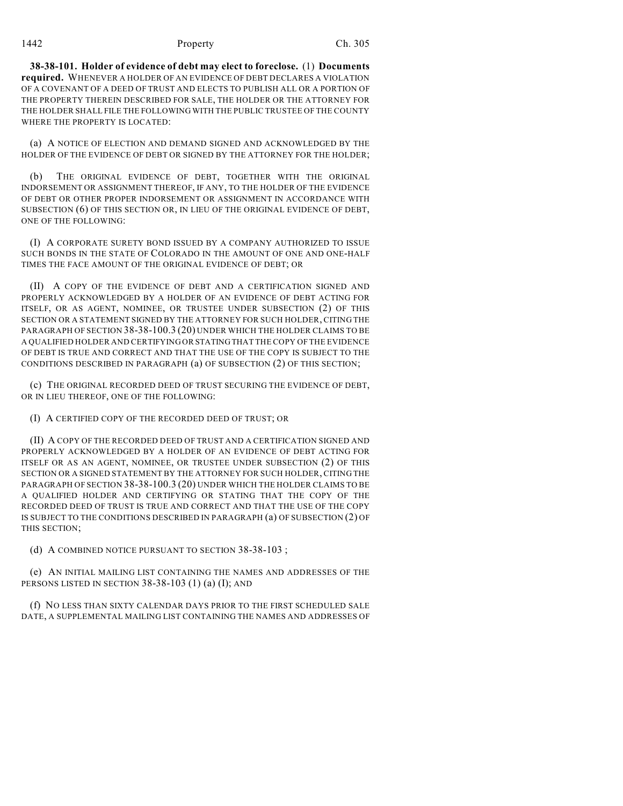# 1442 Property Ch. 305

**38-38-101. Holder of evidence of debt may elect to foreclose.** (1) **Documents required.** WHENEVER A HOLDER OF AN EVIDENCE OF DEBT DECLARES A VIOLATION OF A COVENANT OF A DEED OF TRUST AND ELECTS TO PUBLISH ALL OR A PORTION OF THE PROPERTY THEREIN DESCRIBED FOR SALE, THE HOLDER OR THE ATTORNEY FOR THE HOLDER SHALL FILE THE FOLLOWING WITH THE PUBLIC TRUSTEE OF THE COUNTY WHERE THE PROPERTY IS LOCATED:

(a) A NOTICE OF ELECTION AND DEMAND SIGNED AND ACKNOWLEDGED BY THE HOLDER OF THE EVIDENCE OF DEBT OR SIGNED BY THE ATTORNEY FOR THE HOLDER;

(b) THE ORIGINAL EVIDENCE OF DEBT, TOGETHER WITH THE ORIGINAL INDORSEMENT OR ASSIGNMENT THEREOF, IF ANY, TO THE HOLDER OF THE EVIDENCE OF DEBT OR OTHER PROPER INDORSEMENT OR ASSIGNMENT IN ACCORDANCE WITH SUBSECTION (6) OF THIS SECTION OR, IN LIEU OF THE ORIGINAL EVIDENCE OF DEBT, ONE OF THE FOLLOWING:

(I) A CORPORATE SURETY BOND ISSUED BY A COMPANY AUTHORIZED TO ISSUE SUCH BONDS IN THE STATE OF COLORADO IN THE AMOUNT OF ONE AND ONE-HALF TIMES THE FACE AMOUNT OF THE ORIGINAL EVIDENCE OF DEBT; OR

(II) A COPY OF THE EVIDENCE OF DEBT AND A CERTIFICATION SIGNED AND PROPERLY ACKNOWLEDGED BY A HOLDER OF AN EVIDENCE OF DEBT ACTING FOR ITSELF, OR AS AGENT, NOMINEE, OR TRUSTEE UNDER SUBSECTION (2) OF THIS SECTION OR A STATEMENT SIGNED BY THE ATTORNEY FOR SUCH HOLDER, CITING THE PARAGRAPH OF SECTION 38-38-100.3 (20) UNDER WHICH THE HOLDER CLAIMS TO BE A QUALIFIED HOLDER AND CERTIFYING OR STATING THAT THE COPY OF THE EVIDENCE OF DEBT IS TRUE AND CORRECT AND THAT THE USE OF THE COPY IS SUBJECT TO THE CONDITIONS DESCRIBED IN PARAGRAPH (a) OF SUBSECTION (2) OF THIS SECTION;

(c) THE ORIGINAL RECORDED DEED OF TRUST SECURING THE EVIDENCE OF DEBT, OR IN LIEU THEREOF, ONE OF THE FOLLOWING:

(I) A CERTIFIED COPY OF THE RECORDED DEED OF TRUST; OR

(II) A COPY OF THE RECORDED DEED OF TRUST AND A CERTIFICATION SIGNED AND PROPERLY ACKNOWLEDGED BY A HOLDER OF AN EVIDENCE OF DEBT ACTING FOR ITSELF OR AS AN AGENT, NOMINEE, OR TRUSTEE UNDER SUBSECTION (2) OF THIS SECTION OR A SIGNED STATEMENT BY THE ATTORNEY FOR SUCH HOLDER, CITING THE PARAGRAPH OF SECTION 38-38-100.3 (20) UNDER WHICH THE HOLDER CLAIMS TO BE A QUALIFIED HOLDER AND CERTIFYING OR STATING THAT THE COPY OF THE RECORDED DEED OF TRUST IS TRUE AND CORRECT AND THAT THE USE OF THE COPY IS SUBJECT TO THE CONDITIONS DESCRIBED IN PARAGRAPH (a) OF SUBSECTION (2) OF THIS SECTION;

(d) A COMBINED NOTICE PURSUANT TO SECTION 38-38-103 ;

(e) AN INITIAL MAILING LIST CONTAINING THE NAMES AND ADDRESSES OF THE PERSONS LISTED IN SECTION 38-38-103 (1) (a) (I); AND

(f) NO LESS THAN SIXTY CALENDAR DAYS PRIOR TO THE FIRST SCHEDULED SALE DATE, A SUPPLEMENTAL MAILING LIST CONTAINING THE NAMES AND ADDRESSES OF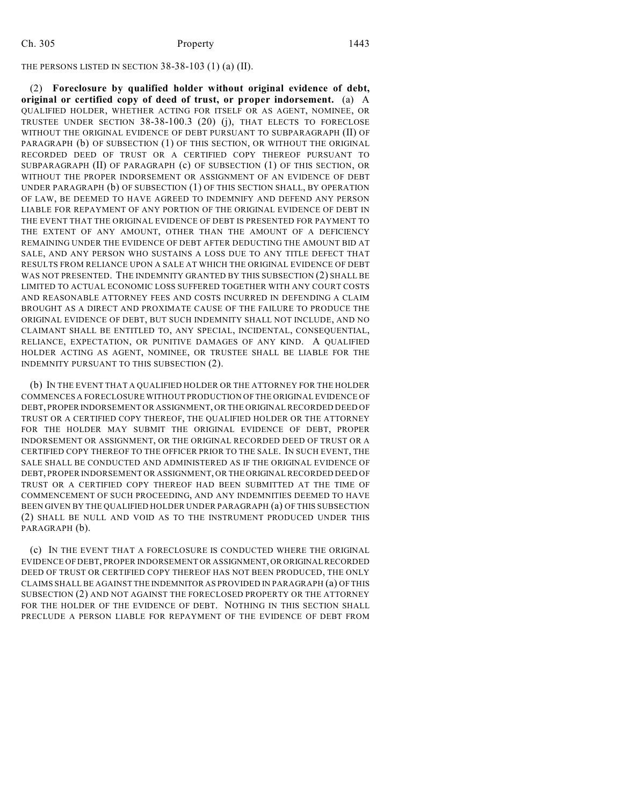THE PERSONS LISTED IN SECTION 38-38-103 (1) (a) (II).

(2) **Foreclosure by qualified holder without original evidence of debt, original or certified copy of deed of trust, or proper indorsement.** (a) A QUALIFIED HOLDER, WHETHER ACTING FOR ITSELF OR AS AGENT, NOMINEE, OR TRUSTEE UNDER SECTION 38-38-100.3 (20) (j), THAT ELECTS TO FORECLOSE WITHOUT THE ORIGINAL EVIDENCE OF DEBT PURSUANT TO SUBPARAGRAPH (II) OF PARAGRAPH (b) OF SUBSECTION (1) OF THIS SECTION, OR WITHOUT THE ORIGINAL RECORDED DEED OF TRUST OR A CERTIFIED COPY THEREOF PURSUANT TO SUBPARAGRAPH (II) OF PARAGRAPH (c) OF SUBSECTION (1) OF THIS SECTION, OR WITHOUT THE PROPER INDORSEMENT OR ASSIGNMENT OF AN EVIDENCE OF DEBT UNDER PARAGRAPH (b) OF SUBSECTION (1) OF THIS SECTION SHALL, BY OPERATION OF LAW, BE DEEMED TO HAVE AGREED TO INDEMNIFY AND DEFEND ANY PERSON LIABLE FOR REPAYMENT OF ANY PORTION OF THE ORIGINAL EVIDENCE OF DEBT IN THE EVENT THAT THE ORIGINAL EVIDENCE OF DEBT IS PRESENTED FOR PAYMENT TO THE EXTENT OF ANY AMOUNT, OTHER THAN THE AMOUNT OF A DEFICIENCY REMAINING UNDER THE EVIDENCE OF DEBT AFTER DEDUCTING THE AMOUNT BID AT SALE, AND ANY PERSON WHO SUSTAINS A LOSS DUE TO ANY TITLE DEFECT THAT RESULTS FROM RELIANCE UPON A SALE AT WHICH THE ORIGINAL EVIDENCE OF DEBT WAS NOT PRESENTED. THE INDEMNITY GRANTED BY THIS SUBSECTION (2) SHALL BE LIMITED TO ACTUAL ECONOMIC LOSS SUFFERED TOGETHER WITH ANY COURT COSTS AND REASONABLE ATTORNEY FEES AND COSTS INCURRED IN DEFENDING A CLAIM BROUGHT AS A DIRECT AND PROXIMATE CAUSE OF THE FAILURE TO PRODUCE THE ORIGINAL EVIDENCE OF DEBT, BUT SUCH INDEMNITY SHALL NOT INCLUDE, AND NO CLAIMANT SHALL BE ENTITLED TO, ANY SPECIAL, INCIDENTAL, CONSEQUENTIAL, RELIANCE, EXPECTATION, OR PUNITIVE DAMAGES OF ANY KIND. A QUALIFIED HOLDER ACTING AS AGENT, NOMINEE, OR TRUSTEE SHALL BE LIABLE FOR THE INDEMNITY PURSUANT TO THIS SUBSECTION (2).

(b) IN THE EVENT THAT A QUALIFIED HOLDER OR THE ATTORNEY FOR THE HOLDER COMMENCES A FORECLOSURE WITHOUT PRODUCTION OF THE ORIGINAL EVIDENCE OF DEBT, PROPER INDORSEMENT OR ASSIGNMENT, OR THE ORIGINAL RECORDED DEED OF TRUST OR A CERTIFIED COPY THEREOF, THE QUALIFIED HOLDER OR THE ATTORNEY FOR THE HOLDER MAY SUBMIT THE ORIGINAL EVIDENCE OF DEBT, PROPER INDORSEMENT OR ASSIGNMENT, OR THE ORIGINAL RECORDED DEED OF TRUST OR A CERTIFIED COPY THEREOF TO THE OFFICER PRIOR TO THE SALE. IN SUCH EVENT, THE SALE SHALL BE CONDUCTED AND ADMINISTERED AS IF THE ORIGINAL EVIDENCE OF DEBT, PROPER INDORSEMENT OR ASSIGNMENT, OR THE ORIGINAL RECORDED DEED OF TRUST OR A CERTIFIED COPY THEREOF HAD BEEN SUBMITTED AT THE TIME OF COMMENCEMENT OF SUCH PROCEEDING, AND ANY INDEMNITIES DEEMED TO HAVE BEEN GIVEN BY THE QUALIFIED HOLDER UNDER PARAGRAPH (a) OF THIS SUBSECTION (2) SHALL BE NULL AND VOID AS TO THE INSTRUMENT PRODUCED UNDER THIS PARAGRAPH (b).

(c) IN THE EVENT THAT A FORECLOSURE IS CONDUCTED WHERE THE ORIGINAL EVIDENCE OF DEBT, PROPER INDORSEMENT OR ASSIGNMENT, OR ORIGINAL RECORDED DEED OF TRUST OR CERTIFIED COPY THEREOF HAS NOT BEEN PRODUCED, THE ONLY CLAIMS SHALL BE AGAINST THE INDEMNITOR AS PROVIDED IN PARAGRAPH (a) OF THIS SUBSECTION (2) AND NOT AGAINST THE FORECLOSED PROPERTY OR THE ATTORNEY FOR THE HOLDER OF THE EVIDENCE OF DEBT. NOTHING IN THIS SECTION SHALL PRECLUDE A PERSON LIABLE FOR REPAYMENT OF THE EVIDENCE OF DEBT FROM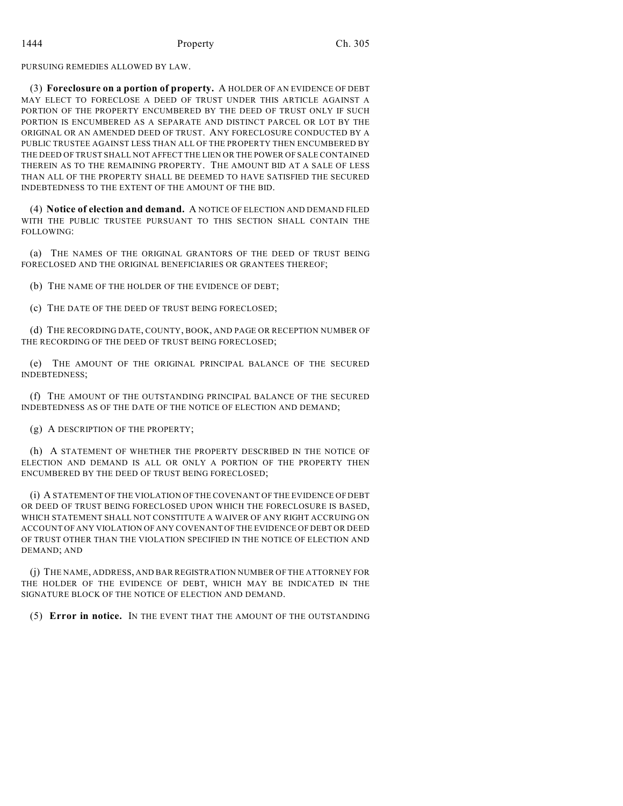PURSUING REMEDIES ALLOWED BY LAW.

(3) **Foreclosure on a portion of property.** A HOLDER OF AN EVIDENCE OF DEBT MAY ELECT TO FORECLOSE A DEED OF TRUST UNDER THIS ARTICLE AGAINST A PORTION OF THE PROPERTY ENCUMBERED BY THE DEED OF TRUST ONLY IF SUCH PORTION IS ENCUMBERED AS A SEPARATE AND DISTINCT PARCEL OR LOT BY THE ORIGINAL OR AN AMENDED DEED OF TRUST. ANY FORECLOSURE CONDUCTED BY A PUBLIC TRUSTEE AGAINST LESS THAN ALL OF THE PROPERTY THEN ENCUMBERED BY THE DEED OF TRUST SHALL NOT AFFECT THE LIEN OR THE POWER OF SALE CONTAINED THEREIN AS TO THE REMAINING PROPERTY. THE AMOUNT BID AT A SALE OF LESS THAN ALL OF THE PROPERTY SHALL BE DEEMED TO HAVE SATISFIED THE SECURED INDEBTEDNESS TO THE EXTENT OF THE AMOUNT OF THE BID.

(4) **Notice of election and demand.** A NOTICE OF ELECTION AND DEMAND FILED WITH THE PUBLIC TRUSTEE PURSUANT TO THIS SECTION SHALL CONTAIN THE FOLLOWING:

(a) THE NAMES OF THE ORIGINAL GRANTORS OF THE DEED OF TRUST BEING FORECLOSED AND THE ORIGINAL BENEFICIARIES OR GRANTEES THEREOF;

(b) THE NAME OF THE HOLDER OF THE EVIDENCE OF DEBT;

(c) THE DATE OF THE DEED OF TRUST BEING FORECLOSED;

(d) THE RECORDING DATE, COUNTY, BOOK, AND PAGE OR RECEPTION NUMBER OF THE RECORDING OF THE DEED OF TRUST BEING FORECLOSED;

(e) THE AMOUNT OF THE ORIGINAL PRINCIPAL BALANCE OF THE SECURED INDEBTEDNESS;

(f) THE AMOUNT OF THE OUTSTANDING PRINCIPAL BALANCE OF THE SECURED INDEBTEDNESS AS OF THE DATE OF THE NOTICE OF ELECTION AND DEMAND;

(g) A DESCRIPTION OF THE PROPERTY;

(h) A STATEMENT OF WHETHER THE PROPERTY DESCRIBED IN THE NOTICE OF ELECTION AND DEMAND IS ALL OR ONLY A PORTION OF THE PROPERTY THEN ENCUMBERED BY THE DEED OF TRUST BEING FORECLOSED;

(i) A STATEMENT OF THE VIOLATION OF THE COVENANT OF THE EVIDENCE OF DEBT OR DEED OF TRUST BEING FORECLOSED UPON WHICH THE FORECLOSURE IS BASED, WHICH STATEMENT SHALL NOT CONSTITUTE A WAIVER OF ANY RIGHT ACCRUING ON ACCOUNT OF ANY VIOLATION OF ANY COVENANT OF THE EVIDENCE OF DEBT OR DEED OF TRUST OTHER THAN THE VIOLATION SPECIFIED IN THE NOTICE OF ELECTION AND DEMAND; AND

(j) THE NAME, ADDRESS, AND BAR REGISTRATION NUMBER OF THE ATTORNEY FOR THE HOLDER OF THE EVIDENCE OF DEBT, WHICH MAY BE INDICATED IN THE SIGNATURE BLOCK OF THE NOTICE OF ELECTION AND DEMAND.

(5) **Error in notice.** IN THE EVENT THAT THE AMOUNT OF THE OUTSTANDING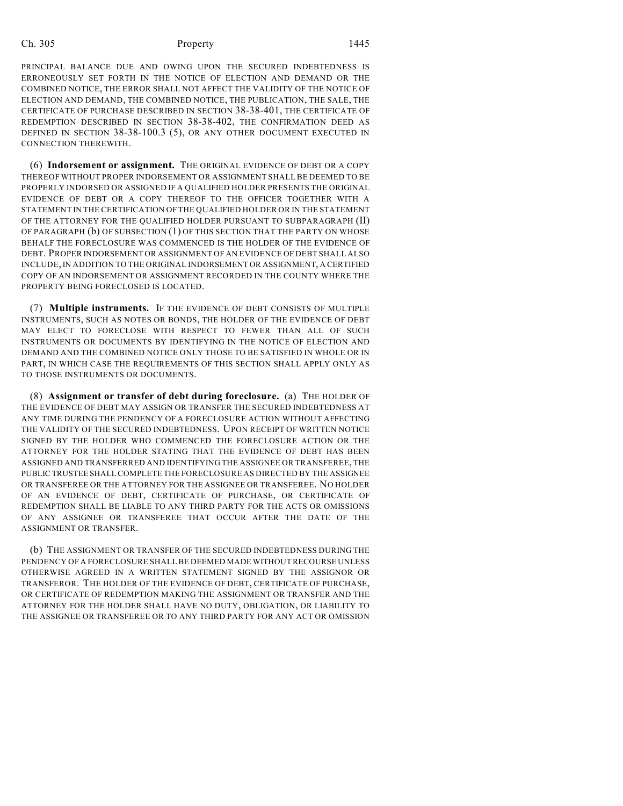# Ch. 305 Property Property 21445

PRINCIPAL BALANCE DUE AND OWING UPON THE SECURED INDEBTEDNESS IS ERRONEOUSLY SET FORTH IN THE NOTICE OF ELECTION AND DEMAND OR THE COMBINED NOTICE, THE ERROR SHALL NOT AFFECT THE VALIDITY OF THE NOTICE OF ELECTION AND DEMAND, THE COMBINED NOTICE, THE PUBLICATION, THE SALE, THE CERTIFICATE OF PURCHASE DESCRIBED IN SECTION 38-38-401, THE CERTIFICATE OF REDEMPTION DESCRIBED IN SECTION 38-38-402, THE CONFIRMATION DEED AS DEFINED IN SECTION 38-38-100.3 (5), OR ANY OTHER DOCUMENT EXECUTED IN CONNECTION THEREWITH.

(6) **Indorsement or assignment.** THE ORIGINAL EVIDENCE OF DEBT OR A COPY THEREOF WITHOUT PROPER INDORSEMENT OR ASSIGNMENT SHALL BE DEEMED TO BE PROPERLY INDORSED OR ASSIGNED IF A QUALIFIED HOLDER PRESENTS THE ORIGINAL EVIDENCE OF DEBT OR A COPY THEREOF TO THE OFFICER TOGETHER WITH A STATEMENT IN THE CERTIFICATION OF THE QUALIFIED HOLDER OR IN THE STATEMENT OF THE ATTORNEY FOR THE QUALIFIED HOLDER PURSUANT TO SUBPARAGRAPH (II) OF PARAGRAPH (b) OF SUBSECTION (1) OF THIS SECTION THAT THE PARTY ON WHOSE BEHALF THE FORECLOSURE WAS COMMENCED IS THE HOLDER OF THE EVIDENCE OF DEBT. PROPER INDORSEMENT OR ASSIGNMENT OF AN EVIDENCE OF DEBT SHALL ALSO INCLUDE, IN ADDITION TO THE ORIGINAL INDORSEMENT OR ASSIGNMENT, A CERTIFIED COPY OF AN INDORSEMENT OR ASSIGNMENT RECORDED IN THE COUNTY WHERE THE PROPERTY BEING FORECLOSED IS LOCATED.

(7) **Multiple instruments.** IF THE EVIDENCE OF DEBT CONSISTS OF MULTIPLE INSTRUMENTS, SUCH AS NOTES OR BONDS, THE HOLDER OF THE EVIDENCE OF DEBT MAY ELECT TO FORECLOSE WITH RESPECT TO FEWER THAN ALL OF SUCH INSTRUMENTS OR DOCUMENTS BY IDENTIFYING IN THE NOTICE OF ELECTION AND DEMAND AND THE COMBINED NOTICE ONLY THOSE TO BE SATISFIED IN WHOLE OR IN PART, IN WHICH CASE THE REQUIREMENTS OF THIS SECTION SHALL APPLY ONLY AS TO THOSE INSTRUMENTS OR DOCUMENTS.

(8) **Assignment or transfer of debt during foreclosure.** (a) THE HOLDER OF THE EVIDENCE OF DEBT MAY ASSIGN OR TRANSFER THE SECURED INDEBTEDNESS AT ANY TIME DURING THE PENDENCY OF A FORECLOSURE ACTION WITHOUT AFFECTING THE VALIDITY OF THE SECURED INDEBTEDNESS. UPON RECEIPT OF WRITTEN NOTICE SIGNED BY THE HOLDER WHO COMMENCED THE FORECLOSURE ACTION OR THE ATTORNEY FOR THE HOLDER STATING THAT THE EVIDENCE OF DEBT HAS BEEN ASSIGNED AND TRANSFERRED AND IDENTIFYING THE ASSIGNEE OR TRANSFEREE, THE PUBLIC TRUSTEE SHALL COMPLETE THE FORECLOSURE AS DIRECTED BY THE ASSIGNEE OR TRANSFEREE OR THE ATTORNEY FOR THE ASSIGNEE OR TRANSFEREE. NO HOLDER OF AN EVIDENCE OF DEBT, CERTIFICATE OF PURCHASE, OR CERTIFICATE OF REDEMPTION SHALL BE LIABLE TO ANY THIRD PARTY FOR THE ACTS OR OMISSIONS OF ANY ASSIGNEE OR TRANSFEREE THAT OCCUR AFTER THE DATE OF THE ASSIGNMENT OR TRANSFER.

(b) THE ASSIGNMENT OR TRANSFER OF THE SECURED INDEBTEDNESS DURING THE PENDENCY OF A FORECLOSURE SHALL BE DEEMED MADE WITHOUT RECOURSE UNLESS OTHERWISE AGREED IN A WRITTEN STATEMENT SIGNED BY THE ASSIGNOR OR TRANSFEROR. THE HOLDER OF THE EVIDENCE OF DEBT, CERTIFICATE OF PURCHASE, OR CERTIFICATE OF REDEMPTION MAKING THE ASSIGNMENT OR TRANSFER AND THE ATTORNEY FOR THE HOLDER SHALL HAVE NO DUTY, OBLIGATION, OR LIABILITY TO THE ASSIGNEE OR TRANSFEREE OR TO ANY THIRD PARTY FOR ANY ACT OR OMISSION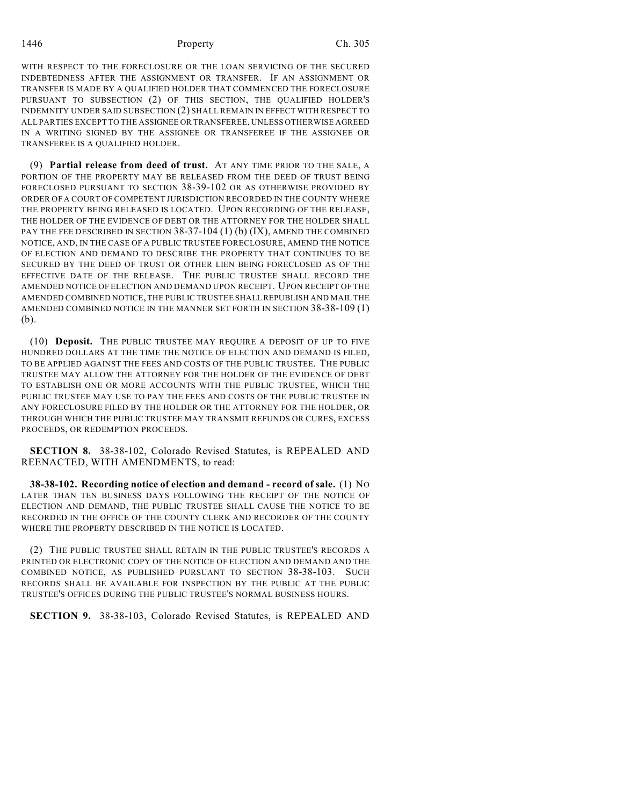WITH RESPECT TO THE FORECLOSURE OR THE LOAN SERVICING OF THE SECURED INDEBTEDNESS AFTER THE ASSIGNMENT OR TRANSFER. IF AN ASSIGNMENT OR TRANSFER IS MADE BY A QUALIFIED HOLDER THAT COMMENCED THE FORECLOSURE PURSUANT TO SUBSECTION (2) OF THIS SECTION, THE QUALIFIED HOLDER'S INDEMNITY UNDER SAID SUBSECTION (2) SHALL REMAIN IN EFFECT WITH RESPECT TO ALL PARTIES EXCEPT TO THE ASSIGNEE OR TRANSFEREE, UNLESS OTHERWISE AGREED IN A WRITING SIGNED BY THE ASSIGNEE OR TRANSFEREE IF THE ASSIGNEE OR TRANSFEREE IS A QUALIFIED HOLDER.

(9) **Partial release from deed of trust.** AT ANY TIME PRIOR TO THE SALE, A PORTION OF THE PROPERTY MAY BE RELEASED FROM THE DEED OF TRUST BEING FORECLOSED PURSUANT TO SECTION 38-39-102 OR AS OTHERWISE PROVIDED BY ORDER OF A COURT OF COMPETENT JURISDICTION RECORDED IN THE COUNTY WHERE THE PROPERTY BEING RELEASED IS LOCATED. UPON RECORDING OF THE RELEASE, THE HOLDER OF THE EVIDENCE OF DEBT OR THE ATTORNEY FOR THE HOLDER SHALL PAY THE FEE DESCRIBED IN SECTION 38-37-104 (1) (b) (IX), AMEND THE COMBINED NOTICE, AND, IN THE CASE OF A PUBLIC TRUSTEE FORECLOSURE, AMEND THE NOTICE OF ELECTION AND DEMAND TO DESCRIBE THE PROPERTY THAT CONTINUES TO BE SECURED BY THE DEED OF TRUST OR OTHER LIEN BEING FORECLOSED AS OF THE EFFECTIVE DATE OF THE RELEASE. THE PUBLIC TRUSTEE SHALL RECORD THE AMENDED NOTICE OF ELECTION AND DEMAND UPON RECEIPT. UPON RECEIPT OF THE AMENDED COMBINED NOTICE, THE PUBLIC TRUSTEE SHALL REPUBLISH AND MAIL THE AMENDED COMBINED NOTICE IN THE MANNER SET FORTH IN SECTION 38-38-109 (1) (b).

(10) **Deposit.** THE PUBLIC TRUSTEE MAY REQUIRE A DEPOSIT OF UP TO FIVE HUNDRED DOLLARS AT THE TIME THE NOTICE OF ELECTION AND DEMAND IS FILED, TO BE APPLIED AGAINST THE FEES AND COSTS OF THE PUBLIC TRUSTEE. THE PUBLIC TRUSTEE MAY ALLOW THE ATTORNEY FOR THE HOLDER OF THE EVIDENCE OF DEBT TO ESTABLISH ONE OR MORE ACCOUNTS WITH THE PUBLIC TRUSTEE, WHICH THE PUBLIC TRUSTEE MAY USE TO PAY THE FEES AND COSTS OF THE PUBLIC TRUSTEE IN ANY FORECLOSURE FILED BY THE HOLDER OR THE ATTORNEY FOR THE HOLDER, OR THROUGH WHICH THE PUBLIC TRUSTEE MAY TRANSMIT REFUNDS OR CURES, EXCESS PROCEEDS, OR REDEMPTION PROCEEDS.

**SECTION 8.** 38-38-102, Colorado Revised Statutes, is REPEALED AND REENACTED, WITH AMENDMENTS, to read:

**38-38-102. Recording notice of election and demand - record of sale.** (1) NO LATER THAN TEN BUSINESS DAYS FOLLOWING THE RECEIPT OF THE NOTICE OF ELECTION AND DEMAND, THE PUBLIC TRUSTEE SHALL CAUSE THE NOTICE TO BE RECORDED IN THE OFFICE OF THE COUNTY CLERK AND RECORDER OF THE COUNTY WHERE THE PROPERTY DESCRIBED IN THE NOTICE IS LOCATED.

(2) THE PUBLIC TRUSTEE SHALL RETAIN IN THE PUBLIC TRUSTEE'S RECORDS A PRINTED OR ELECTRONIC COPY OF THE NOTICE OF ELECTION AND DEMAND AND THE COMBINED NOTICE, AS PUBLISHED PURSUANT TO SECTION 38-38-103. SUCH RECORDS SHALL BE AVAILABLE FOR INSPECTION BY THE PUBLIC AT THE PUBLIC TRUSTEE'S OFFICES DURING THE PUBLIC TRUSTEE'S NORMAL BUSINESS HOURS.

**SECTION 9.** 38-38-103, Colorado Revised Statutes, is REPEALED AND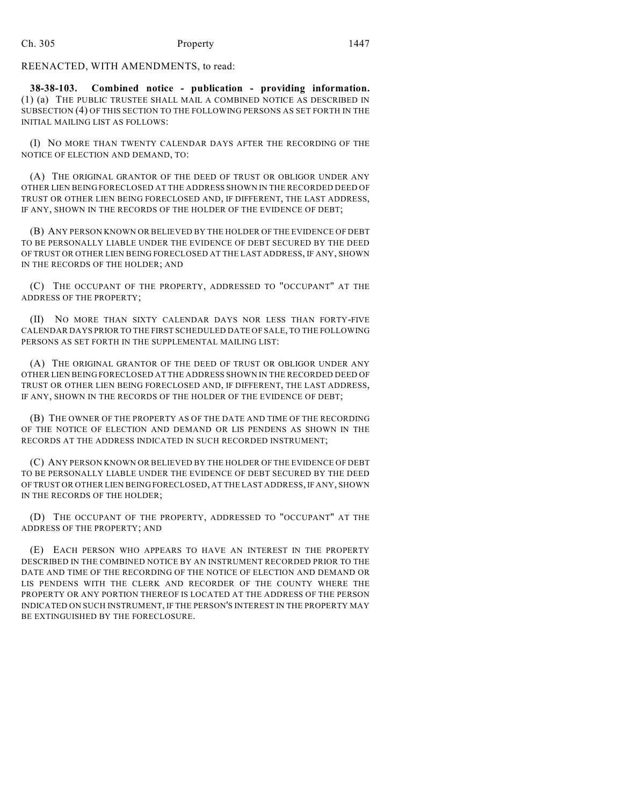REENACTED, WITH AMENDMENTS, to read:

**38-38-103. Combined notice - publication - providing information.** (1) (a) THE PUBLIC TRUSTEE SHALL MAIL A COMBINED NOTICE AS DESCRIBED IN SUBSECTION (4) OF THIS SECTION TO THE FOLLOWING PERSONS AS SET FORTH IN THE INITIAL MAILING LIST AS FOLLOWS:

(I) NO MORE THAN TWENTY CALENDAR DAYS AFTER THE RECORDING OF THE NOTICE OF ELECTION AND DEMAND, TO:

(A) THE ORIGINAL GRANTOR OF THE DEED OF TRUST OR OBLIGOR UNDER ANY OTHER LIEN BEING FORECLOSED AT THE ADDRESS SHOWN IN THE RECORDED DEED OF TRUST OR OTHER LIEN BEING FORECLOSED AND, IF DIFFERENT, THE LAST ADDRESS, IF ANY, SHOWN IN THE RECORDS OF THE HOLDER OF THE EVIDENCE OF DEBT;

(B) ANY PERSON KNOWN OR BELIEVED BY THE HOLDER OF THE EVIDENCE OF DEBT TO BE PERSONALLY LIABLE UNDER THE EVIDENCE OF DEBT SECURED BY THE DEED OF TRUST OR OTHER LIEN BEING FORECLOSED AT THE LAST ADDRESS, IF ANY, SHOWN IN THE RECORDS OF THE HOLDER; AND

(C) THE OCCUPANT OF THE PROPERTY, ADDRESSED TO "OCCUPANT" AT THE ADDRESS OF THE PROPERTY;

(II) NO MORE THAN SIXTY CALENDAR DAYS NOR LESS THAN FORTY-FIVE CALENDAR DAYS PRIOR TO THE FIRST SCHEDULED DATE OF SALE, TO THE FOLLOWING PERSONS AS SET FORTH IN THE SUPPLEMENTAL MAILING LIST:

(A) THE ORIGINAL GRANTOR OF THE DEED OF TRUST OR OBLIGOR UNDER ANY OTHER LIEN BEING FORECLOSED AT THE ADDRESS SHOWN IN THE RECORDED DEED OF TRUST OR OTHER LIEN BEING FORECLOSED AND, IF DIFFERENT, THE LAST ADDRESS, IF ANY, SHOWN IN THE RECORDS OF THE HOLDER OF THE EVIDENCE OF DEBT;

(B) THE OWNER OF THE PROPERTY AS OF THE DATE AND TIME OF THE RECORDING OF THE NOTICE OF ELECTION AND DEMAND OR LIS PENDENS AS SHOWN IN THE RECORDS AT THE ADDRESS INDICATED IN SUCH RECORDED INSTRUMENT;

(C) ANY PERSON KNOWN OR BELIEVED BY THE HOLDER OF THE EVIDENCE OF DEBT TO BE PERSONALLY LIABLE UNDER THE EVIDENCE OF DEBT SECURED BY THE DEED OF TRUST OR OTHER LIEN BEING FORECLOSED, AT THE LAST ADDRESS, IF ANY, SHOWN IN THE RECORDS OF THE HOLDER;

(D) THE OCCUPANT OF THE PROPERTY, ADDRESSED TO "OCCUPANT" AT THE ADDRESS OF THE PROPERTY; AND

(E) EACH PERSON WHO APPEARS TO HAVE AN INTEREST IN THE PROPERTY DESCRIBED IN THE COMBINED NOTICE BY AN INSTRUMENT RECORDED PRIOR TO THE DATE AND TIME OF THE RECORDING OF THE NOTICE OF ELECTION AND DEMAND OR LIS PENDENS WITH THE CLERK AND RECORDER OF THE COUNTY WHERE THE PROPERTY OR ANY PORTION THEREOF IS LOCATED AT THE ADDRESS OF THE PERSON INDICATED ON SUCH INSTRUMENT, IF THE PERSON'S INTEREST IN THE PROPERTY MAY BE EXTINGUISHED BY THE FORECLOSURE.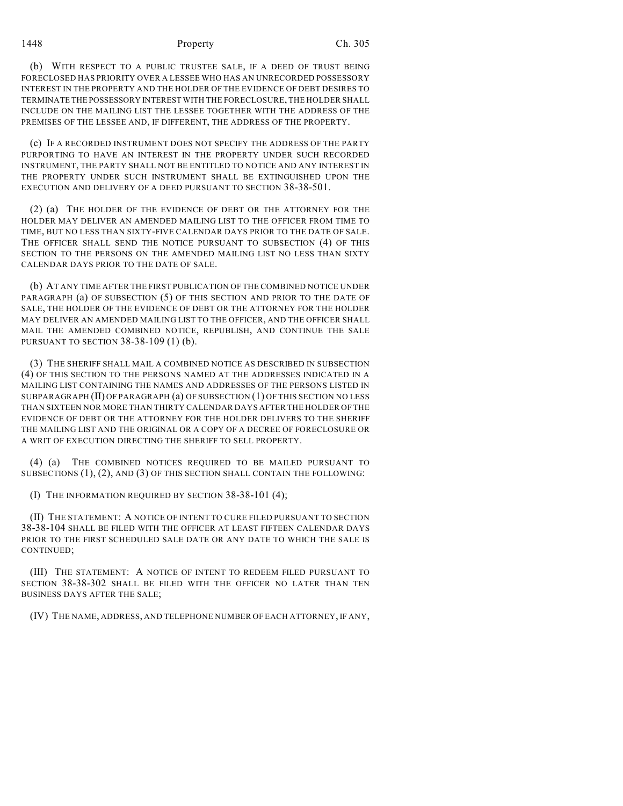# 1448 Property Ch. 305

(b) WITH RESPECT TO A PUBLIC TRUSTEE SALE, IF A DEED OF TRUST BEING FORECLOSED HAS PRIORITY OVER A LESSEE WHO HAS AN UNRECORDED POSSESSORY INTEREST IN THE PROPERTY AND THE HOLDER OF THE EVIDENCE OF DEBT DESIRES TO TERMINATE THE POSSESSORY INTEREST WITH THE FORECLOSURE, THE HOLDER SHALL INCLUDE ON THE MAILING LIST THE LESSEE TOGETHER WITH THE ADDRESS OF THE PREMISES OF THE LESSEE AND, IF DIFFERENT, THE ADDRESS OF THE PROPERTY.

(c) IF A RECORDED INSTRUMENT DOES NOT SPECIFY THE ADDRESS OF THE PARTY PURPORTING TO HAVE AN INTEREST IN THE PROPERTY UNDER SUCH RECORDED INSTRUMENT, THE PARTY SHALL NOT BE ENTITLED TO NOTICE AND ANY INTEREST IN THE PROPERTY UNDER SUCH INSTRUMENT SHALL BE EXTINGUISHED UPON THE EXECUTION AND DELIVERY OF A DEED PURSUANT TO SECTION 38-38-501.

(2) (a) THE HOLDER OF THE EVIDENCE OF DEBT OR THE ATTORNEY FOR THE HOLDER MAY DELIVER AN AMENDED MAILING LIST TO THE OFFICER FROM TIME TO TIME, BUT NO LESS THAN SIXTY-FIVE CALENDAR DAYS PRIOR TO THE DATE OF SALE. THE OFFICER SHALL SEND THE NOTICE PURSUANT TO SUBSECTION (4) OF THIS SECTION TO THE PERSONS ON THE AMENDED MAILING LIST NO LESS THAN SIXTY CALENDAR DAYS PRIOR TO THE DATE OF SALE.

(b) AT ANY TIME AFTER THE FIRST PUBLICATION OF THE COMBINED NOTICE UNDER PARAGRAPH (a) OF SUBSECTION (5) OF THIS SECTION AND PRIOR TO THE DATE OF SALE, THE HOLDER OF THE EVIDENCE OF DEBT OR THE ATTORNEY FOR THE HOLDER MAY DELIVER AN AMENDED MAILING LIST TO THE OFFICER, AND THE OFFICER SHALL MAIL THE AMENDED COMBINED NOTICE, REPUBLISH, AND CONTINUE THE SALE PURSUANT TO SECTION 38-38-109 (1) (b).

(3) THE SHERIFF SHALL MAIL A COMBINED NOTICE AS DESCRIBED IN SUBSECTION (4) OF THIS SECTION TO THE PERSONS NAMED AT THE ADDRESSES INDICATED IN A MAILING LIST CONTAINING THE NAMES AND ADDRESSES OF THE PERSONS LISTED IN SUBPARAGRAPH (II) OF PARAGRAPH (a) OF SUBSECTION (1) OF THIS SECTION NO LESS THAN SIXTEEN NOR MORE THAN THIRTY CALENDAR DAYS AFTER THE HOLDER OF THE EVIDENCE OF DEBT OR THE ATTORNEY FOR THE HOLDER DELIVERS TO THE SHERIFF THE MAILING LIST AND THE ORIGINAL OR A COPY OF A DECREE OF FORECLOSURE OR A WRIT OF EXECUTION DIRECTING THE SHERIFF TO SELL PROPERTY.

(4) (a) THE COMBINED NOTICES REQUIRED TO BE MAILED PURSUANT TO SUBSECTIONS (1), (2), AND (3) OF THIS SECTION SHALL CONTAIN THE FOLLOWING:

(I) THE INFORMATION REQUIRED BY SECTION 38-38-101 (4);

(II) THE STATEMENT: A NOTICE OF INTENT TO CURE FILED PURSUANT TO SECTION 38-38-104 SHALL BE FILED WITH THE OFFICER AT LEAST FIFTEEN CALENDAR DAYS PRIOR TO THE FIRST SCHEDULED SALE DATE OR ANY DATE TO WHICH THE SALE IS CONTINUED;

(III) THE STATEMENT: A NOTICE OF INTENT TO REDEEM FILED PURSUANT TO SECTION 38-38-302 SHALL BE FILED WITH THE OFFICER NO LATER THAN TEN BUSINESS DAYS AFTER THE SALE;

(IV) THE NAME, ADDRESS, AND TELEPHONE NUMBER OF EACH ATTORNEY, IF ANY,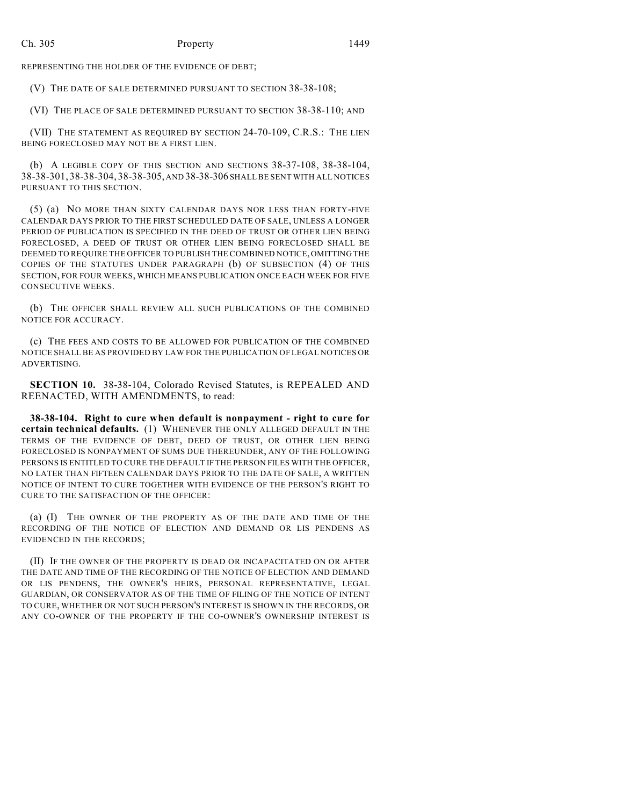REPRESENTING THE HOLDER OF THE EVIDENCE OF DEBT;

(V) THE DATE OF SALE DETERMINED PURSUANT TO SECTION 38-38-108;

(VI) THE PLACE OF SALE DETERMINED PURSUANT TO SECTION 38-38-110; AND

(VII) THE STATEMENT AS REQUIRED BY SECTION 24-70-109, C.R.S.: THE LIEN BEING FORECLOSED MAY NOT BE A FIRST LIEN.

(b) A LEGIBLE COPY OF THIS SECTION AND SECTIONS 38-37-108, 38-38-104, 38-38-301, 38-38-304, 38-38-305, AND 38-38-306 SHALL BE SENT WITH ALL NOTICES PURSUANT TO THIS SECTION.

(5) (a) NO MORE THAN SIXTY CALENDAR DAYS NOR LESS THAN FORTY-FIVE CALENDAR DAYS PRIOR TO THE FIRST SCHEDULED DATE OF SALE, UNLESS A LONGER PERIOD OF PUBLICATION IS SPECIFIED IN THE DEED OF TRUST OR OTHER LIEN BEING FORECLOSED, A DEED OF TRUST OR OTHER LIEN BEING FORECLOSED SHALL BE DEEMED TO REQUIRE THE OFFICER TO PUBLISH THE COMBINED NOTICE, OMITTING THE COPIES OF THE STATUTES UNDER PARAGRAPH (b) OF SUBSECTION (4) OF THIS SECTION, FOR FOUR WEEKS, WHICH MEANS PUBLICATION ONCE EACH WEEK FOR FIVE CONSECUTIVE WEEKS.

(b) THE OFFICER SHALL REVIEW ALL SUCH PUBLICATIONS OF THE COMBINED NOTICE FOR ACCURACY.

(c) THE FEES AND COSTS TO BE ALLOWED FOR PUBLICATION OF THE COMBINED NOTICE SHALL BE AS PROVIDED BY LAW FOR THE PUBLICATION OF LEGAL NOTICES OR ADVERTISING.

**SECTION 10.** 38-38-104, Colorado Revised Statutes, is REPEALED AND REENACTED, WITH AMENDMENTS, to read:

**38-38-104. Right to cure when default is nonpayment - right to cure for certain technical defaults.** (1) WHENEVER THE ONLY ALLEGED DEFAULT IN THE TERMS OF THE EVIDENCE OF DEBT, DEED OF TRUST, OR OTHER LIEN BEING FORECLOSED IS NONPAYMENT OF SUMS DUE THEREUNDER, ANY OF THE FOLLOWING PERSONS IS ENTITLED TO CURE THE DEFAULT IF THE PERSON FILES WITH THE OFFICER, NO LATER THAN FIFTEEN CALENDAR DAYS PRIOR TO THE DATE OF SALE, A WRITTEN NOTICE OF INTENT TO CURE TOGETHER WITH EVIDENCE OF THE PERSON'S RIGHT TO CURE TO THE SATISFACTION OF THE OFFICER:

(a) (I) THE OWNER OF THE PROPERTY AS OF THE DATE AND TIME OF THE RECORDING OF THE NOTICE OF ELECTION AND DEMAND OR LIS PENDENS AS EVIDENCED IN THE RECORDS;

(II) IF THE OWNER OF THE PROPERTY IS DEAD OR INCAPACITATED ON OR AFTER THE DATE AND TIME OF THE RECORDING OF THE NOTICE OF ELECTION AND DEMAND OR LIS PENDENS, THE OWNER'S HEIRS, PERSONAL REPRESENTATIVE, LEGAL GUARDIAN, OR CONSERVATOR AS OF THE TIME OF FILING OF THE NOTICE OF INTENT TO CURE, WHETHER OR NOT SUCH PERSON'S INTEREST IS SHOWN IN THE RECORDS, OR ANY CO-OWNER OF THE PROPERTY IF THE CO-OWNER'S OWNERSHIP INTEREST IS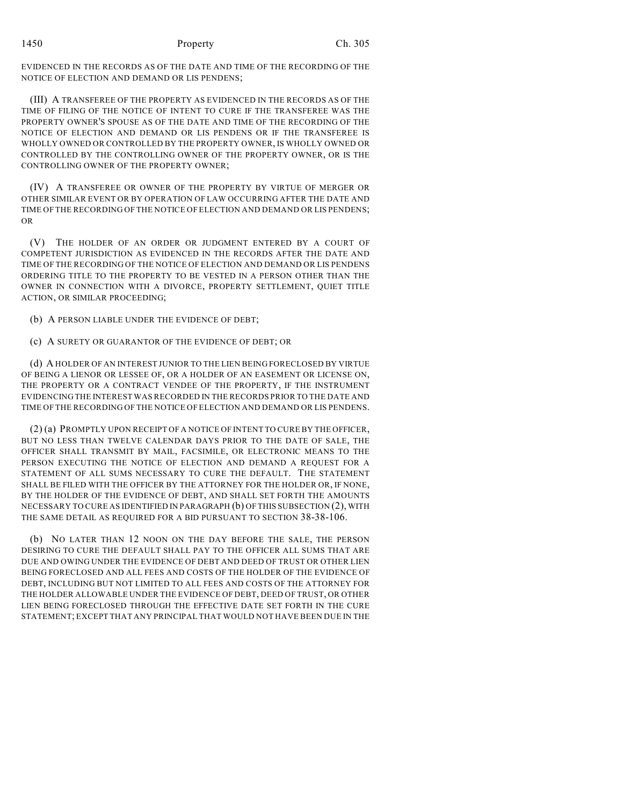EVIDENCED IN THE RECORDS AS OF THE DATE AND TIME OF THE RECORDING OF THE NOTICE OF ELECTION AND DEMAND OR LIS PENDENS;

(III) A TRANSFEREE OF THE PROPERTY AS EVIDENCED IN THE RECORDS AS OF THE TIME OF FILING OF THE NOTICE OF INTENT TO CURE IF THE TRANSFEREE WAS THE PROPERTY OWNER'S SPOUSE AS OF THE DATE AND TIME OF THE RECORDING OF THE NOTICE OF ELECTION AND DEMAND OR LIS PENDENS OR IF THE TRANSFEREE IS WHOLLY OWNED OR CONTROLLED BY THE PROPERTY OWNER, IS WHOLLY OWNED OR CONTROLLED BY THE CONTROLLING OWNER OF THE PROPERTY OWNER, OR IS THE CONTROLLING OWNER OF THE PROPERTY OWNER;

(IV) A TRANSFEREE OR OWNER OF THE PROPERTY BY VIRTUE OF MERGER OR OTHER SIMILAR EVENT OR BY OPERATION OF LAW OCCURRING AFTER THE DATE AND TIME OF THE RECORDING OF THE NOTICE OF ELECTION AND DEMAND OR LIS PENDENS; OR

(V) THE HOLDER OF AN ORDER OR JUDGMENT ENTERED BY A COURT OF COMPETENT JURISDICTION AS EVIDENCED IN THE RECORDS AFTER THE DATE AND TIME OF THE RECORDING OF THE NOTICE OF ELECTION AND DEMAND OR LIS PENDENS ORDERING TITLE TO THE PROPERTY TO BE VESTED IN A PERSON OTHER THAN THE OWNER IN CONNECTION WITH A DIVORCE, PROPERTY SETTLEMENT, QUIET TITLE ACTION, OR SIMILAR PROCEEDING;

(b) A PERSON LIABLE UNDER THE EVIDENCE OF DEBT;

(c) A SURETY OR GUARANTOR OF THE EVIDENCE OF DEBT; OR

(d) A HOLDER OF AN INTEREST JUNIOR TO THE LIEN BEING FORECLOSED BY VIRTUE OF BEING A LIENOR OR LESSEE OF, OR A HOLDER OF AN EASEMENT OR LICENSE ON, THE PROPERTY OR A CONTRACT VENDEE OF THE PROPERTY, IF THE INSTRUMENT EVIDENCING THE INTEREST WAS RECORDED IN THE RECORDS PRIOR TO THE DATE AND TIME OF THE RECORDING OF THE NOTICE OF ELECTION AND DEMAND OR LIS PENDENS.

(2) (a) PROMPTLY UPON RECEIPT OF A NOTICE OF INTENT TO CURE BY THE OFFICER, BUT NO LESS THAN TWELVE CALENDAR DAYS PRIOR TO THE DATE OF SALE, THE OFFICER SHALL TRANSMIT BY MAIL, FACSIMILE, OR ELECTRONIC MEANS TO THE PERSON EXECUTING THE NOTICE OF ELECTION AND DEMAND A REQUEST FOR A STATEMENT OF ALL SUMS NECESSARY TO CURE THE DEFAULT. THE STATEMENT SHALL BE FILED WITH THE OFFICER BY THE ATTORNEY FOR THE HOLDER OR, IF NONE, BY THE HOLDER OF THE EVIDENCE OF DEBT, AND SHALL SET FORTH THE AMOUNTS NECESSARY TO CURE AS IDENTIFIED IN PARAGRAPH (b) OF THIS SUBSECTION (2), WITH THE SAME DETAIL AS REQUIRED FOR A BID PURSUANT TO SECTION 38-38-106.

(b) NO LATER THAN 12 NOON ON THE DAY BEFORE THE SALE, THE PERSON DESIRING TO CURE THE DEFAULT SHALL PAY TO THE OFFICER ALL SUMS THAT ARE DUE AND OWING UNDER THE EVIDENCE OF DEBT AND DEED OF TRUST OR OTHER LIEN BEING FORECLOSED AND ALL FEES AND COSTS OF THE HOLDER OF THE EVIDENCE OF DEBT, INCLUDING BUT NOT LIMITED TO ALL FEES AND COSTS OF THE ATTORNEY FOR THE HOLDER ALLOWABLE UNDER THE EVIDENCE OF DEBT, DEED OF TRUST, OR OTHER LIEN BEING FORECLOSED THROUGH THE EFFECTIVE DATE SET FORTH IN THE CURE STATEMENT; EXCEPT THAT ANY PRINCIPAL THAT WOULD NOT HAVE BEEN DUE IN THE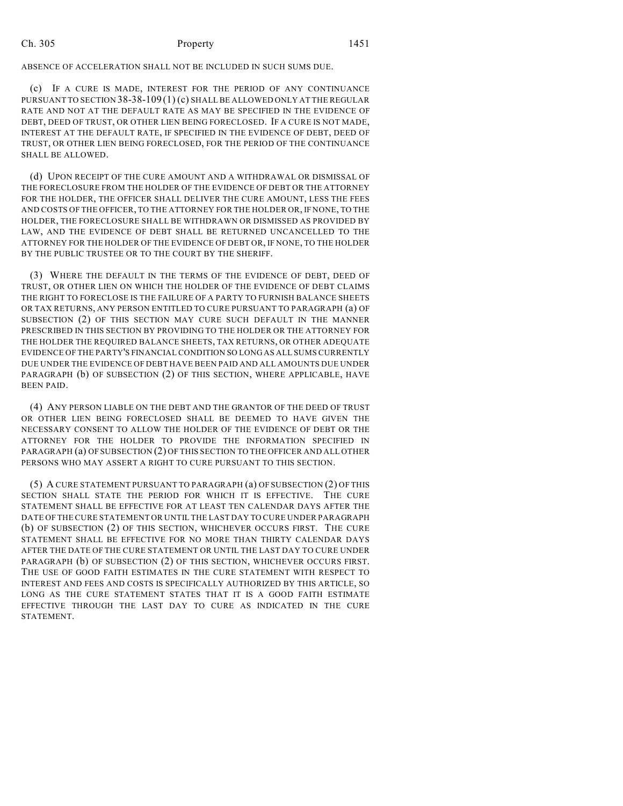ABSENCE OF ACCELERATION SHALL NOT BE INCLUDED IN SUCH SUMS DUE.

(c) IF A CURE IS MADE, INTEREST FOR THE PERIOD OF ANY CONTINUANCE PURSUANT TO SECTION 38-38-109 (1) (c) SHALL BE ALLOWED ONLY AT THE REGULAR RATE AND NOT AT THE DEFAULT RATE AS MAY BE SPECIFIED IN THE EVIDENCE OF DEBT, DEED OF TRUST, OR OTHER LIEN BEING FORECLOSED. IF A CURE IS NOT MADE, INTEREST AT THE DEFAULT RATE, IF SPECIFIED IN THE EVIDENCE OF DEBT, DEED OF TRUST, OR OTHER LIEN BEING FORECLOSED, FOR THE PERIOD OF THE CONTINUANCE SHALL BE ALLOWED.

(d) UPON RECEIPT OF THE CURE AMOUNT AND A WITHDRAWAL OR DISMISSAL OF THE FORECLOSURE FROM THE HOLDER OF THE EVIDENCE OF DEBT OR THE ATTORNEY FOR THE HOLDER, THE OFFICER SHALL DELIVER THE CURE AMOUNT, LESS THE FEES AND COSTS OF THE OFFICER, TO THE ATTORNEY FOR THE HOLDER OR, IF NONE, TO THE HOLDER, THE FORECLOSURE SHALL BE WITHDRAWN OR DISMISSED AS PROVIDED BY LAW, AND THE EVIDENCE OF DEBT SHALL BE RETURNED UNCANCELLED TO THE ATTORNEY FOR THE HOLDER OF THE EVIDENCE OF DEBT OR, IF NONE, TO THE HOLDER BY THE PUBLIC TRUSTEE OR TO THE COURT BY THE SHERIFF.

(3) WHERE THE DEFAULT IN THE TERMS OF THE EVIDENCE OF DEBT, DEED OF TRUST, OR OTHER LIEN ON WHICH THE HOLDER OF THE EVIDENCE OF DEBT CLAIMS THE RIGHT TO FORECLOSE IS THE FAILURE OF A PARTY TO FURNISH BALANCE SHEETS OR TAX RETURNS, ANY PERSON ENTITLED TO CURE PURSUANT TO PARAGRAPH (a) OF SUBSECTION (2) OF THIS SECTION MAY CURE SUCH DEFAULT IN THE MANNER PRESCRIBED IN THIS SECTION BY PROVIDING TO THE HOLDER OR THE ATTORNEY FOR THE HOLDER THE REQUIRED BALANCE SHEETS, TAX RETURNS, OR OTHER ADEQUATE EVIDENCE OF THE PARTY'S FINANCIAL CONDITION SO LONG AS ALL SUMS CURRENTLY DUE UNDER THE EVIDENCE OF DEBT HAVE BEEN PAID AND ALL AMOUNTS DUE UNDER PARAGRAPH (b) OF SUBSECTION (2) OF THIS SECTION, WHERE APPLICABLE, HAVE BEEN PAID.

(4) ANY PERSON LIABLE ON THE DEBT AND THE GRANTOR OF THE DEED OF TRUST OR OTHER LIEN BEING FORECLOSED SHALL BE DEEMED TO HAVE GIVEN THE NECESSARY CONSENT TO ALLOW THE HOLDER OF THE EVIDENCE OF DEBT OR THE ATTORNEY FOR THE HOLDER TO PROVIDE THE INFORMATION SPECIFIED IN PARAGRAPH (a) OF SUBSECTION (2) OF THIS SECTION TO THE OFFICER AND ALL OTHER PERSONS WHO MAY ASSERT A RIGHT TO CURE PURSUANT TO THIS SECTION.

(5) A CURE STATEMENT PURSUANT TO PARAGRAPH (a) OF SUBSECTION (2) OF THIS SECTION SHALL STATE THE PERIOD FOR WHICH IT IS EFFECTIVE. THE CURE STATEMENT SHALL BE EFFECTIVE FOR AT LEAST TEN CALENDAR DAYS AFTER THE DATE OF THE CURE STATEMENT OR UNTIL THE LAST DAY TO CURE UNDER PARAGRAPH (b) OF SUBSECTION (2) OF THIS SECTION, WHICHEVER OCCURS FIRST. THE CURE STATEMENT SHALL BE EFFECTIVE FOR NO MORE THAN THIRTY CALENDAR DAYS AFTER THE DATE OF THE CURE STATEMENT OR UNTIL THE LAST DAY TO CURE UNDER PARAGRAPH (b) OF SUBSECTION (2) OF THIS SECTION, WHICHEVER OCCURS FIRST. THE USE OF GOOD FAITH ESTIMATES IN THE CURE STATEMENT WITH RESPECT TO INTEREST AND FEES AND COSTS IS SPECIFICALLY AUTHORIZED BY THIS ARTICLE, SO LONG AS THE CURE STATEMENT STATES THAT IT IS A GOOD FAITH ESTIMATE EFFECTIVE THROUGH THE LAST DAY TO CURE AS INDICATED IN THE CURE **STATEMENT**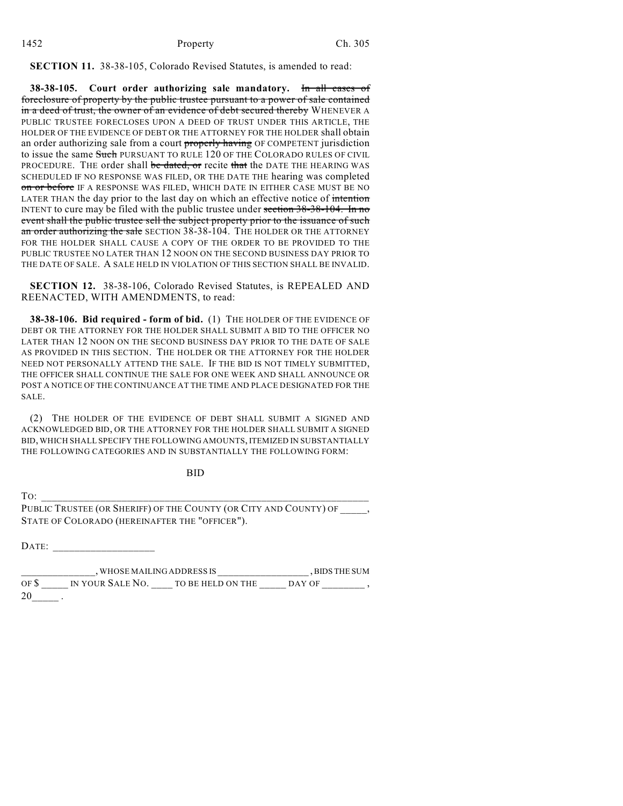| 1452 | Property | Ch. 305 |
|------|----------|---------|
|      |          |         |

**SECTION 11.** 38-38-105, Colorado Revised Statutes, is amended to read:

**38-38-105.** Court order authorizing sale mandatory. In all cases of foreclosure of property by the public trustee pursuant to a power of sale contained in a deed of trust, the owner of an evidence of debt secured thereby WHENEVER A PUBLIC TRUSTEE FORECLOSES UPON A DEED OF TRUST UNDER THIS ARTICLE, THE HOLDER OF THE EVIDENCE OF DEBT OR THE ATTORNEY FOR THE HOLDER shall obtain an order authorizing sale from a court properly having OF COMPETENT jurisdiction to issue the same Such PURSUANT TO RULE 120 OF THE COLORADO RULES OF CIVIL PROCEDURE. THE order shall be dated, or recite that the DATE THE HEARING WAS SCHEDULED IF NO RESPONSE WAS FILED, OR THE DATE THE hearing was completed on or before IF A RESPONSE WAS FILED, WHICH DATE IN EITHER CASE MUST BE NO LATER THAN the day prior to the last day on which an effective notice of intention INTENT to cure may be filed with the public trustee under section  $38-38-104$ . In no event shall the public trustee sell the subject property prior to the issuance of such an order authorizing the sale SECTION 38-38-104. THE HOLDER OR THE ATTORNEY FOR THE HOLDER SHALL CAUSE A COPY OF THE ORDER TO BE PROVIDED TO THE PUBLIC TRUSTEE NO LATER THAN 12 NOON ON THE SECOND BUSINESS DAY PRIOR TO THE DATE OF SALE. A SALE HELD IN VIOLATION OF THIS SECTION SHALL BE INVALID.

**SECTION 12.** 38-38-106, Colorado Revised Statutes, is REPEALED AND REENACTED, WITH AMENDMENTS, to read:

**38-38-106. Bid required - form of bid.** (1) THE HOLDER OF THE EVIDENCE OF DEBT OR THE ATTORNEY FOR THE HOLDER SHALL SUBMIT A BID TO THE OFFICER NO LATER THAN 12 NOON ON THE SECOND BUSINESS DAY PRIOR TO THE DATE OF SALE AS PROVIDED IN THIS SECTION. THE HOLDER OR THE ATTORNEY FOR THE HOLDER NEED NOT PERSONALLY ATTEND THE SALE. IF THE BID IS NOT TIMELY SUBMITTED, THE OFFICER SHALL CONTINUE THE SALE FOR ONE WEEK AND SHALL ANNOUNCE OR POST A NOTICE OF THE CONTINUANCE AT THE TIME AND PLACE DESIGNATED FOR THE SALE.

(2) THE HOLDER OF THE EVIDENCE OF DEBT SHALL SUBMIT A SIGNED AND ACKNOWLEDGED BID, OR THE ATTORNEY FOR THE HOLDER SHALL SUBMIT A SIGNED BID, WHICH SHALL SPECIFY THE FOLLOWING AMOUNTS, ITEMIZED IN SUBSTANTIALLY THE FOLLOWING CATEGORIES AND IN SUBSTANTIALLY THE FOLLOWING FORM:

BID

TO: \_\_\_\_\_\_\_\_\_\_\_\_\_\_\_\_\_\_\_\_\_\_\_\_\_\_\_\_\_\_\_\_\_\_\_\_\_\_\_\_\_\_\_\_\_\_\_\_\_\_\_\_\_\_\_\_\_\_\_\_\_ PUBLIC TRUSTEE (OR SHERIFF) OF THE COUNTY (OR CITY AND COUNTY) OF \_\_\_\_\_\_, STATE OF COLORADO (HEREINAFTER THE "OFFICER").

DATE: \_\_\_\_\_\_\_\_\_\_\_\_\_\_\_\_\_\_\_

|      | . WHOSE MAILING ADDRESS IS |                   | . BIDS THE SUM |
|------|----------------------------|-------------------|----------------|
| OF S | IN YOUR SALE NO.           | TO BE HELD ON THE | DAY OF         |
| 20   |                            |                   |                |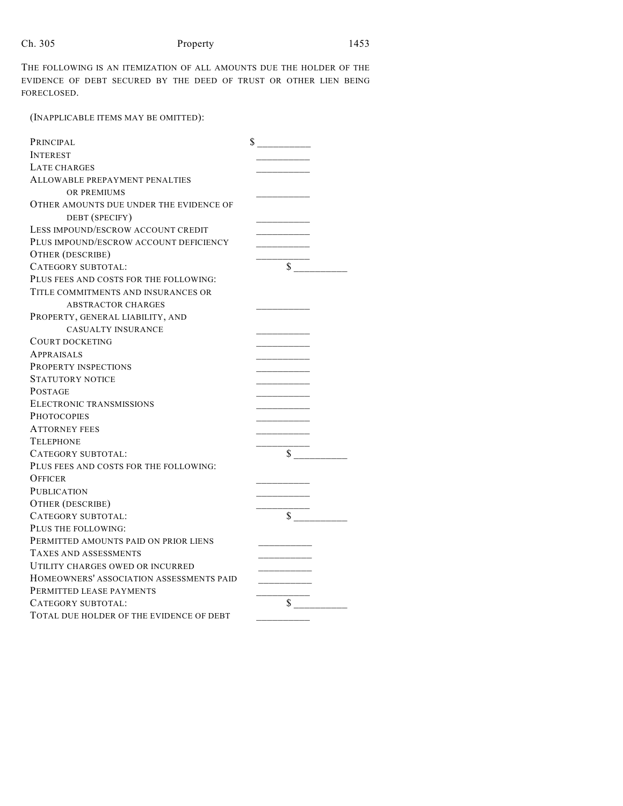THE FOLLOWING IS AN ITEMIZATION OF ALL AMOUNTS DUE THE HOLDER OF THE EVIDENCE OF DEBT SECURED BY THE DEED OF TRUST OR OTHER LIEN BEING FORECLOSED.

(INAPPLICABLE ITEMS MAY BE OMITTED):

| PRINCIPAL                                | $\mathbb{S}$ |  |
|------------------------------------------|--------------|--|
| <b>INTEREST</b>                          |              |  |
| LATE CHARGES                             |              |  |
| ALLOWABLE PREPAYMENT PENALTIES           |              |  |
| OR PREMIUMS                              |              |  |
| OTHER AMOUNTS DUE UNDER THE EVIDENCE OF  |              |  |
| DEBT (SPECIFY)                           |              |  |
| LESS IMPOUND/ESCROW ACCOUNT CREDIT       |              |  |
| PLUS IMPOUND/ESCROW ACCOUNT DEFICIENCY   |              |  |
| OTHER (DESCRIBE)                         |              |  |
| CATEGORY SUBTOTAL:                       | \$           |  |
| PLUS FEES AND COSTS FOR THE FOLLOWING:   |              |  |
| TITLE COMMITMENTS AND INSURANCES OR      |              |  |
| <b>ABSTRACTOR CHARGES</b>                |              |  |
| PROPERTY, GENERAL LIABILITY, AND         |              |  |
| <b>CASUALTY INSURANCE</b>                |              |  |
| <b>COURT DOCKETING</b>                   |              |  |
| APPRAISALS                               |              |  |
| PROPERTY INSPECTIONS                     |              |  |
| <b>STATUTORY NOTICE</b>                  |              |  |
| <b>POSTAGE</b>                           |              |  |
| ELECTRONIC TRANSMISSIONS                 |              |  |
| <b>PHOTOCOPIES</b>                       |              |  |
| <b>ATTORNEY FEES</b>                     |              |  |
| <b>TELEPHONE</b>                         |              |  |
| CATEGORY SUBTOTAL:                       | $\mathbb{S}$ |  |
| PLUS FEES AND COSTS FOR THE FOLLOWING:   |              |  |
| <b>OFFICER</b>                           |              |  |
| <b>PUBLICATION</b>                       |              |  |
| <b>OTHER (DESCRIBE)</b>                  |              |  |
| CATEGORY SUBTOTAL:                       | $\mathbb{S}$ |  |
| PLUS THE FOLLOWING:                      |              |  |
| PERMITTED AMOUNTS PAID ON PRIOR LIENS    |              |  |
| <b>TAXES AND ASSESSMENTS</b>             |              |  |
| UTILITY CHARGES OWED OR INCURRED         |              |  |
| HOMEOWNERS' ASSOCIATION ASSESSMENTS PAID |              |  |
| PERMITTED LEASE PAYMENTS                 |              |  |
| CATEGORY SUBTOTAL:                       | \$           |  |
| TOTAL DUE HOLDER OF THE EVIDENCE OF DEBT |              |  |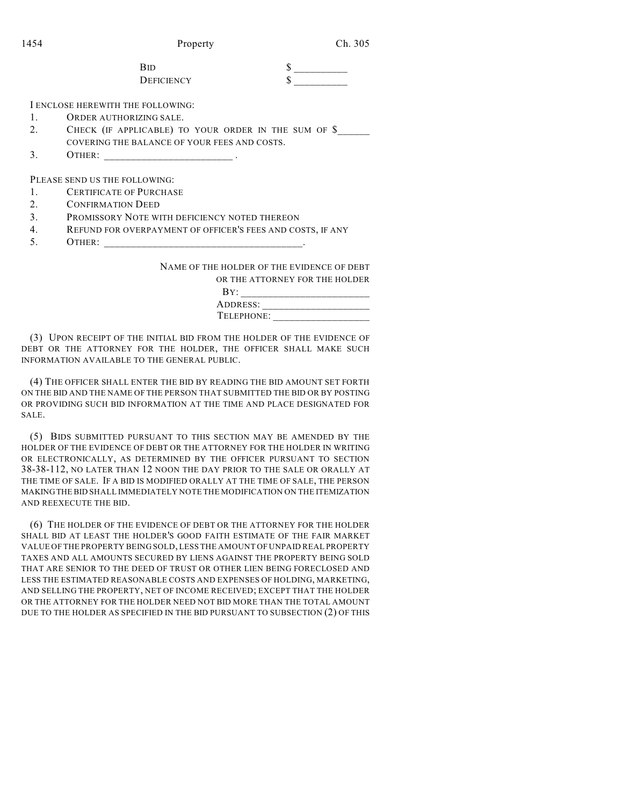| 1454 | Property                                             |  | Ch. 305 |  |
|------|------------------------------------------------------|--|---------|--|
|      | <b>BID</b>                                           |  |         |  |
|      | <b>DEFICIENCY</b>                                    |  |         |  |
|      | I ENCLOSE HEREWITH THE FOLLOWING:                    |  |         |  |
|      | ORDER AUTHORIZING SALE.                              |  |         |  |
| 2.   | CHECK (IF APPLICABLE) TO YOUR ORDER IN THE SUM OF \$ |  |         |  |
|      | COVERING THE BALANCE OF YOUR FEES AND COSTS.         |  |         |  |
| 3.   | OTHER: $\qquad \qquad$                               |  |         |  |
|      |                                                      |  |         |  |
|      | PLEASE SEND US THE FOLLOWING:                        |  |         |  |
|      | <b>CERTIFICATE OF PURCHASE</b>                       |  |         |  |
| 2.   | <b>CONFIRMATION DEED</b>                             |  |         |  |
| 3.   | PROMISSORY NOTE WITH DEFICIENCY NOTED THEREON        |  |         |  |

- 4. REFUND FOR OVERPAYMENT OF OFFICER'S FEES AND COSTS, IF ANY
- $5.$  OTHER:

NAME OF THE HOLDER OF THE EVIDENCE OF DEBT

| <u>UR HIL AH LURRET TUR HIL HULDLR</u> |
|----------------------------------------|
| BY:                                    |
| ADDRESS:                               |
| TELEPHONE:                             |

OR THE ATTORNEY FOR THE HOLDER

(3) UPON RECEIPT OF THE INITIAL BID FROM THE HOLDER OF THE EVIDENCE OF DEBT OR THE ATTORNEY FOR THE HOLDER, THE OFFICER SHALL MAKE SUCH INFORMATION AVAILABLE TO THE GENERAL PUBLIC.

(4) THE OFFICER SHALL ENTER THE BID BY READING THE BID AMOUNT SET FORTH ON THE BID AND THE NAME OF THE PERSON THAT SUBMITTED THE BID OR BY POSTING OR PROVIDING SUCH BID INFORMATION AT THE TIME AND PLACE DESIGNATED FOR SALE.

(5) BIDS SUBMITTED PURSUANT TO THIS SECTION MAY BE AMENDED BY THE HOLDER OF THE EVIDENCE OF DEBT OR THE ATTORNEY FOR THE HOLDER IN WRITING OR ELECTRONICALLY, AS DETERMINED BY THE OFFICER PURSUANT TO SECTION 38-38-112, NO LATER THAN 12 NOON THE DAY PRIOR TO THE SALE OR ORALLY AT THE TIME OF SALE. IF A BID IS MODIFIED ORALLY AT THE TIME OF SALE, THE PERSON MAKING THE BID SHALL IMMEDIATELY NOTE THE MODIFICATION ON THE ITEMIZATION AND REEXECUTE THE BID.

(6) THE HOLDER OF THE EVIDENCE OF DEBT OR THE ATTORNEY FOR THE HOLDER SHALL BID AT LEAST THE HOLDER'S GOOD FAITH ESTIMATE OF THE FAIR MARKET VALUE OF THE PROPERTY BEING SOLD, LESS THE AMOUNT OF UNPAID REAL PROPERTY TAXES AND ALL AMOUNTS SECURED BY LIENS AGAINST THE PROPERTY BEING SOLD THAT ARE SENIOR TO THE DEED OF TRUST OR OTHER LIEN BEING FORECLOSED AND LESS THE ESTIMATED REASONABLE COSTS AND EXPENSES OF HOLDING, MARKETING, AND SELLING THE PROPERTY, NET OF INCOME RECEIVED; EXCEPT THAT THE HOLDER OR THE ATTORNEY FOR THE HOLDER NEED NOT BID MORE THAN THE TOTAL AMOUNT DUE TO THE HOLDER AS SPECIFIED IN THE BID PURSUANT TO SUBSECTION (2) OF THIS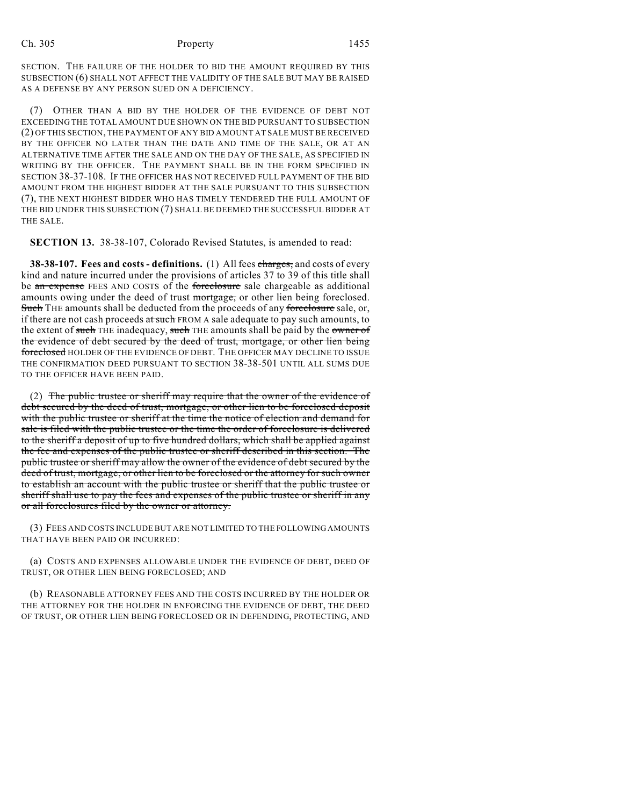SECTION. THE FAILURE OF THE HOLDER TO BID THE AMOUNT REQUIRED BY THIS SUBSECTION (6) SHALL NOT AFFECT THE VALIDITY OF THE SALE BUT MAY BE RAISED AS A DEFENSE BY ANY PERSON SUED ON A DEFICIENCY.

(7) OTHER THAN A BID BY THE HOLDER OF THE EVIDENCE OF DEBT NOT EXCEEDING THE TOTAL AMOUNT DUE SHOWN ON THE BID PURSUANT TO SUBSECTION (2) OF THIS SECTION, THE PAYMENT OF ANY BID AMOUNT AT SALE MUST BE RECEIVED BY THE OFFICER NO LATER THAN THE DATE AND TIME OF THE SALE, OR AT AN ALTERNATIVE TIME AFTER THE SALE AND ON THE DAY OF THE SALE, AS SPECIFIED IN WRITING BY THE OFFICER. THE PAYMENT SHALL BE IN THE FORM SPECIFIED IN SECTION 38-37-108. IF THE OFFICER HAS NOT RECEIVED FULL PAYMENT OF THE BID AMOUNT FROM THE HIGHEST BIDDER AT THE SALE PURSUANT TO THIS SUBSECTION (7), THE NEXT HIGHEST BIDDER WHO HAS TIMELY TENDERED THE FULL AMOUNT OF THE BID UNDER THIS SUBSECTION (7) SHALL BE DEEMED THE SUCCESSFUL BIDDER AT THE SALE.

**SECTION 13.** 38-38-107, Colorado Revised Statutes, is amended to read:

**38-38-107. Fees and costs - definitions.** (1) All fees charges, and costs of every kind and nature incurred under the provisions of articles 37 to 39 of this title shall be an expense FEES AND COSTS of the foreclosure sale chargeable as additional amounts owing under the deed of trust mortgage, or other lien being foreclosed. Such THE amounts shall be deducted from the proceeds of any foreclosure sale, or, if there are not cash proceeds at such FROM A sale adequate to pay such amounts, to the extent of such THE inadequacy, such THE amounts shall be paid by the owner of the evidence of debt secured by the deed of trust, mortgage, or other lien being foreclosed HOLDER OF THE EVIDENCE OF DEBT. THE OFFICER MAY DECLINE TO ISSUE THE CONFIRMATION DEED PURSUANT TO SECTION 38-38-501 UNTIL ALL SUMS DUE TO THE OFFICER HAVE BEEN PAID.

(2) The public trustee or sheriff may require that the owner of the evidence of debt secured by the deed of trust, mortgage, or other lien to be foreclosed deposit with the public trustee or sheriff at the time the notice of election and demand for sale is filed with the public trustee or the time the order of foreclosure is delivered to the sheriff a deposit of up to five hundred dollars, which shall be applied against the fee and expenses of the public trustee or sheriff described in this section. The public trustee or sheriff may allow the owner of the evidence of debt secured by the deed of trust, mortgage, or other lien to be foreclosed or the attorney for such owner to establish an account with the public trustee or sheriff that the public trustee or sheriff shall use to pay the fees and expenses of the public trustee or sheriff in any or all foreclosures filed by the owner or attorney.

(3) FEES AND COSTS INCLUDE BUT ARE NOT LIMITED TO THE FOLLOWING AMOUNTS THAT HAVE BEEN PAID OR INCURRED:

(a) COSTS AND EXPENSES ALLOWABLE UNDER THE EVIDENCE OF DEBT, DEED OF TRUST, OR OTHER LIEN BEING FORECLOSED; AND

(b) REASONABLE ATTORNEY FEES AND THE COSTS INCURRED BY THE HOLDER OR THE ATTORNEY FOR THE HOLDER IN ENFORCING THE EVIDENCE OF DEBT, THE DEED OF TRUST, OR OTHER LIEN BEING FORECLOSED OR IN DEFENDING, PROTECTING, AND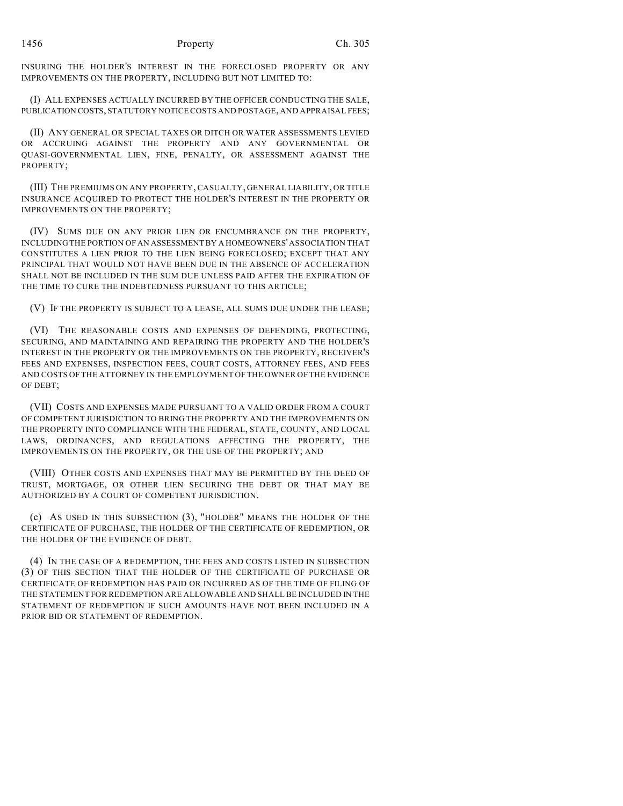INSURING THE HOLDER'S INTEREST IN THE FORECLOSED PROPERTY OR ANY IMPROVEMENTS ON THE PROPERTY, INCLUDING BUT NOT LIMITED TO:

(I) ALL EXPENSES ACTUALLY INCURRED BY THE OFFICER CONDUCTING THE SALE, PUBLICATION COSTS, STATUTORY NOTICE COSTS AND POSTAGE, AND APPRAISAL FEES;

(II) ANY GENERAL OR SPECIAL TAXES OR DITCH OR WATER ASSESSMENTS LEVIED OR ACCRUING AGAINST THE PROPERTY AND ANY GOVERNMENTAL OR QUASI-GOVERNMENTAL LIEN, FINE, PENALTY, OR ASSESSMENT AGAINST THE PROPERTY;

(III) THE PREMIUMS ON ANY PROPERTY, CASUALTY, GENERAL LIABILITY, OR TITLE INSURANCE ACQUIRED TO PROTECT THE HOLDER'S INTEREST IN THE PROPERTY OR IMPROVEMENTS ON THE PROPERTY;

(IV) SUMS DUE ON ANY PRIOR LIEN OR ENCUMBRANCE ON THE PROPERTY, INCLUDING THE PORTION OF AN ASSESSMENT BY A HOMEOWNERS' ASSOCIATION THAT CONSTITUTES A LIEN PRIOR TO THE LIEN BEING FORECLOSED; EXCEPT THAT ANY PRINCIPAL THAT WOULD NOT HAVE BEEN DUE IN THE ABSENCE OF ACCELERATION SHALL NOT BE INCLUDED IN THE SUM DUE UNLESS PAID AFTER THE EXPIRATION OF THE TIME TO CURE THE INDEBTEDNESS PURSUANT TO THIS ARTICLE;

(V) IF THE PROPERTY IS SUBJECT TO A LEASE, ALL SUMS DUE UNDER THE LEASE;

(VI) THE REASONABLE COSTS AND EXPENSES OF DEFENDING, PROTECTING, SECURING, AND MAINTAINING AND REPAIRING THE PROPERTY AND THE HOLDER'S INTEREST IN THE PROPERTY OR THE IMPROVEMENTS ON THE PROPERTY, RECEIVER'S FEES AND EXPENSES, INSPECTION FEES, COURT COSTS, ATTORNEY FEES, AND FEES AND COSTS OF THE ATTORNEY IN THE EMPLOYMENT OF THE OWNER OF THE EVIDENCE OF DEBT;

(VII) COSTS AND EXPENSES MADE PURSUANT TO A VALID ORDER FROM A COURT OF COMPETENT JURISDICTION TO BRING THE PROPERTY AND THE IMPROVEMENTS ON THE PROPERTY INTO COMPLIANCE WITH THE FEDERAL, STATE, COUNTY, AND LOCAL LAWS, ORDINANCES, AND REGULATIONS AFFECTING THE PROPERTY, THE IMPROVEMENTS ON THE PROPERTY, OR THE USE OF THE PROPERTY; AND

(VIII) OTHER COSTS AND EXPENSES THAT MAY BE PERMITTED BY THE DEED OF TRUST, MORTGAGE, OR OTHER LIEN SECURING THE DEBT OR THAT MAY BE AUTHORIZED BY A COURT OF COMPETENT JURISDICTION.

(c) AS USED IN THIS SUBSECTION (3), "HOLDER" MEANS THE HOLDER OF THE CERTIFICATE OF PURCHASE, THE HOLDER OF THE CERTIFICATE OF REDEMPTION, OR THE HOLDER OF THE EVIDENCE OF DEBT.

(4) IN THE CASE OF A REDEMPTION, THE FEES AND COSTS LISTED IN SUBSECTION (3) OF THIS SECTION THAT THE HOLDER OF THE CERTIFICATE OF PURCHASE OR CERTIFICATE OF REDEMPTION HAS PAID OR INCURRED AS OF THE TIME OF FILING OF THE STATEMENT FOR REDEMPTION ARE ALLOWABLE AND SHALL BE INCLUDED IN THE STATEMENT OF REDEMPTION IF SUCH AMOUNTS HAVE NOT BEEN INCLUDED IN A PRIOR BID OR STATEMENT OF REDEMPTION.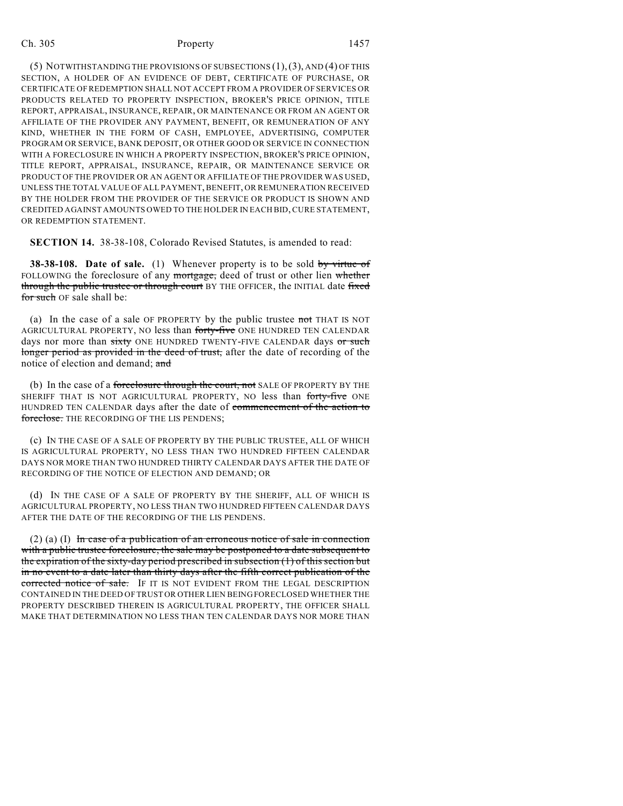(5) NOTWITHSTANDING THE PROVISIONS OF SUBSECTIONS (1),(3), AND (4) OF THIS SECTION, A HOLDER OF AN EVIDENCE OF DEBT, CERTIFICATE OF PURCHASE, OR CERTIFICATE OFREDEMPTION SHALL NOT ACCEPT FROM A PROVIDER OF SERVICES OR PRODUCTS RELATED TO PROPERTY INSPECTION, BROKER'S PRICE OPINION, TITLE REPORT, APPRAISAL, INSURANCE, REPAIR, OR MAINTENANCE OR FROM AN AGENT OR AFFILIATE OF THE PROVIDER ANY PAYMENT, BENEFIT, OR REMUNERATION OF ANY KIND, WHETHER IN THE FORM OF CASH, EMPLOYEE, ADVERTISING, COMPUTER PROGRAM OR SERVICE, BANK DEPOSIT, OR OTHER GOOD OR SERVICE IN CONNECTION WITH A FORECLOSURE IN WHICH A PROPERTY INSPECTION, BROKER'S PRICE OPINION, TITLE REPORT, APPRAISAL, INSURANCE, REPAIR, OR MAINTENANCE SERVICE OR PRODUCT OF THE PROVIDER OR AN AGENT OR AFFILIATE OF THE PROVIDER WAS USED, UNLESS THE TOTAL VALUE OF ALL PAYMENT, BENEFIT, OR REMUNERATION RECEIVED BY THE HOLDER FROM THE PROVIDER OF THE SERVICE OR PRODUCT IS SHOWN AND CREDITED AGAINST AMOUNTS OWED TO THE HOLDER IN EACH BID, CURE STATEMENT, OR REDEMPTION STATEMENT.

**SECTION 14.** 38-38-108, Colorado Revised Statutes, is amended to read:

**38-38-108.** Date of sale. (1) Whenever property is to be sold by virtue of FOLLOWING the foreclosure of any mortgage, deed of trust or other lien whether through the public trustee or through court BY THE OFFICER, the INITIAL date fixed for such OF sale shall be:

(a) In the case of a sale OF PROPERTY by the public trustee not THAT IS NOT AGRICULTURAL PROPERTY, NO less than forty-five ONE HUNDRED TEN CALENDAR days nor more than sixty ONE HUNDRED TWENTY-FIVE CALENDAR days or such longer period as provided in the deed of trust, after the date of recording of the notice of election and demand; and

(b) In the case of a foreclosure through the court, not SALE OF PROPERTY BY THE SHERIFF THAT IS NOT AGRICULTURAL PROPERTY, NO less than forty-five ONE HUNDRED TEN CALENDAR days after the date of commencement of the action to foreclose. THE RECORDING OF THE LIS PENDENS;

(c) IN THE CASE OF A SALE OF PROPERTY BY THE PUBLIC TRUSTEE, ALL OF WHICH IS AGRICULTURAL PROPERTY, NO LESS THAN TWO HUNDRED FIFTEEN CALENDAR DAYS NOR MORE THAN TWO HUNDRED THIRTY CALENDAR DAYS AFTER THE DATE OF RECORDING OF THE NOTICE OF ELECTION AND DEMAND; OR

(d) IN THE CASE OF A SALE OF PROPERTY BY THE SHERIFF, ALL OF WHICH IS AGRICULTURAL PROPERTY, NO LESS THAN TWO HUNDRED FIFTEEN CALENDAR DAYS AFTER THE DATE OF THE RECORDING OF THE LIS PENDENS.

(2) (a) (I) In case of a publication of an erroneous notice of sale in connection with a public trustee foreclosure, the sale may be postponed to a date subsequent to the expiration of the sixty-day period prescribed in subsection (1) of this section but in no event to a date later than thirty days after the fifth correct publication of the corrected notice of sale. IF IT IS NOT EVIDENT FROM THE LEGAL DESCRIPTION CONTAINED IN THE DEED OF TRUST OR OTHER LIEN BEING FORECLOSED WHETHER THE PROPERTY DESCRIBED THEREIN IS AGRICULTURAL PROPERTY, THE OFFICER SHALL MAKE THAT DETERMINATION NO LESS THAN TEN CALENDAR DAYS NOR MORE THAN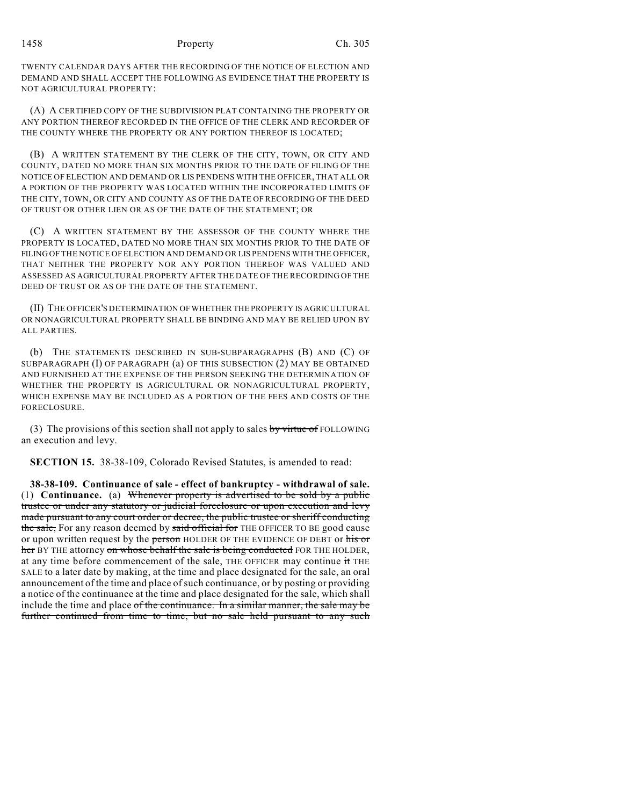TWENTY CALENDAR DAYS AFTER THE RECORDING OF THE NOTICE OF ELECTION AND DEMAND AND SHALL ACCEPT THE FOLLOWING AS EVIDENCE THAT THE PROPERTY IS NOT AGRICULTURAL PROPERTY:

(A) A CERTIFIED COPY OF THE SUBDIVISION PLAT CONTAINING THE PROPERTY OR ANY PORTION THEREOF RECORDED IN THE OFFICE OF THE CLERK AND RECORDER OF THE COUNTY WHERE THE PROPERTY OR ANY PORTION THEREOF IS LOCATED;

(B) A WRITTEN STATEMENT BY THE CLERK OF THE CITY, TOWN, OR CITY AND COUNTY, DATED NO MORE THAN SIX MONTHS PRIOR TO THE DATE OF FILING OF THE NOTICE OF ELECTION AND DEMAND OR LIS PENDENS WITH THE OFFICER, THAT ALL OR A PORTION OF THE PROPERTY WAS LOCATED WITHIN THE INCORPORATED LIMITS OF THE CITY, TOWN, OR CITY AND COUNTY AS OF THE DATE OF RECORDING OF THE DEED OF TRUST OR OTHER LIEN OR AS OF THE DATE OF THE STATEMENT; OR

(C) A WRITTEN STATEMENT BY THE ASSESSOR OF THE COUNTY WHERE THE PROPERTY IS LOCATED, DATED NO MORE THAN SIX MONTHS PRIOR TO THE DATE OF FILING OF THE NOTICE OF ELECTION AND DEMAND OR LIS PENDENS WITH THE OFFICER, THAT NEITHER THE PROPERTY NOR ANY PORTION THEREOF WAS VALUED AND ASSESSED AS AGRICULTURAL PROPERTY AFTER THE DATE OF THE RECORDING OF THE DEED OF TRUST OR AS OF THE DATE OF THE STATEMENT.

(II) THE OFFICER'S DETERMINATION OF WHETHER THE PROPERTY IS AGRICULTURAL OR NONAGRICULTURAL PROPERTY SHALL BE BINDING AND MAY BE RELIED UPON BY ALL PARTIES.

(b) THE STATEMENTS DESCRIBED IN SUB-SUBPARAGRAPHS (B) AND (C) OF SUBPARAGRAPH (I) OF PARAGRAPH (a) OF THIS SUBSECTION (2) MAY BE OBTAINED AND FURNISHED AT THE EXPENSE OF THE PERSON SEEKING THE DETERMINATION OF WHETHER THE PROPERTY IS AGRICULTURAL OR NONAGRICULTURAL PROPERTY, WHICH EXPENSE MAY BE INCLUDED AS A PORTION OF THE FEES AND COSTS OF THE FORECLOSURE.

(3) The provisions of this section shall not apply to sales by virtue of FOLLOWING an execution and levy.

**SECTION 15.** 38-38-109, Colorado Revised Statutes, is amended to read:

**38-38-109. Continuance of sale - effect of bankruptcy - withdrawal of sale.** (1) **Continuance.** (a) Whenever property is advertised to be sold by a public trustee or under any statutory or judicial foreclosure or upon execution and levy made pursuant to any court order or decree, the public trustee or sheriff conducting the sale, For any reason deemed by said official for THE OFFICER TO BE good cause or upon written request by the person HOLDER OF THE EVIDENCE OF DEBT or his or her BY THE attorney on whose behalf the sale is being conducted FOR THE HOLDER, at any time before commencement of the sale, THE OFFICER may continue it THE SALE to a later date by making, at the time and place designated for the sale, an oral announcement of the time and place of such continuance, or by posting or providing a notice of the continuance at the time and place designated for the sale, which shall include the time and place of the continuance. In a similar manner, the sale may be further continued from time to time, but no sale held pursuant to any such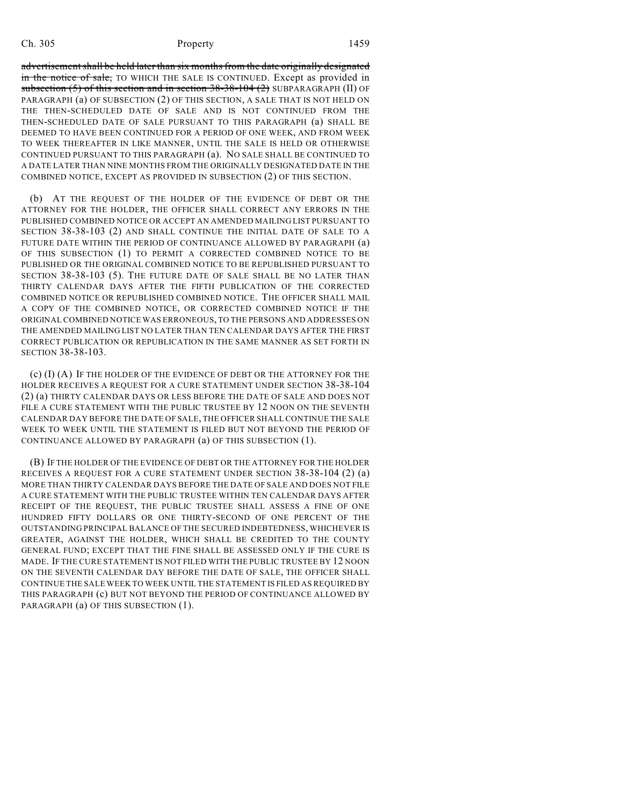advertisement shall be held later than six months from the date originally designated in the notice of sale, TO WHICH THE SALE IS CONTINUED. Except as provided in subsection  $(5)$  of this section and in section  $38-38-104(2)$  SUBPARAGRAPH (II) OF PARAGRAPH (a) OF SUBSECTION (2) OF THIS SECTION, A SALE THAT IS NOT HELD ON THE THEN-SCHEDULED DATE OF SALE AND IS NOT CONTINUED FROM THE THEN-SCHEDULED DATE OF SALE PURSUANT TO THIS PARAGRAPH (a) SHALL BE DEEMED TO HAVE BEEN CONTINUED FOR A PERIOD OF ONE WEEK, AND FROM WEEK TO WEEK THEREAFTER IN LIKE MANNER, UNTIL THE SALE IS HELD OR OTHERWISE CONTINUED PURSUANT TO THIS PARAGRAPH (a). NO SALE SHALL BE CONTINUED TO A DATE LATER THAN NINE MONTHS FROM THE ORIGINALLY DESIGNATED DATE IN THE COMBINED NOTICE, EXCEPT AS PROVIDED IN SUBSECTION (2) OF THIS SECTION.

(b) AT THE REQUEST OF THE HOLDER OF THE EVIDENCE OF DEBT OR THE ATTORNEY FOR THE HOLDER, THE OFFICER SHALL CORRECT ANY ERRORS IN THE PUBLISHED COMBINED NOTICE OR ACCEPT AN AMENDED MAILING LIST PURSUANT TO SECTION 38-38-103 (2) AND SHALL CONTINUE THE INITIAL DATE OF SALE TO A FUTURE DATE WITHIN THE PERIOD OF CONTINUANCE ALLOWED BY PARAGRAPH (a) OF THIS SUBSECTION (1) TO PERMIT A CORRECTED COMBINED NOTICE TO BE PUBLISHED OR THE ORIGINAL COMBINED NOTICE TO BE REPUBLISHED PURSUANT TO SECTION 38-38-103 (5). THE FUTURE DATE OF SALE SHALL BE NO LATER THAN THIRTY CALENDAR DAYS AFTER THE FIFTH PUBLICATION OF THE CORRECTED COMBINED NOTICE OR REPUBLISHED COMBINED NOTICE. THE OFFICER SHALL MAIL A COPY OF THE COMBINED NOTICE, OR CORRECTED COMBINED NOTICE IF THE ORIGINAL COMBINED NOTICE WAS ERRONEOUS, TO THE PERSONS AND ADDRESSES ON THE AMENDED MAILING LIST NO LATER THAN TEN CALENDAR DAYS AFTER THE FIRST CORRECT PUBLICATION OR REPUBLICATION IN THE SAME MANNER AS SET FORTH IN SECTION 38-38-103.

(c) (I) (A) IF THE HOLDER OF THE EVIDENCE OF DEBT OR THE ATTORNEY FOR THE HOLDER RECEIVES A REQUEST FOR A CURE STATEMENT UNDER SECTION 38-38-104 (2) (a) THIRTY CALENDAR DAYS OR LESS BEFORE THE DATE OF SALE AND DOES NOT FILE A CURE STATEMENT WITH THE PUBLIC TRUSTEE BY 12 NOON ON THE SEVENTH CALENDAR DAY BEFORE THE DATE OF SALE, THE OFFICER SHALL CONTINUE THE SALE WEEK TO WEEK UNTIL THE STATEMENT IS FILED BUT NOT BEYOND THE PERIOD OF CONTINUANCE ALLOWED BY PARAGRAPH (a) OF THIS SUBSECTION (1).

(B) IF THE HOLDER OF THE EVIDENCE OF DEBT OR THE ATTORNEY FOR THE HOLDER RECEIVES A REQUEST FOR A CURE STATEMENT UNDER SECTION 38-38-104 (2) (a) MORE THAN THIRTY CALENDAR DAYS BEFORE THE DATE OF SALE AND DOES NOT FILE A CURE STATEMENT WITH THE PUBLIC TRUSTEE WITHIN TEN CALENDAR DAYS AFTER RECEIPT OF THE REQUEST, THE PUBLIC TRUSTEE SHALL ASSESS A FINE OF ONE HUNDRED FIFTY DOLLARS OR ONE THIRTY-SECOND OF ONE PERCENT OF THE OUTSTANDING PRINCIPAL BALANCE OF THE SECURED INDEBTEDNESS, WHICHEVER IS GREATER, AGAINST THE HOLDER, WHICH SHALL BE CREDITED TO THE COUNTY GENERAL FUND; EXCEPT THAT THE FINE SHALL BE ASSESSED ONLY IF THE CURE IS MADE. IF THE CURE STATEMENT IS NOT FILED WITH THE PUBLIC TRUSTEE BY 12 NOON ON THE SEVENTH CALENDAR DAY BEFORE THE DATE OF SALE, THE OFFICER SHALL CONTINUE THE SALE WEEK TO WEEK UNTIL THE STATEMENT IS FILED AS REQUIRED BY THIS PARAGRAPH (c) BUT NOT BEYOND THE PERIOD OF CONTINUANCE ALLOWED BY PARAGRAPH (a) OF THIS SUBSECTION (1).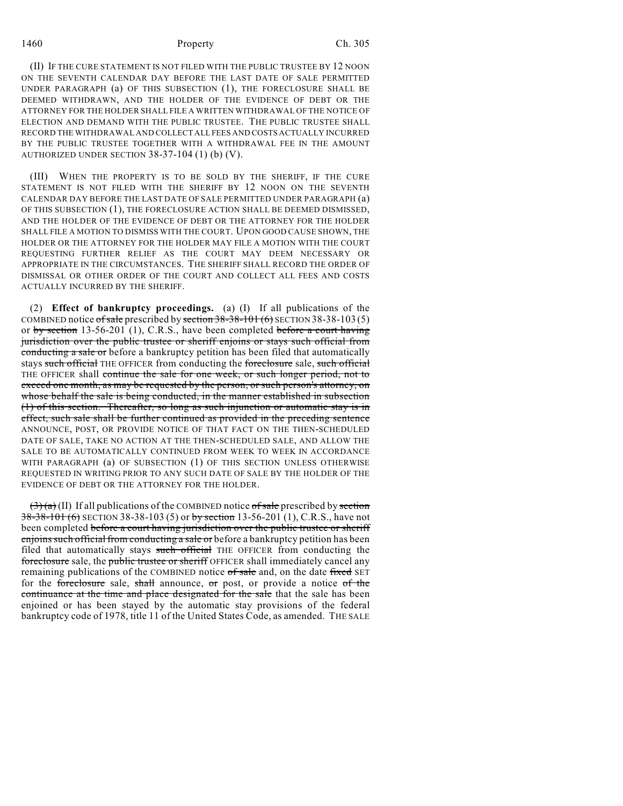1460 **Property** Ch. 305

(II) IF THE CURE STATEMENT IS NOT FILED WITH THE PUBLIC TRUSTEE BY 12 NOON ON THE SEVENTH CALENDAR DAY BEFORE THE LAST DATE OF SALE PERMITTED UNDER PARAGRAPH (a) OF THIS SUBSECTION (1), THE FORECLOSURE SHALL BE DEEMED WITHDRAWN, AND THE HOLDER OF THE EVIDENCE OF DEBT OR THE ATTORNEY FOR THE HOLDER SHALL FILE A WRITTEN WITHDRAWAL OF THE NOTICE OF ELECTION AND DEMAND WITH THE PUBLIC TRUSTEE. THE PUBLIC TRUSTEE SHALL RECORD THE WITHDRAWAL AND COLLECT ALL FEES AND COSTS ACTUALLY INCURRED BY THE PUBLIC TRUSTEE TOGETHER WITH A WITHDRAWAL FEE IN THE AMOUNT AUTHORIZED UNDER SECTION 38-37-104 (1) (b) (V).

(III) WHEN THE PROPERTY IS TO BE SOLD BY THE SHERIFF, IF THE CURE STATEMENT IS NOT FILED WITH THE SHERIFF BY 12 NOON ON THE SEVENTH CALENDAR DAY BEFORE THE LAST DATE OF SALE PERMITTED UNDER PARAGRAPH (a) OF THIS SUBSECTION (1), THE FORECLOSURE ACTION SHALL BE DEEMED DISMISSED, AND THE HOLDER OF THE EVIDENCE OF DEBT OR THE ATTORNEY FOR THE HOLDER SHALL FILE A MOTION TO DISMISS WITH THE COURT. UPON GOOD CAUSE SHOWN, THE HOLDER OR THE ATTORNEY FOR THE HOLDER MAY FILE A MOTION WITH THE COURT REQUESTING FURTHER RELIEF AS THE COURT MAY DEEM NECESSARY OR APPROPRIATE IN THE CIRCUMSTANCES. THE SHERIFF SHALL RECORD THE ORDER OF DISMISSAL OR OTHER ORDER OF THE COURT AND COLLECT ALL FEES AND COSTS ACTUALLY INCURRED BY THE SHERIFF.

(2) **Effect of bankruptcy proceedings.** (a) (I) If all publications of the COMBINED notice of sale prescribed by section  $38-38-101$  (6) SECTION 38-38-103 (5) or by section 13-56-201 (1), C.R.S., have been completed before a court having jurisdiction over the public trustee or sheriff enjoins or stays such official from conducting a sale or before a bankruptcy petition has been filed that automatically stays such official THE OFFICER from conducting the foreclosure sale, such official THE OFFICER shall continue the sale for one week, or such longer period, not to exceed one month, as may be requested by the person, or such person's attorney, on whose behalf the sale is being conducted, in the manner established in subsection (1) of this section. Thereafter, so long as such injunction or automatic stay is in effect, such sale shall be further continued as provided in the preceding sentence ANNOUNCE, POST, OR PROVIDE NOTICE OF THAT FACT ON THE THEN-SCHEDULED DATE OF SALE, TAKE NO ACTION AT THE THEN-SCHEDULED SALE, AND ALLOW THE SALE TO BE AUTOMATICALLY CONTINUED FROM WEEK TO WEEK IN ACCORDANCE WITH PARAGRAPH (a) OF SUBSECTION (1) OF THIS SECTION UNLESS OTHERWISE REQUESTED IN WRITING PRIOR TO ANY SUCH DATE OF SALE BY THE HOLDER OF THE EVIDENCE OF DEBT OR THE ATTORNEY FOR THE HOLDER.

 $(3)(a)$  (II) If all publications of the COMBINED notice of sale prescribed by section  $38-38-101$  (6) SECTION 38-38-103 (5) or by section 13-56-201 (1), C.R.S., have not been completed before a court having jurisdiction over the public trustee or sheriff enjoins such official from conducting a sale or before a bankruptcy petition has been filed that automatically stays such official THE OFFICER from conducting the foreclosure sale, the public trustee or sheriff OFFICER shall immediately cancel any remaining publications of the COMBINED notice of sale and, on the date fixed SET for the foreclosure sale, shall announce, or post, or provide a notice of the continuance at the time and place designated for the sale that the sale has been enjoined or has been stayed by the automatic stay provisions of the federal bankruptcy code of 1978, title 11 of the United States Code, as amended. THE SALE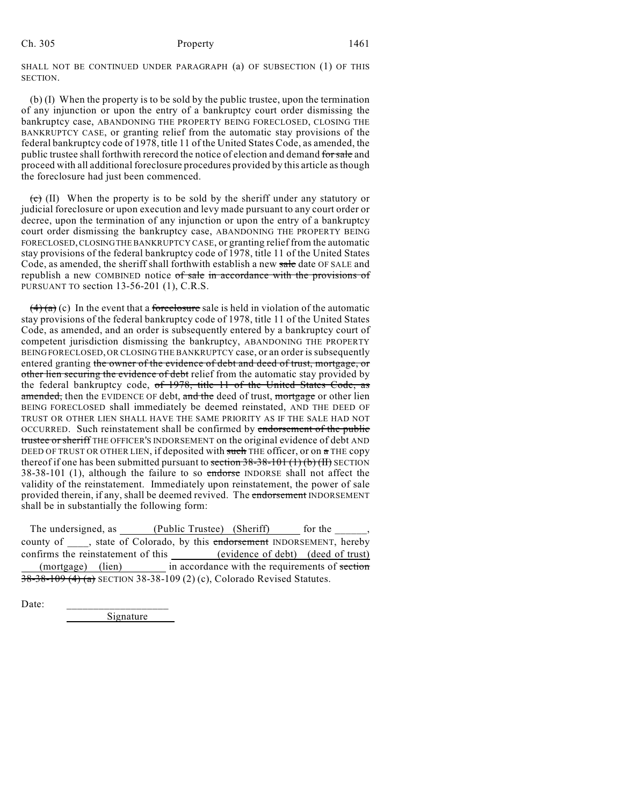SHALL NOT BE CONTINUED UNDER PARAGRAPH (a) OF SUBSECTION (1) OF THIS SECTION.

(b) (I) When the property is to be sold by the public trustee, upon the termination of any injunction or upon the entry of a bankruptcy court order dismissing the bankruptcy case, ABANDONING THE PROPERTY BEING FORECLOSED, CLOSING THE BANKRUPTCY CASE, or granting relief from the automatic stay provisions of the federal bankruptcy code of 1978, title 11 of the United States Code, as amended, the public trustee shall forthwith rerecord the notice of election and demand for sale and proceed with all additional foreclosure procedures provided by this article as though the foreclosure had just been commenced.

 $\overline{(e)}$  (II) When the property is to be sold by the sheriff under any statutory or judicial foreclosure or upon execution and levy made pursuant to any court order or decree, upon the termination of any injunction or upon the entry of a bankruptcy court order dismissing the bankruptcy case, ABANDONING THE PROPERTY BEING FORECLOSED, CLOSING THE BANKRUPTCY CASE, or granting relief from the automatic stay provisions of the federal bankruptcy code of 1978, title 11 of the United States Code, as amended, the sheriff shall forthwith establish a new sale date OF SALE and republish a new COMBINED notice of sale in accordance with the provisions of PURSUANT TO section 13-56-201 (1), C.R.S.

 $(4)(a)(c)$  In the event that a foreclosure sale is held in violation of the automatic stay provisions of the federal bankruptcy code of 1978, title 11 of the United States Code, as amended, and an order is subsequently entered by a bankruptcy court of competent jurisdiction dismissing the bankruptcy, ABANDONING THE PROPERTY BEING FORECLOSED, OR CLOSING THE BANKRUPTCY case, or an order is subsequently entered granting the owner of the evidence of debt and deed of trust, mortgage, or other lien securing the evidence of debt relief from the automatic stay provided by the federal bankruptcy code, of 1978, title 11 of the United States Code, as amended, then the EVIDENCE OF debt, and the deed of trust, mortgage or other lien BEING FORECLOSED shall immediately be deemed reinstated, AND THE DEED OF TRUST OR OTHER LIEN SHALL HAVE THE SAME PRIORITY AS IF THE SALE HAD NOT OCCURRED. Such reinstatement shall be confirmed by endorsement of the public trustee or sheriff THE OFFICER'S INDORSEMENT on the original evidence of debt AND DEED OF TRUST OR OTHER LIEN, if deposited with such THE officer, or on  $\pi$  THE copy thereof if one has been submitted pursuant to section  $38-38-101(1)(b)(H)$  SECTION 38-38-101 (1), although the failure to so endorse INDORSE shall not affect the validity of the reinstatement. Immediately upon reinstatement, the power of sale provided therein, if any, shall be deemed revived. The endorsement INDORSEMENT shall be in substantially the following form:

The undersigned, as \_\_\_\_\_\_(Public Trustee) (Sheriff) for the county of , state of Colorado, by this endorsement INDORSEMENT, hereby confirms the reinstatement of this \_\_\_\_\_\_\_ (evidence of debt) (deed of trust) (mortgage) (lien) in accordance with the requirements of section  $38-38-109$  (4) (a) SECTION 38-38-109 (2) (c), Colorado Revised Statutes.

Date:

Signature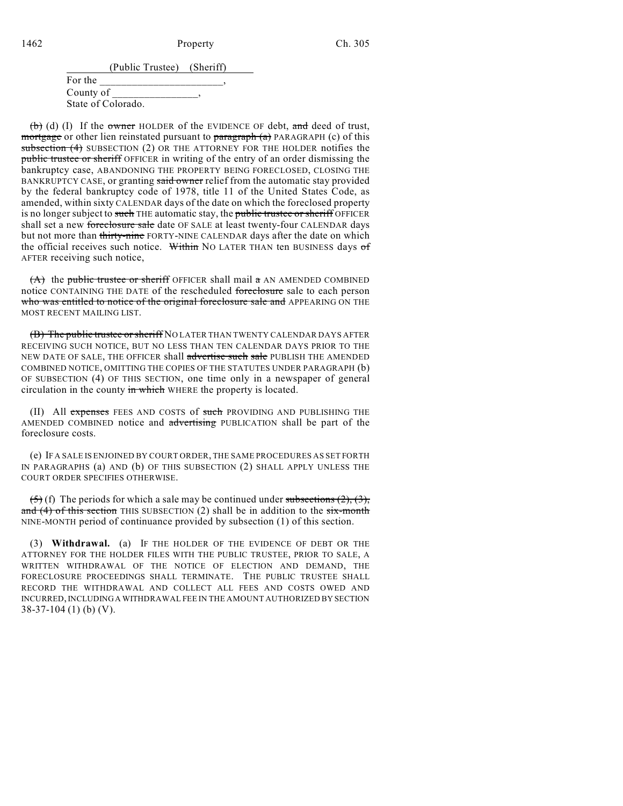|           | (Public Trustee) (Sheriff) |  |
|-----------|----------------------------|--|
| For the   |                            |  |
| County of |                            |  |
|           | State of Colorado.         |  |

(b) (d) (I) If the owner HOLDER of the EVIDENCE OF debt, and deed of trust, mortgage or other lien reinstated pursuant to paragraph  $(a)$  PARAGRAPH (c) of this subsection (4) SUBSECTION (2) OR THE ATTORNEY FOR THE HOLDER notifies the public trustee or sheriff OFFICER in writing of the entry of an order dismissing the bankruptcy case, ABANDONING THE PROPERTY BEING FORECLOSED, CLOSING THE BANKRUPTCY CASE, or granting said owner relief from the automatic stay provided by the federal bankruptcy code of 1978, title 11 of the United States Code, as amended, within sixty CALENDAR days of the date on which the foreclosed property is no longer subject to such THE automatic stay, the public trustee or sheriff OFFICER shall set a new foreclosure sale date OF SALE at least twenty-four CALENDAR days but not more than thirty-nine FORTY-NINE CALENDAR days after the date on which the official receives such notice. Within NO LATER THAN ten BUSINESS days of AFTER receiving such notice,

 $(A)$  the public trustee or sheriff OFFICER shall mail  $\alpha$  AN AMENDED COMBINED notice CONTAINING THE DATE of the rescheduled foreclosure sale to each person who was entitled to notice of the original foreclosure sale and APPEARING ON THE MOST RECENT MAILING LIST.

(B) The public trustee or sheriff NO LATER THAN TWENTY CALENDAR DAYS AFTER RECEIVING SUCH NOTICE, BUT NO LESS THAN TEN CALENDAR DAYS PRIOR TO THE NEW DATE OF SALE, THE OFFICER shall advertise such sale PUBLISH THE AMENDED COMBINED NOTICE, OMITTING THE COPIES OF THE STATUTES UNDER PARAGRAPH (b) OF SUBSECTION (4) OF THIS SECTION, one time only in a newspaper of general circulation in the county in which WHERE the property is located.

(II) All expenses FEES AND COSTS of such PROVIDING AND PUBLISHING THE AMENDED COMBINED notice and advertising PUBLICATION shall be part of the foreclosure costs.

(e) IF A SALE IS ENJOINED BY COURT ORDER, THE SAME PROCEDURES AS SET FORTH IN PARAGRAPHS (a) AND (b) OF THIS SUBSECTION (2) SHALL APPLY UNLESS THE COURT ORDER SPECIFIES OTHERWISE.

 $(5)$  (f) The periods for which a sale may be continued under subsections  $(2)$ ,  $(3)$ , and  $(4)$  of this section THIS SUBSECTION (2) shall be in addition to the  $six$ -month NINE-MONTH period of continuance provided by subsection (1) of this section.

(3) **Withdrawal.** (a) IF THE HOLDER OF THE EVIDENCE OF DEBT OR THE ATTORNEY FOR THE HOLDER FILES WITH THE PUBLIC TRUSTEE, PRIOR TO SALE, A WRITTEN WITHDRAWAL OF THE NOTICE OF ELECTION AND DEMAND, THE FORECLOSURE PROCEEDINGS SHALL TERMINATE. THE PUBLIC TRUSTEE SHALL RECORD THE WITHDRAWAL AND COLLECT ALL FEES AND COSTS OWED AND INCURRED, INCLUDING A WITHDRAWAL FEE IN THE AMOUNT AUTHORIZED BY SECTION 38-37-104 (1) (b) (V).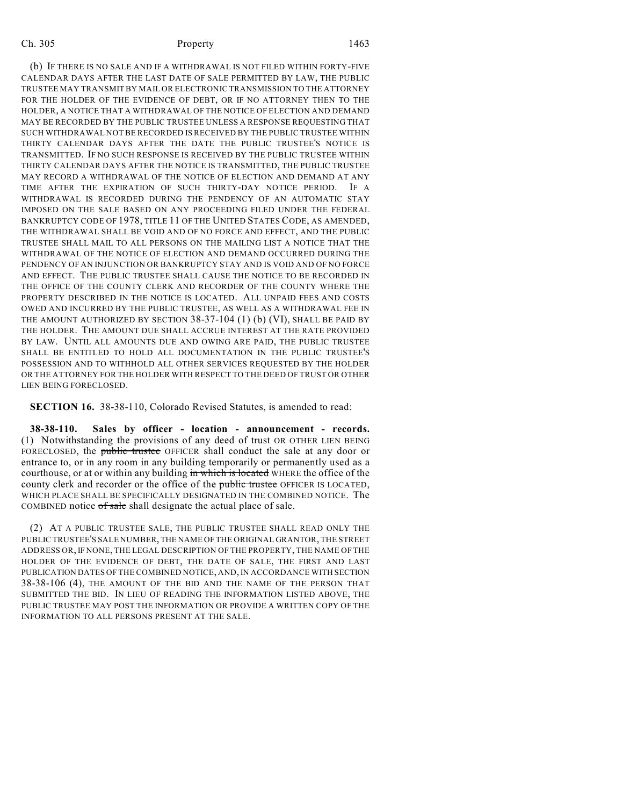(b) IF THERE IS NO SALE AND IF A WITHDRAWAL IS NOT FILED WITHIN FORTY-FIVE CALENDAR DAYS AFTER THE LAST DATE OF SALE PERMITTED BY LAW, THE PUBLIC TRUSTEE MAY TRANSMIT BY MAIL OR ELECTRONIC TRANSMISSION TO THE ATTORNEY FOR THE HOLDER OF THE EVIDENCE OF DEBT, OR IF NO ATTORNEY THEN TO THE HOLDER, A NOTICE THAT A WITHDRAWAL OF THE NOTICE OF ELECTION AND DEMAND MAY BE RECORDED BY THE PUBLIC TRUSTEE UNLESS A RESPONSE REQUESTING THAT SUCH WITHDRAWAL NOT BE RECORDED IS RECEIVED BY THE PUBLIC TRUSTEE WITHIN THIRTY CALENDAR DAYS AFTER THE DATE THE PUBLIC TRUSTEE'S NOTICE IS TRANSMITTED. IF NO SUCH RESPONSE IS RECEIVED BY THE PUBLIC TRUSTEE WITHIN THIRTY CALENDAR DAYS AFTER THE NOTICE IS TRANSMITTED, THE PUBLIC TRUSTEE MAY RECORD A WITHDRAWAL OF THE NOTICE OF ELECTION AND DEMAND AT ANY TIME AFTER THE EXPIRATION OF SUCH THIRTY-DAY NOTICE PERIOD. IF A WITHDRAWAL IS RECORDED DURING THE PENDENCY OF AN AUTOMATIC STAY IMPOSED ON THE SALE BASED ON ANY PROCEEDING FILED UNDER THE FEDERAL BANKRUPTCY CODE OF 1978, TITLE 11 OF THE UNITED STATES CODE, AS AMENDED, THE WITHDRAWAL SHALL BE VOID AND OF NO FORCE AND EFFECT, AND THE PUBLIC TRUSTEE SHALL MAIL TO ALL PERSONS ON THE MAILING LIST A NOTICE THAT THE WITHDRAWAL OF THE NOTICE OF ELECTION AND DEMAND OCCURRED DURING THE PENDENCY OF AN INJUNCTION OR BANKRUPTCY STAY AND IS VOID AND OF NO FORCE AND EFFECT. THE PUBLIC TRUSTEE SHALL CAUSE THE NOTICE TO BE RECORDED IN THE OFFICE OF THE COUNTY CLERK AND RECORDER OF THE COUNTY WHERE THE PROPERTY DESCRIBED IN THE NOTICE IS LOCATED. ALL UNPAID FEES AND COSTS OWED AND INCURRED BY THE PUBLIC TRUSTEE, AS WELL AS A WITHDRAWAL FEE IN THE AMOUNT AUTHORIZED BY SECTION 38-37-104 (1) (b) (VI), SHALL BE PAID BY THE HOLDER. THE AMOUNT DUE SHALL ACCRUE INTEREST AT THE RATE PROVIDED BY LAW. UNTIL ALL AMOUNTS DUE AND OWING ARE PAID, THE PUBLIC TRUSTEE SHALL BE ENTITLED TO HOLD ALL DOCUMENTATION IN THE PUBLIC TRUSTEE'S POSSESSION AND TO WITHHOLD ALL OTHER SERVICES REQUESTED BY THE HOLDER OR THE ATTORNEY FOR THE HOLDER WITH RESPECT TO THE DEED OF TRUST OR OTHER LIEN BEING FORECLOSED.

**SECTION 16.** 38-38-110, Colorado Revised Statutes, is amended to read:

**38-38-110. Sales by officer - location - announcement - records.** (1) Notwithstanding the provisions of any deed of trust OR OTHER LIEN BEING FORECLOSED, the public trustee OFFICER shall conduct the sale at any door or entrance to, or in any room in any building temporarily or permanently used as a courthouse, or at or within any building in which is located WHERE the office of the county clerk and recorder or the office of the public trustee OFFICER IS LOCATED, WHICH PLACE SHALL BE SPECIFICALLY DESIGNATED IN THE COMBINED NOTICE. The COMBINED notice of sale shall designate the actual place of sale.

(2) AT A PUBLIC TRUSTEE SALE, THE PUBLIC TRUSTEE SHALL READ ONLY THE PUBLIC TRUSTEE'S SALE NUMBER, THE NAME OF THE ORIGINAL GRANTOR, THE STREET ADDRESS OR, IF NONE, THE LEGAL DESCRIPTION OF THE PROPERTY, THE NAME OF THE HOLDER OF THE EVIDENCE OF DEBT, THE DATE OF SALE, THE FIRST AND LAST PUBLICATION DATES OF THE COMBINED NOTICE, AND, IN ACCORDANCE WITH SECTION 38-38-106 (4), THE AMOUNT OF THE BID AND THE NAME OF THE PERSON THAT SUBMITTED THE BID. IN LIEU OF READING THE INFORMATION LISTED ABOVE, THE PUBLIC TRUSTEE MAY POST THE INFORMATION OR PROVIDE A WRITTEN COPY OF THE INFORMATION TO ALL PERSONS PRESENT AT THE SALE.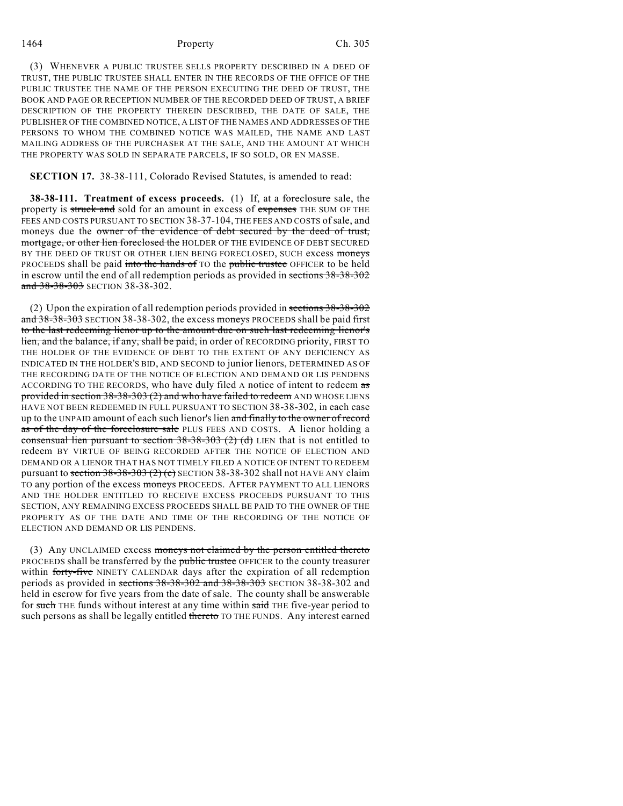# 1464 Property Ch. 305

(3) WHENEVER A PUBLIC TRUSTEE SELLS PROPERTY DESCRIBED IN A DEED OF TRUST, THE PUBLIC TRUSTEE SHALL ENTER IN THE RECORDS OF THE OFFICE OF THE PUBLIC TRUSTEE THE NAME OF THE PERSON EXECUTING THE DEED OF TRUST, THE BOOK AND PAGE OR RECEPTION NUMBER OF THE RECORDED DEED OF TRUST, A BRIEF DESCRIPTION OF THE PROPERTY THEREIN DESCRIBED, THE DATE OF SALE, THE PUBLISHER OF THE COMBINED NOTICE, A LIST OF THE NAMES AND ADDRESSES OF THE PERSONS TO WHOM THE COMBINED NOTICE WAS MAILED, THE NAME AND LAST MAILING ADDRESS OF THE PURCHASER AT THE SALE, AND THE AMOUNT AT WHICH THE PROPERTY WAS SOLD IN SEPARATE PARCELS, IF SO SOLD, OR EN MASSE.

**SECTION 17.** 38-38-111, Colorado Revised Statutes, is amended to read:

**38-38-111. Treatment of excess proceeds.** (1) If, at a foreclosure sale, the property is struck and sold for an amount in excess of expenses THE SUM OF THE FEES AND COSTS PURSUANT TO SECTION 38-37-104, THE FEES AND COSTS of sale, and moneys due the owner of the evidence of debt secured by the deed of trust, mortgage, or other lien foreclosed the HOLDER OF THE EVIDENCE OF DEBT SECURED BY THE DEED OF TRUST OR OTHER LIEN BEING FORECLOSED, SUCH excess moneys PROCEEDS shall be paid into the hands of TO the public trustee OFFICER to be held in escrow until the end of all redemption periods as provided in sections 38-38-302 and 38-38-303 SECTION 38-38-302.

(2) Upon the expiration of all redemption periods provided in sections  $38-38-302$ and 38-38-303 SECTION 38-38-302, the excess moneys PROCEEDS shall be paid first to the last redeeming lienor up to the amount due on such last redeeming lienor's lien, and the balance, if any, shall be paid, in order of RECORDING priority, FIRST TO THE HOLDER OF THE EVIDENCE OF DEBT TO THE EXTENT OF ANY DEFICIENCY AS INDICATED IN THE HOLDER'S BID, AND SECOND to junior lienors, DETERMINED AS OF THE RECORDING DATE OF THE NOTICE OF ELECTION AND DEMAND OR LIS PENDENS ACCORDING TO THE RECORDS, who have duly filed A notice of intent to redeem as provided in section 38-38-303 (2) and who have failed to redeem AND WHOSE LIENS HAVE NOT BEEN REDEEMED IN FULL PURSUANT TO SECTION 38-38-302, in each case up to the UNPAID amount of each such lienor's lien and finally to the owner of record as of the day of the foreclosure sale PLUS FEES AND COSTS. A lienor holding a consensual lien pursuant to section  $38-38-303$  (2) (d) LIEN that is not entitled to redeem BY VIRTUE OF BEING RECORDED AFTER THE NOTICE OF ELECTION AND DEMAND OR A LIENOR THAT HAS NOT TIMELY FILED A NOTICE OF INTENT TO REDEEM pursuant to section  $38-38-303$  (2) (e) SECTION 38-38-302 shall not HAVE ANY claim TO any portion of the excess moneys PROCEEDS. AFTER PAYMENT TO ALL LIENORS AND THE HOLDER ENTITLED TO RECEIVE EXCESS PROCEEDS PURSUANT TO THIS SECTION, ANY REMAINING EXCESS PROCEEDS SHALL BE PAID TO THE OWNER OF THE PROPERTY AS OF THE DATE AND TIME OF THE RECORDING OF THE NOTICE OF ELECTION AND DEMAND OR LIS PENDENS.

(3) Any UNCLAIMED excess moneys not claimed by the person entitled thereto PROCEEDS shall be transferred by the public trustee OFFICER to the county treasurer within forty-five NINETY CALENDAR days after the expiration of all redemption periods as provided in sections 38-38-302 and 38-38-303 SECTION 38-38-302 and held in escrow for five years from the date of sale. The county shall be answerable for such THE funds without interest at any time within said THE five-year period to such persons as shall be legally entitled thereto TO THE FUNDS. Any interest earned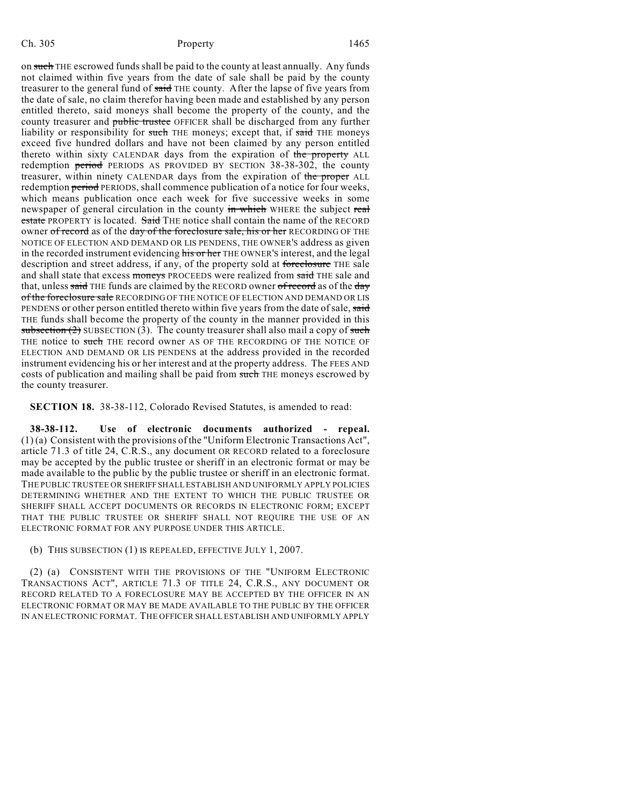on such THE escrowed funds shall be paid to the county at least annually. Any funds not claimed within five years from the date of sale shall be paid by the county treasurer to the general fund of said THE county. After the lapse of five years from the date of sale, no claim therefor having been made and established by any person entitled thereto, said moneys shall become the property of the county, and the county treasurer and public trustee OFFICER shall be discharged from any further liability or responsibility for such THE moneys; except that, if said THE moneys exceed five hundred dollars and have not been claimed by any person entitled thereto within sixty CALENDAR days from the expiration of the property ALL redemption period PERIODS AS PROVIDED BY SECTION 38-38-302, the county treasurer, within ninety CALENDAR days from the expiration of the proper ALL redemption period PERIODS, shall commence publication of a notice for four weeks, which means publication once each week for five successive weeks in some newspaper of general circulation in the county in which WHERE the subject real estate PROPERTY is located. Said THE notice shall contain the name of the RECORD owner of record as of the day of the foreclosure sale, his or her RECORDING OF THE NOTICE OF ELECTION AND DEMAND OR LIS PENDENS, THE OWNER'S address as given in the recorded instrument evidencing his or her THE OWNER'S interest, and the legal description and street address, if any, of the property sold at foreclosure THE sale and shall state that excess moneys PROCEEDS were realized from said THE sale and that, unless said THE funds are claimed by the RECORD owner of record as of the day of the foreclosure sale RECORDING OF THE NOTICE OF ELECTION AND DEMAND OR LIS PENDENS or other person entitled thereto within five years from the date of sale, said THE funds shall become the property of the county in the manner provided in this subsection  $(2)$  SUBSECTION  $(3)$ . The county treasurer shall also mail a copy of such THE notice to such THE record owner AS OF THE RECORDING OF THE NOTICE OF ELECTION AND DEMAND OR LIS PENDENS at the address provided in the recorded instrument evidencing his or her interest and at the property address. The FEES AND costs of publication and mailing shall be paid from such THE moneys escrowed by the county treasurer.

**SECTION 18.** 38-38-112, Colorado Revised Statutes, is amended to read:

**38-38-112. Use of electronic documents authorized - repeal.** (1) (a) Consistent with the provisions of the "Uniform Electronic Transactions Act", article 71.3 of title 24, C.R.S., any document OR RECORD related to a foreclosure may be accepted by the public trustee or sheriff in an electronic format or may be made available to the public by the public trustee or sheriff in an electronic format. THE PUBLIC TRUSTEE OR SHERIFF SHALL ESTABLISH AND UNIFORMLY APPLY POLICIES DETERMINING WHETHER AND THE EXTENT TO WHICH THE PUBLIC TRUSTEE OR SHERIFF SHALL ACCEPT DOCUMENTS OR RECORDS IN ELECTRONIC FORM; EXCEPT THAT THE PUBLIC TRUSTEE OR SHERIFF SHALL NOT REQUIRE THE USE OF AN ELECTRONIC FORMAT FOR ANY PURPOSE UNDER THIS ARTICLE.

(b) THIS SUBSECTION (1) IS REPEALED, EFFECTIVE JULY 1, 2007.

(2) (a) CONSISTENT WITH THE PROVISIONS OF THE "UNIFORM ELECTRONIC TRANSACTIONS ACT", ARTICLE 71.3 OF TITLE 24, C.R.S., ANY DOCUMENT OR RECORD RELATED TO A FORECLOSURE MAY BE ACCEPTED BY THE OFFICER IN AN ELECTRONIC FORMAT OR MAY BE MADE AVAILABLE TO THE PUBLIC BY THE OFFICER IN AN ELECTRONIC FORMAT. THE OFFICER SHALL ESTABLISH AND UNIFORMLY APPLY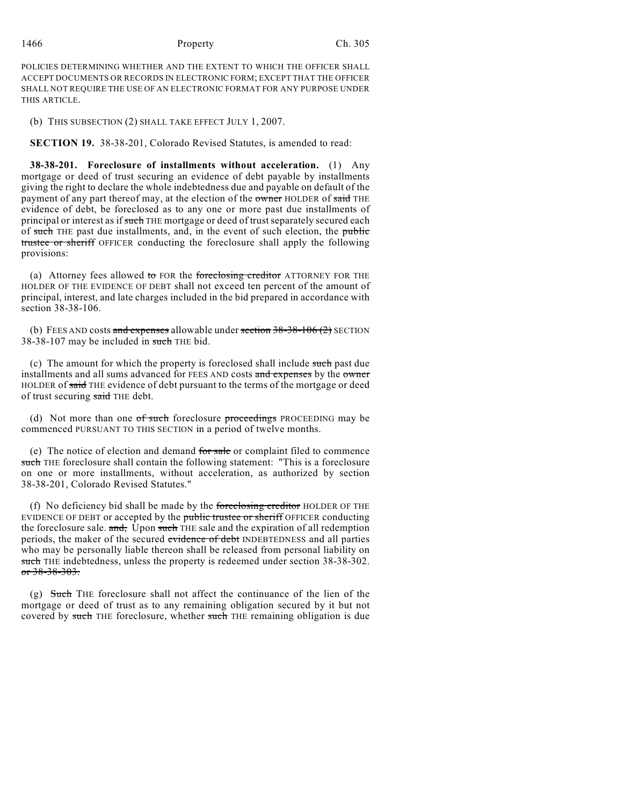# 1466 Property Ch. 305

POLICIES DETERMINING WHETHER AND THE EXTENT TO WHICH THE OFFICER SHALL ACCEPT DOCUMENTS OR RECORDS IN ELECTRONIC FORM; EXCEPT THAT THE OFFICER SHALL NOT REQUIRE THE USE OF AN ELECTRONIC FORMAT FOR ANY PURPOSE UNDER THIS ARTICLE.

(b) THIS SUBSECTION (2) SHALL TAKE EFFECT JULY 1, 2007.

**SECTION 19.** 38-38-201, Colorado Revised Statutes, is amended to read:

**38-38-201. Foreclosure of installments without acceleration.** (1) Any mortgage or deed of trust securing an evidence of debt payable by installments giving the right to declare the whole indebtedness due and payable on default of the payment of any part thereof may, at the election of the owner HOLDER of said THE evidence of debt, be foreclosed as to any one or more past due installments of principal or interest as if such THE mortgage or deed of trust separately secured each of such THE past due installments, and, in the event of such election, the public trustee or sheriff OFFICER conducting the foreclosure shall apply the following provisions:

(a) Attorney fees allowed to FOR the foreclosing creditor  $ATTOR$  FOR THE HOLDER OF THE EVIDENCE OF DEBT shall not exceed ten percent of the amount of principal, interest, and late charges included in the bid prepared in accordance with section 38-38-106.

(b) FEES AND costs and expenses allowable under section  $38-38-106(2)$  SECTION 38-38-107 may be included in such THE bid.

(c) The amount for which the property is foreclosed shall include such past due installments and all sums advanced for FEES AND costs and expenses by the owner HOLDER of said THE evidence of debt pursuant to the terms of the mortgage or deed of trust securing said THE debt.

(d) Not more than one of such foreclosure proceedings PROCEEDING may be commenced PURSUANT TO THIS SECTION in a period of twelve months.

(e) The notice of election and demand for sale or complaint filed to commence such THE foreclosure shall contain the following statement: "This is a foreclosure on one or more installments, without acceleration, as authorized by section 38-38-201, Colorado Revised Statutes."

(f) No deficiency bid shall be made by the foreclosing creditor HOLDER OF THE EVIDENCE OF DEBT or accepted by the public trustee or sheriff OFFICER conducting the foreclosure sale. and, Upon such THE sale and the expiration of all redemption periods, the maker of the secured evidence of debt INDEBTEDNESS and all parties who may be personally liable thereon shall be released from personal liability on such THE indebtedness, unless the property is redeemed under section 38-38-302. or 38-38-303.

(g) Such THE foreclosure shall not affect the continuance of the lien of the mortgage or deed of trust as to any remaining obligation secured by it but not covered by such THE foreclosure, whether such THE remaining obligation is due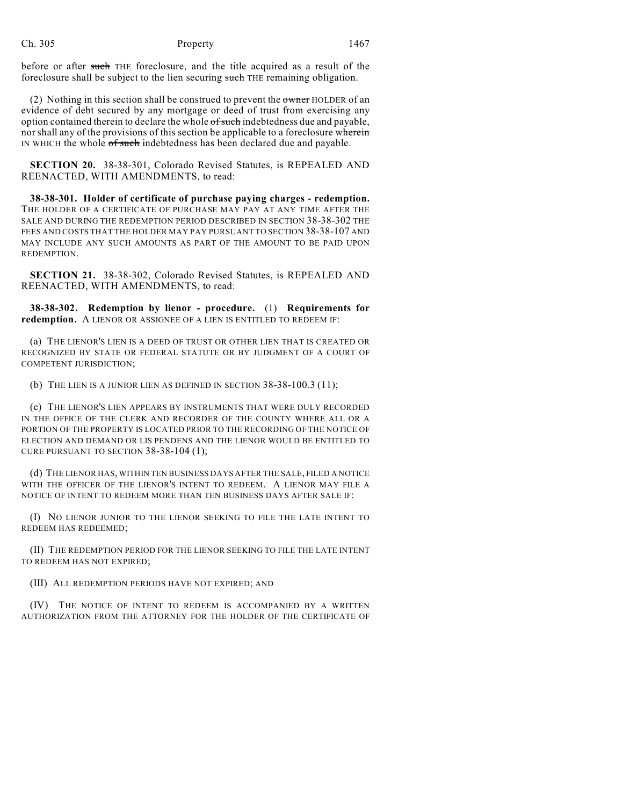# Ch. 305 Property Property 1467

before or after such THE foreclosure, and the title acquired as a result of the foreclosure shall be subject to the lien securing such THE remaining obligation.

(2) Nothing in this section shall be construed to prevent the owner HOLDER of an evidence of debt secured by any mortgage or deed of trust from exercising any option contained therein to declare the whole of such indebtedness due and payable, nor shall any of the provisions of this section be applicable to a foreclosure wherein IN WHICH the whole of such indebtedness has been declared due and payable.

**SECTION 20.** 38-38-301, Colorado Revised Statutes, is REPEALED AND REENACTED, WITH AMENDMENTS, to read:

**38-38-301. Holder of certificate of purchase paying charges - redemption.** THE HOLDER OF A CERTIFICATE OF PURCHASE MAY PAY AT ANY TIME AFTER THE SALE AND DURING THE REDEMPTION PERIOD DESCRIBED IN SECTION 38-38-302 THE FEES AND COSTS THAT THE HOLDER MAY PAY PURSUANT TO SECTION 38-38-107 AND MAY INCLUDE ANY SUCH AMOUNTS AS PART OF THE AMOUNT TO BE PAID UPON REDEMPTION.

**SECTION 21.** 38-38-302, Colorado Revised Statutes, is REPEALED AND REENACTED, WITH AMENDMENTS, to read:

**38-38-302. Redemption by lienor - procedure.** (1) **Requirements for redemption.** A LIENOR OR ASSIGNEE OF A LIEN IS ENTITLED TO REDEEM IF:

(a) THE LIENOR'S LIEN IS A DEED OF TRUST OR OTHER LIEN THAT IS CREATED OR RECOGNIZED BY STATE OR FEDERAL STATUTE OR BY JUDGMENT OF A COURT OF COMPETENT JURISDICTION;

(b) THE LIEN IS A JUNIOR LIEN AS DEFINED IN SECTION 38-38-100.3 (11);

(c) THE LIENOR'S LIEN APPEARS BY INSTRUMENTS THAT WERE DULY RECORDED IN THE OFFICE OF THE CLERK AND RECORDER OF THE COUNTY WHERE ALL OR A PORTION OF THE PROPERTY IS LOCATED PRIOR TO THE RECORDING OF THE NOTICE OF ELECTION AND DEMAND OR LIS PENDENS AND THE LIENOR WOULD BE ENTITLED TO CURE PURSUANT TO SECTION 38-38-104 (1);

(d) THE LIENOR HAS, WITHIN TEN BUSINESS DAYS AFTER THE SALE, FILED A NOTICE WITH THE OFFICER OF THE LIENOR'S INTENT TO REDEEM. A LIENOR MAY FILE A NOTICE OF INTENT TO REDEEM MORE THAN TEN BUSINESS DAYS AFTER SALE IF:

(I) NO LIENOR JUNIOR TO THE LIENOR SEEKING TO FILE THE LATE INTENT TO REDEEM HAS REDEEMED;

(II) THE REDEMPTION PERIOD FOR THE LIENOR SEEKING TO FILE THE LATE INTENT TO REDEEM HAS NOT EXPIRED;

(III) ALL REDEMPTION PERIODS HAVE NOT EXPIRED; AND

(IV) THE NOTICE OF INTENT TO REDEEM IS ACCOMPANIED BY A WRITTEN AUTHORIZATION FROM THE ATTORNEY FOR THE HOLDER OF THE CERTIFICATE OF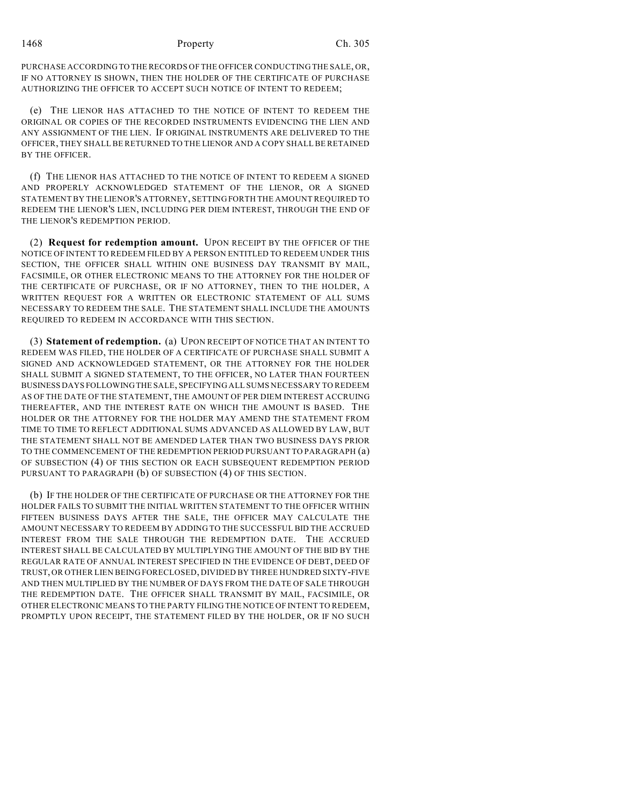PURCHASE ACCORDING TO THE RECORDS OF THE OFFICER CONDUCTING THE SALE, OR, IF NO ATTORNEY IS SHOWN, THEN THE HOLDER OF THE CERTIFICATE OF PURCHASE AUTHORIZING THE OFFICER TO ACCEPT SUCH NOTICE OF INTENT TO REDEEM;

(e) THE LIENOR HAS ATTACHED TO THE NOTICE OF INTENT TO REDEEM THE ORIGINAL OR COPIES OF THE RECORDED INSTRUMENTS EVIDENCING THE LIEN AND ANY ASSIGNMENT OF THE LIEN. IF ORIGINAL INSTRUMENTS ARE DELIVERED TO THE OFFICER, THEY SHALL BE RETURNED TO THE LIENOR AND A COPY SHALL BE RETAINED BY THE OFFICER.

(f) THE LIENOR HAS ATTACHED TO THE NOTICE OF INTENT TO REDEEM A SIGNED AND PROPERLY ACKNOWLEDGED STATEMENT OF THE LIENOR, OR A SIGNED STATEMENT BY THE LIENOR'S ATTORNEY, SETTING FORTH THE AMOUNT REQUIRED TO REDEEM THE LIENOR'S LIEN, INCLUDING PER DIEM INTEREST, THROUGH THE END OF THE LIENOR'S REDEMPTION PERIOD.

(2) **Request for redemption amount.** UPON RECEIPT BY THE OFFICER OF THE NOTICE OF INTENT TO REDEEM FILED BY A PERSON ENTITLED TO REDEEM UNDER THIS SECTION, THE OFFICER SHALL WITHIN ONE BUSINESS DAY TRANSMIT BY MAIL, FACSIMILE, OR OTHER ELECTRONIC MEANS TO THE ATTORNEY FOR THE HOLDER OF THE CERTIFICATE OF PURCHASE, OR IF NO ATTORNEY, THEN TO THE HOLDER, A WRITTEN REQUEST FOR A WRITTEN OR ELECTRONIC STATEMENT OF ALL SUMS NECESSARY TO REDEEM THE SALE. THE STATEMENT SHALL INCLUDE THE AMOUNTS REQUIRED TO REDEEM IN ACCORDANCE WITH THIS SECTION.

(3) **Statement of redemption.** (a) UPON RECEIPT OF NOTICE THAT AN INTENT TO REDEEM WAS FILED, THE HOLDER OF A CERTIFICATE OF PURCHASE SHALL SUBMIT A SIGNED AND ACKNOWLEDGED STATEMENT, OR THE ATTORNEY FOR THE HOLDER SHALL SUBMIT A SIGNED STATEMENT, TO THE OFFICER, NO LATER THAN FOURTEEN BUSINESS DAYS FOLLOWING THE SALE, SPECIFYING ALL SUMS NECESSARY TO REDEEM AS OF THE DATE OF THE STATEMENT, THE AMOUNT OF PER DIEM INTEREST ACCRUING THEREAFTER, AND THE INTEREST RATE ON WHICH THE AMOUNT IS BASED. THE HOLDER OR THE ATTORNEY FOR THE HOLDER MAY AMEND THE STATEMENT FROM TIME TO TIME TO REFLECT ADDITIONAL SUMS ADVANCED AS ALLOWED BY LAW, BUT THE STATEMENT SHALL NOT BE AMENDED LATER THAN TWO BUSINESS DAYS PRIOR TO THE COMMENCEMENT OF THE REDEMPTION PERIOD PURSUANT TO PARAGRAPH (a) OF SUBSECTION (4) OF THIS SECTION OR EACH SUBSEQUENT REDEMPTION PERIOD PURSUANT TO PARAGRAPH (b) OF SUBSECTION (4) OF THIS SECTION.

(b) IF THE HOLDER OF THE CERTIFICATE OF PURCHASE OR THE ATTORNEY FOR THE HOLDER FAILS TO SUBMIT THE INITIAL WRITTEN STATEMENT TO THE OFFICER WITHIN FIFTEEN BUSINESS DAYS AFTER THE SALE, THE OFFICER MAY CALCULATE THE AMOUNT NECESSARY TO REDEEM BY ADDING TO THE SUCCESSFUL BID THE ACCRUED INTEREST FROM THE SALE THROUGH THE REDEMPTION DATE. THE ACCRUED INTEREST SHALL BE CALCULATED BY MULTIPLYING THE AMOUNT OF THE BID BY THE REGULAR RATE OF ANNUAL INTEREST SPECIFIED IN THE EVIDENCE OF DEBT, DEED OF TRUST, OR OTHER LIEN BEING FORECLOSED, DIVIDED BY THREE HUNDRED SIXTY-FIVE AND THEN MULTIPLIED BY THE NUMBER OF DAYS FROM THE DATE OF SALE THROUGH THE REDEMPTION DATE. THE OFFICER SHALL TRANSMIT BY MAIL, FACSIMILE, OR OTHER ELECTRONIC MEANS TO THE PARTY FILING THE NOTICE OF INTENT TO REDEEM, PROMPTLY UPON RECEIPT, THE STATEMENT FILED BY THE HOLDER, OR IF NO SUCH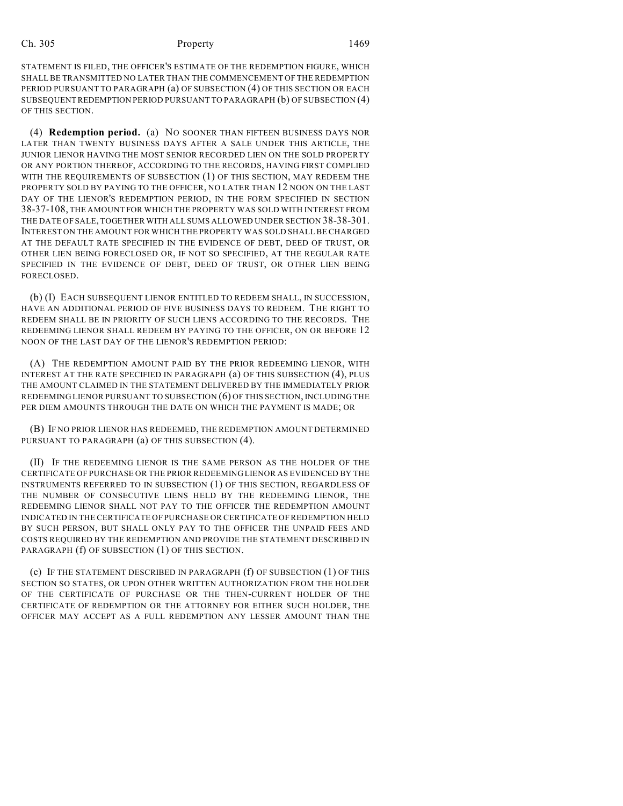# Ch. 305 Property Property 21469

STATEMENT IS FILED, THE OFFICER'S ESTIMATE OF THE REDEMPTION FIGURE, WHICH SHALL BE TRANSMITTED NO LATER THAN THE COMMENCEMENT OF THE REDEMPTION PERIOD PURSUANT TO PARAGRAPH (a) OF SUBSECTION (4) OF THIS SECTION OR EACH SUBSEQUENT REDEMPTION PERIOD PURSUANT TO PARAGRAPH (b) OF SUBSECTION (4) OF THIS SECTION.

(4) **Redemption period.** (a) NO SOONER THAN FIFTEEN BUSINESS DAYS NOR LATER THAN TWENTY BUSINESS DAYS AFTER A SALE UNDER THIS ARTICLE, THE JUNIOR LIENOR HAVING THE MOST SENIOR RECORDED LIEN ON THE SOLD PROPERTY OR ANY PORTION THEREOF, ACCORDING TO THE RECORDS, HAVING FIRST COMPLIED WITH THE REQUIREMENTS OF SUBSECTION (1) OF THIS SECTION, MAY REDEEM THE PROPERTY SOLD BY PAYING TO THE OFFICER, NO LATER THAN 12 NOON ON THE LAST DAY OF THE LIENOR'S REDEMPTION PERIOD, IN THE FORM SPECIFIED IN SECTION 38-37-108, THE AMOUNT FOR WHICH THE PROPERTY WAS SOLD WITH INTEREST FROM THE DATE OF SALE, TOGETHER WITH ALL SUMS ALLOWED UNDER SECTION 38-38-301. INTEREST ON THE AMOUNT FOR WHICH THE PROPERTY WAS SOLD SHALL BE CHARGED AT THE DEFAULT RATE SPECIFIED IN THE EVIDENCE OF DEBT, DEED OF TRUST, OR OTHER LIEN BEING FORECLOSED OR, IF NOT SO SPECIFIED, AT THE REGULAR RATE SPECIFIED IN THE EVIDENCE OF DEBT, DEED OF TRUST, OR OTHER LIEN BEING FORECLOSED.

(b) (I) EACH SUBSEQUENT LIENOR ENTITLED TO REDEEM SHALL, IN SUCCESSION, HAVE AN ADDITIONAL PERIOD OF FIVE BUSINESS DAYS TO REDEEM. THE RIGHT TO REDEEM SHALL BE IN PRIORITY OF SUCH LIENS ACCORDING TO THE RECORDS. THE REDEEMING LIENOR SHALL REDEEM BY PAYING TO THE OFFICER, ON OR BEFORE 12 NOON OF THE LAST DAY OF THE LIENOR'S REDEMPTION PERIOD:

(A) THE REDEMPTION AMOUNT PAID BY THE PRIOR REDEEMING LIENOR, WITH INTEREST AT THE RATE SPECIFIED IN PARAGRAPH (a) OF THIS SUBSECTION (4), PLUS THE AMOUNT CLAIMED IN THE STATEMENT DELIVERED BY THE IMMEDIATELY PRIOR REDEEMING LIENOR PURSUANT TO SUBSECTION (6) OF THIS SECTION, INCLUDING THE PER DIEM AMOUNTS THROUGH THE DATE ON WHICH THE PAYMENT IS MADE; OR

(B) IF NO PRIOR LIENOR HAS REDEEMED, THE REDEMPTION AMOUNT DETERMINED PURSUANT TO PARAGRAPH (a) OF THIS SUBSECTION (4).

(II) IF THE REDEEMING LIENOR IS THE SAME PERSON AS THE HOLDER OF THE CERTIFICATE OF PURCHASE OR THE PRIOR REDEEMING LIENOR AS EVIDENCED BY THE INSTRUMENTS REFERRED TO IN SUBSECTION (1) OF THIS SECTION, REGARDLESS OF THE NUMBER OF CONSECUTIVE LIENS HELD BY THE REDEEMING LIENOR, THE REDEEMING LIENOR SHALL NOT PAY TO THE OFFICER THE REDEMPTION AMOUNT INDICATED IN THE CERTIFICATE OF PURCHASE OR CERTIFICATE OF REDEMPTION HELD BY SUCH PERSON, BUT SHALL ONLY PAY TO THE OFFICER THE UNPAID FEES AND COSTS REQUIRED BY THE REDEMPTION AND PROVIDE THE STATEMENT DESCRIBED IN PARAGRAPH (f) OF SUBSECTION (1) OF THIS SECTION.

(c) IF THE STATEMENT DESCRIBED IN PARAGRAPH (f) OF SUBSECTION (1) OF THIS SECTION SO STATES, OR UPON OTHER WRITTEN AUTHORIZATION FROM THE HOLDER OF THE CERTIFICATE OF PURCHASE OR THE THEN-CURRENT HOLDER OF THE CERTIFICATE OF REDEMPTION OR THE ATTORNEY FOR EITHER SUCH HOLDER, THE OFFICER MAY ACCEPT AS A FULL REDEMPTION ANY LESSER AMOUNT THAN THE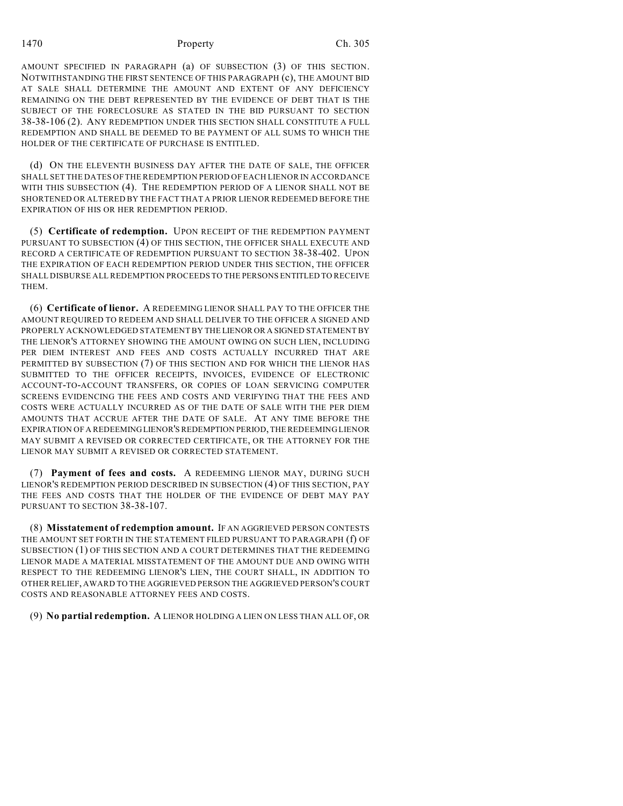1470 Ch. 305

AMOUNT SPECIFIED IN PARAGRAPH (a) OF SUBSECTION (3) OF THIS SECTION. NOTWITHSTANDING THE FIRST SENTENCE OF THIS PARAGRAPH (c), THE AMOUNT BID AT SALE SHALL DETERMINE THE AMOUNT AND EXTENT OF ANY DEFICIENCY REMAINING ON THE DEBT REPRESENTED BY THE EVIDENCE OF DEBT THAT IS THE SUBJECT OF THE FORECLOSURE AS STATED IN THE BID PURSUANT TO SECTION 38-38-106 (2). ANY REDEMPTION UNDER THIS SECTION SHALL CONSTITUTE A FULL REDEMPTION AND SHALL BE DEEMED TO BE PAYMENT OF ALL SUMS TO WHICH THE HOLDER OF THE CERTIFICATE OF PURCHASE IS ENTITLED.

(d) ON THE ELEVENTH BUSINESS DAY AFTER THE DATE OF SALE, THE OFFICER SHALL SET THE DATES OFTHE REDEMPTION PERIOD OFEACH LIENOR IN ACCORDANCE WITH THIS SUBSECTION (4). THE REDEMPTION PERIOD OF A LIENOR SHALL NOT BE SHORTENED OR ALTERED BY THE FACT THAT A PRIOR LIENOR REDEEMED BEFORE THE EXPIRATION OF HIS OR HER REDEMPTION PERIOD.

(5) **Certificate of redemption.** UPON RECEIPT OF THE REDEMPTION PAYMENT PURSUANT TO SUBSECTION (4) OF THIS SECTION, THE OFFICER SHALL EXECUTE AND RECORD A CERTIFICATE OF REDEMPTION PURSUANT TO SECTION 38-38-402. UPON THE EXPIRATION OF EACH REDEMPTION PERIOD UNDER THIS SECTION, THE OFFICER SHALL DISBURSE ALL REDEMPTION PROCEEDS TO THE PERSONS ENTITLED TO RECEIVE THEM.

(6) **Certificate of lienor.** A REDEEMING LIENOR SHALL PAY TO THE OFFICER THE AMOUNT REQUIRED TO REDEEM AND SHALL DELIVER TO THE OFFICER A SIGNED AND PROPERLY ACKNOWLEDGED STATEMENT BY THE LIENOR OR A SIGNED STATEMENT BY THE LIENOR'S ATTORNEY SHOWING THE AMOUNT OWING ON SUCH LIEN, INCLUDING PER DIEM INTEREST AND FEES AND COSTS ACTUALLY INCURRED THAT ARE PERMITTED BY SUBSECTION (7) OF THIS SECTION AND FOR WHICH THE LIENOR HAS SUBMITTED TO THE OFFICER RECEIPTS, INVOICES, EVIDENCE OF ELECTRONIC ACCOUNT-TO-ACCOUNT TRANSFERS, OR COPIES OF LOAN SERVICING COMPUTER SCREENS EVIDENCING THE FEES AND COSTS AND VERIFYING THAT THE FEES AND COSTS WERE ACTUALLY INCURRED AS OF THE DATE OF SALE WITH THE PER DIEM AMOUNTS THAT ACCRUE AFTER THE DATE OF SALE. AT ANY TIME BEFORE THE EXPIRATION OF A REDEEMING LIENOR'S REDEMPTION PERIOD, THE REDEEMING LIENOR MAY SUBMIT A REVISED OR CORRECTED CERTIFICATE, OR THE ATTORNEY FOR THE LIENOR MAY SUBMIT A REVISED OR CORRECTED STATEMENT.

(7) **Payment of fees and costs.** A REDEEMING LIENOR MAY, DURING SUCH LIENOR'S REDEMPTION PERIOD DESCRIBED IN SUBSECTION (4) OF THIS SECTION, PAY THE FEES AND COSTS THAT THE HOLDER OF THE EVIDENCE OF DEBT MAY PAY PURSUANT TO SECTION 38-38-107.

(8) **Misstatement of redemption amount.** IF AN AGGRIEVED PERSON CONTESTS THE AMOUNT SET FORTH IN THE STATEMENT FILED PURSUANT TO PARAGRAPH (f) OF SUBSECTION (1) OF THIS SECTION AND A COURT DETERMINES THAT THE REDEEMING LIENOR MADE A MATERIAL MISSTATEMENT OF THE AMOUNT DUE AND OWING WITH RESPECT TO THE REDEEMING LIENOR'S LIEN, THE COURT SHALL, IN ADDITION TO OTHER RELIEF, AWARD TO THE AGGRIEVED PERSON THE AGGRIEVED PERSON'S COURT COSTS AND REASONABLE ATTORNEY FEES AND COSTS.

(9) **No partial redemption.** A LIENOR HOLDING A LIEN ON LESS THAN ALL OF, OR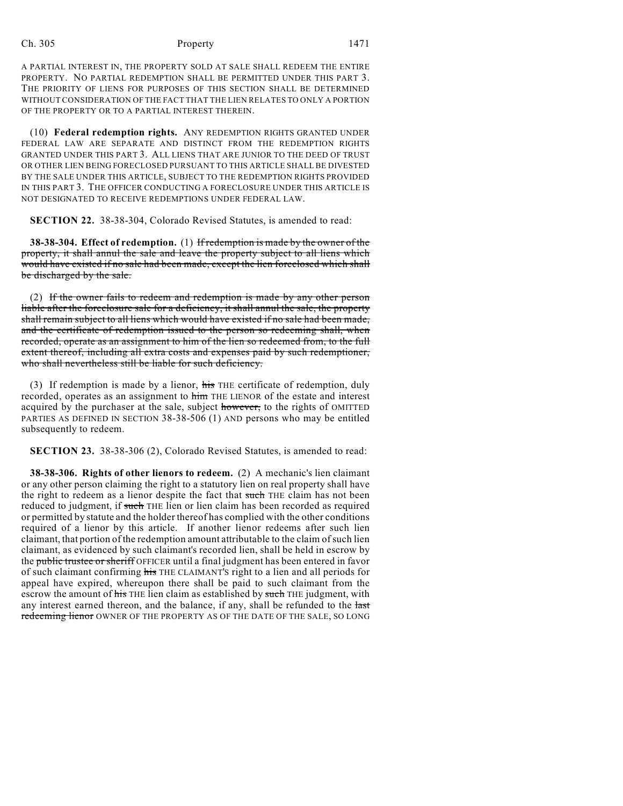A PARTIAL INTEREST IN, THE PROPERTY SOLD AT SALE SHALL REDEEM THE ENTIRE PROPERTY. NO PARTIAL REDEMPTION SHALL BE PERMITTED UNDER THIS PART 3. THE PRIORITY OF LIENS FOR PURPOSES OF THIS SECTION SHALL BE DETERMINED WITHOUT CONSIDERATION OF THE FACT THAT THE LIEN RELATES TO ONLY A PORTION OF THE PROPERTY OR TO A PARTIAL INTEREST THEREIN.

(10) **Federal redemption rights.** ANY REDEMPTION RIGHTS GRANTED UNDER FEDERAL LAW ARE SEPARATE AND DISTINCT FROM THE REDEMPTION RIGHTS GRANTED UNDER THIS PART 3. ALL LIENS THAT ARE JUNIOR TO THE DEED OF TRUST OR OTHER LIEN BEING FORECLOSED PURSUANT TO THIS ARTICLE SHALL BE DIVESTED BY THE SALE UNDER THIS ARTICLE, SUBJECT TO THE REDEMPTION RIGHTS PROVIDED IN THIS PART 3. THE OFFICER CONDUCTING A FORECLOSURE UNDER THIS ARTICLE IS NOT DESIGNATED TO RECEIVE REDEMPTIONS UNDER FEDERAL LAW.

**SECTION 22.** 38-38-304, Colorado Revised Statutes, is amended to read:

**38-38-304. Effect of redemption.** (1) If redemption is made by the owner of the property, it shall annul the sale and leave the property subject to all liens which would have existed if no sale had been made, except the lien foreclosed which shall be discharged by the sale.

(2) If the owner fails to redeem and redemption is made by any other person liable after the foreclosure sale for a deficiency, it shall annul the sale, the property shall remain subject to all liens which would have existed if no sale had been made, and the certificate of redemption issued to the person so redeeming shall, when recorded, operate as an assignment to him of the lien so redeemed from, to the full extent thereof, including all extra costs and expenses paid by such redemptioner, who shall nevertheless still be liable for such deficiency.

(3) If redemption is made by a lienor, his THE certificate of redemption, duly recorded, operates as an assignment to him THE LIENOR of the estate and interest acquired by the purchaser at the sale, subject however, to the rights of OMITTED PARTIES AS DEFINED IN SECTION 38-38-506 (1) AND persons who may be entitled subsequently to redeem.

**SECTION 23.** 38-38-306 (2), Colorado Revised Statutes, is amended to read:

**38-38-306. Rights of other lienors to redeem.** (2) A mechanic's lien claimant or any other person claiming the right to a statutory lien on real property shall have the right to redeem as a lienor despite the fact that such THE claim has not been reduced to judgment, if such THE lien or lien claim has been recorded as required or permitted by statute and the holder thereof has complied with the other conditions required of a lienor by this article. If another lienor redeems after such lien claimant, that portion of the redemption amount attributable to the claim of such lien claimant, as evidenced by such claimant's recorded lien, shall be held in escrow by the public trustee or sheriff OFFICER until a final judgment has been entered in favor of such claimant confirming his THE CLAIMANT'S right to a lien and all periods for appeal have expired, whereupon there shall be paid to such claimant from the escrow the amount of his THE lien claim as established by such THE judgment, with any interest earned thereon, and the balance, if any, shall be refunded to the last redeeming lienor OWNER OF THE PROPERTY AS OF THE DATE OF THE SALE, SO LONG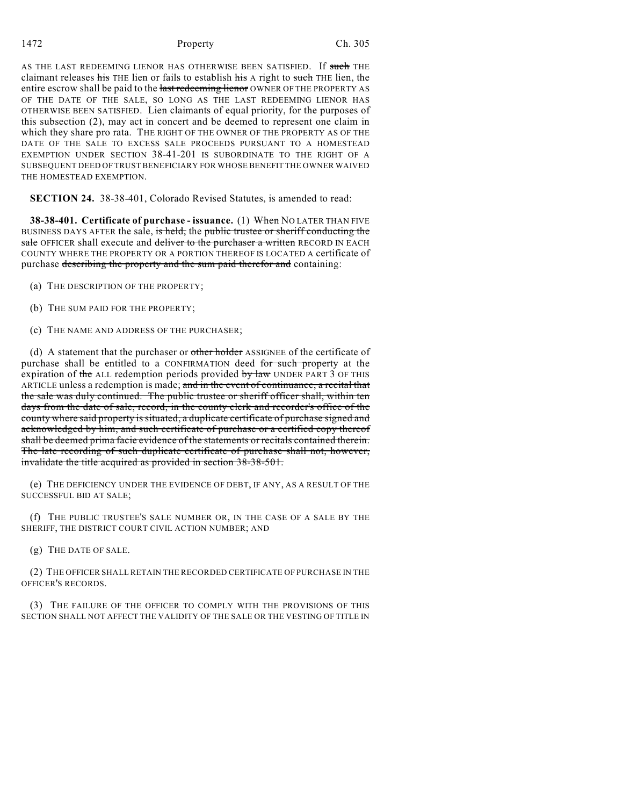# 1472 Property Ch. 305

AS THE LAST REDEEMING LIENOR HAS OTHERWISE BEEN SATISFIED. If such THE claimant releases his THE lien or fails to establish his A right to such THE lien, the entire escrow shall be paid to the last redeeming lienor OWNER OF THE PROPERTY AS OF THE DATE OF THE SALE, SO LONG AS THE LAST REDEEMING LIENOR HAS OTHERWISE BEEN SATISFIED. Lien claimants of equal priority, for the purposes of this subsection (2), may act in concert and be deemed to represent one claim in which they share pro rata. THE RIGHT OF THE OWNER OF THE PROPERTY AS OF THE DATE OF THE SALE TO EXCESS SALE PROCEEDS PURSUANT TO A HOMESTEAD EXEMPTION UNDER SECTION 38-41-201 IS SUBORDINATE TO THE RIGHT OF A SUBSEQUENT DEED OF TRUST BENEFICIARY FOR WHOSE BENEFIT THE OWNER WAIVED THE HOMESTEAD EXEMPTION.

**SECTION 24.** 38-38-401, Colorado Revised Statutes, is amended to read:

**38-38-401. Certificate of purchase - issuance.** (1) When NO LATER THAN FIVE BUSINESS DAYS AFTER the sale, is held, the public trustee or sheriff conducting the sale OFFICER shall execute and deliver to the purchaser a written RECORD IN EACH COUNTY WHERE THE PROPERTY OR A PORTION THEREOF IS LOCATED A certificate of purchase describing the property and the sum paid therefor and containing:

- (a) THE DESCRIPTION OF THE PROPERTY;
- (b) THE SUM PAID FOR THE PROPERTY;
- (c) THE NAME AND ADDRESS OF THE PURCHASER;

(d) A statement that the purchaser or other holder ASSIGNEE of the certificate of purchase shall be entitled to a CONFIRMATION deed for such property at the expiration of the ALL redemption periods provided by law UNDER PART 3 OF THIS ARTICLE unless a redemption is made; and in the event of continuance, a recital that the sale was duly continued. The public trustee or sheriff officer shall, within ten days from the date of sale, record, in the county clerk and recorder's office of the county where said property is situated, a duplicate certificate of purchase signed and acknowledged by him, and such certificate of purchase or a certified copy thereof shall be deemed prima facie evidence of the statements or recitals contained therein. The late recording of such duplicate certificate of purchase shall not, however, invalidate the title acquired as provided in section 38-38-501.

(e) THE DEFICIENCY UNDER THE EVIDENCE OF DEBT, IF ANY, AS A RESULT OF THE SUCCESSFUL BID AT SALE;

(f) THE PUBLIC TRUSTEE'S SALE NUMBER OR, IN THE CASE OF A SALE BY THE SHERIFF, THE DISTRICT COURT CIVIL ACTION NUMBER; AND

(g) THE DATE OF SALE.

(2) THE OFFICER SHALL RETAIN THE RECORDED CERTIFICATE OF PURCHASE IN THE OFFICER'S RECORDS.

(3) THE FAILURE OF THE OFFICER TO COMPLY WITH THE PROVISIONS OF THIS SECTION SHALL NOT AFFECT THE VALIDITY OF THE SALE OR THE VESTING OF TITLE IN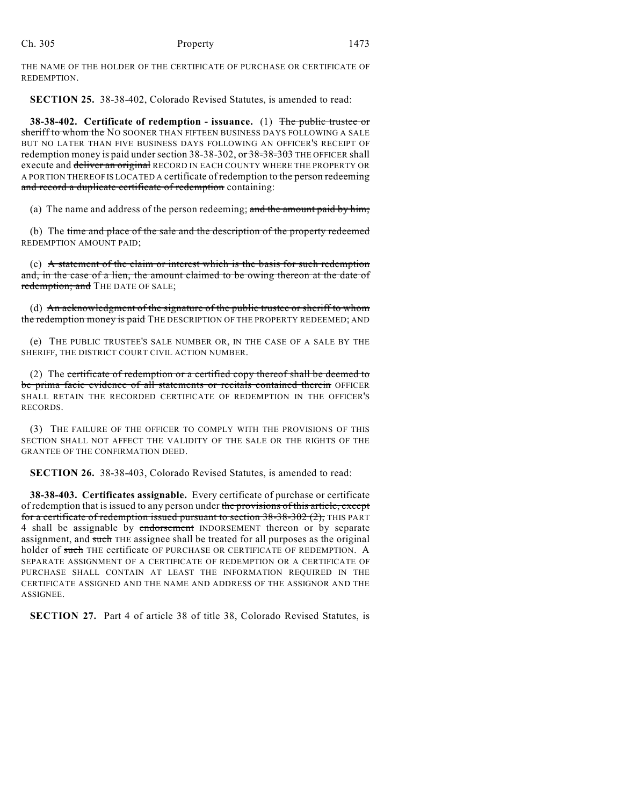THE NAME OF THE HOLDER OF THE CERTIFICATE OF PURCHASE OR CERTIFICATE OF REDEMPTION.

**SECTION 25.** 38-38-402, Colorado Revised Statutes, is amended to read:

**38-38-402. Certificate of redemption - issuance.** (1) The public trustee or sheriff to whom the NO SOONER THAN FIFTEEN BUSINESS DAYS FOLLOWING A SALE BUT NO LATER THAN FIVE BUSINESS DAYS FOLLOWING AN OFFICER'S RECEIPT OF redemption money is paid under section 38-38-302, or 38-38-303 THE OFFICER shall execute and deliver an original RECORD IN EACH COUNTY WHERE THE PROPERTY OR A PORTION THEREOF IS LOCATED A certificate of redemption to the person redeeming and record a duplicate certificate of redemption containing:

(a) The name and address of the person redeeming; and the amount paid by him;

(b) The time and place of the sale and the description of the property redeemed REDEMPTION AMOUNT PAID;

 $(c)$  A statement of the claim or interest which is the basis for such redemption and, in the case of a lien, the amount claimed to be owing thereon at the date of redemption; and THE DATE OF SALE;

(d) An acknowledgment of the signature of the public trustee or sheriff to whom the redemption money is paid THE DESCRIPTION OF THE PROPERTY REDEEMED; AND

(e) THE PUBLIC TRUSTEE'S SALE NUMBER OR, IN THE CASE OF A SALE BY THE SHERIFF, THE DISTRICT COURT CIVIL ACTION NUMBER.

(2) The certificate of redemption or a certified copy thereof shall be deemed to be prima facie evidence of all statements or recitals contained therein OFFICER SHALL RETAIN THE RECORDED CERTIFICATE OF REDEMPTION IN THE OFFICER'S RECORDS.

(3) THE FAILURE OF THE OFFICER TO COMPLY WITH THE PROVISIONS OF THIS SECTION SHALL NOT AFFECT THE VALIDITY OF THE SALE OR THE RIGHTS OF THE GRANTEE OF THE CONFIRMATION DEED.

**SECTION 26.** 38-38-403, Colorado Revised Statutes, is amended to read:

**38-38-403. Certificates assignable.** Every certificate of purchase or certificate of redemption that is issued to any person under the provisions of this article, except for a certificate of redemption issued pursuant to section  $38-38-302$  (2), THIS PART 4 shall be assignable by endorsement INDORSEMENT thereon or by separate assignment, and such THE assignee shall be treated for all purposes as the original holder of such THE certificate OF PURCHASE OR CERTIFICATE OF REDEMPTION. A SEPARATE ASSIGNMENT OF A CERTIFICATE OF REDEMPTION OR A CERTIFICATE OF PURCHASE SHALL CONTAIN AT LEAST THE INFORMATION REQUIRED IN THE CERTIFICATE ASSIGNED AND THE NAME AND ADDRESS OF THE ASSIGNOR AND THE ASSIGNEE.

**SECTION 27.** Part 4 of article 38 of title 38, Colorado Revised Statutes, is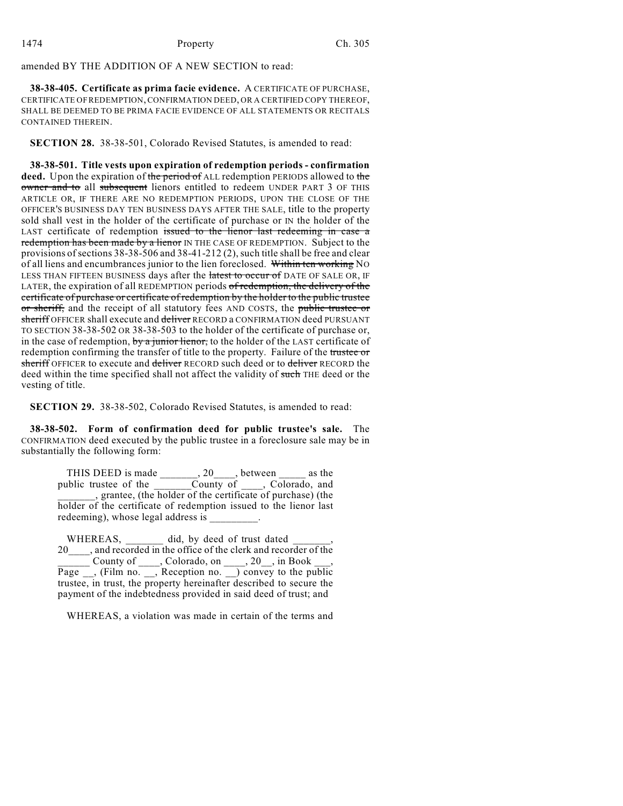amended BY THE ADDITION OF A NEW SECTION to read:

**38-38-405. Certificate as prima facie evidence.** A CERTIFICATE OF PURCHASE, CERTIFICATE OF REDEMPTION, CONFIRMATION DEED, OR A CERTIFIED COPY THEREOF, SHALL BE DEEMED TO BE PRIMA FACIE EVIDENCE OF ALL STATEMENTS OR RECITALS CONTAINED THEREIN.

**SECTION 28.** 38-38-501, Colorado Revised Statutes, is amended to read:

**38-38-501. Title vests upon expiration of redemption periods - confirmation** deed. Upon the expiration of the period of ALL redemption PERIODS allowed to the owner and to all subsequent lienors entitled to redeem UNDER PART 3 OF THIS ARTICLE OR, IF THERE ARE NO REDEMPTION PERIODS, UPON THE CLOSE OF THE OFFICER'S BUSINESS DAY TEN BUSINESS DAYS AFTER THE SALE, title to the property sold shall vest in the holder of the certificate of purchase or IN the holder of the LAST certificate of redemption issued to the lienor last redeeming in case a redemption has been made by a lienor IN THE CASE OF REDEMPTION. Subject to the provisions of sections 38-38-506 and 38-41-212 (2), such title shall be free and clear of all liens and encumbrances junior to the lien foreclosed. Within ten working NO LESS THAN FIFTEEN BUSINESS days after the latest to occur of DATE OF SALE OR, IF LATER, the expiration of all REDEMPTION periods of redemption, the delivery of the certificate of purchase or certificate of redemption by the holder to the public trustee or sheriff, and the receipt of all statutory fees AND COSTS, the public trustee or sheriff OFFICER shall execute and deliver RECORD a CONFIRMATION deed PURSUANT TO SECTION 38-38-502 OR 38-38-503 to the holder of the certificate of purchase or, in the case of redemption,  $\frac{by}{y}$  a junior lienor, to the holder of the LAST certificate of redemption confirming the transfer of title to the property. Failure of the trustee or sheriff OFFICER to execute and deliver RECORD such deed or to deliver RECORD the deed within the time specified shall not affect the validity of such THE deed or the vesting of title.

**SECTION 29.** 38-38-502, Colorado Revised Statutes, is amended to read:

**38-38-502. Form of confirmation deed for public trustee's sale.** The CONFIRMATION deed executed by the public trustee in a foreclosure sale may be in substantially the following form:

> THIS DEED is made \_\_\_\_\_\_, 20\_\_\_, between \_\_\_\_\_ as the public trustee of the \_\_\_\_\_\_\_County of \_\_\_\_, Colorado, and \_\_\_\_\_\_\_, grantee, (the holder of the certificate of purchase) (the holder of the certificate of redemption issued to the lienor last redeeming), whose legal address is

> WHEREAS, did, by deed of trust dated 20 , and recorded in the office of the clerk and recorder of the  $\overline{\phantom{a}}$  County of  $\overline{\phantom{a}}$ , Colorado, on  $\overline{\phantom{a}}$ , 20  $\overline{\phantom{a}}$ , in Book  $\overline{\phantom{a}}$ Page \_\_, (Film no. \_\_, Reception no. \_\_) convey to the public trustee, in trust, the property hereinafter described to secure the payment of the indebtedness provided in said deed of trust; and

WHEREAS, a violation was made in certain of the terms and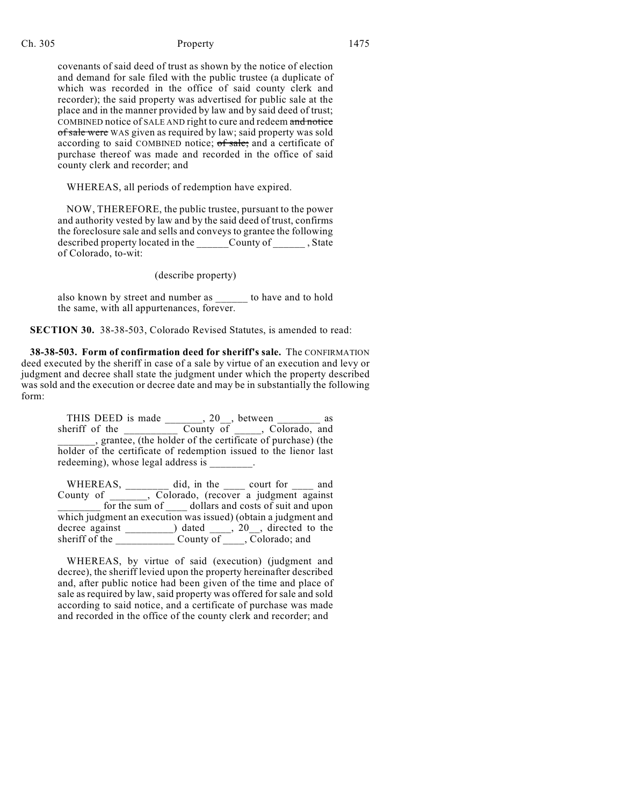covenants of said deed of trust as shown by the notice of election and demand for sale filed with the public trustee (a duplicate of which was recorded in the office of said county clerk and recorder); the said property was advertised for public sale at the place and in the manner provided by law and by said deed of trust; COMBINED notice of SALE AND right to cure and redeem and notice of sale were WAS given as required by law; said property was sold according to said COMBINED notice; of sale; and a certificate of purchase thereof was made and recorded in the office of said county clerk and recorder; and

WHEREAS, all periods of redemption have expired.

NOW, THEREFORE, the public trustee, pursuant to the power and authority vested by law and by the said deed of trust, confirms the foreclosure sale and sells and conveys to grantee the following described property located in the County of factor state of Colorado, to-wit:

#### (describe property)

also known by street and number as  $\qquad \qquad$  to have and to hold the same, with all appurtenances, forever.

**SECTION 30.** 38-38-503, Colorado Revised Statutes, is amended to read:

**38-38-503. Form of confirmation deed for sheriff's sale.** The CONFIRMATION deed executed by the sheriff in case of a sale by virtue of an execution and levy or judgment and decree shall state the judgment under which the property described was sold and the execution or decree date and may be in substantially the following form:

> THIS DEED is made \_\_\_\_\_\_\_, 20\_\_, between \_\_\_\_\_\_\_\_ as sheriff of the \_\_\_\_\_\_\_\_\_\_\_\_\_ County of \_\_\_\_\_, Colorado, and sheriff of the County of Colorado, and<br>, grantee, (the holder of the certificate of purchase) (the holder of the certificate of redemption issued to the lienor last redeeming), whose legal address is

> WHEREAS, \_\_\_\_\_\_\_ did, in the \_\_\_\_ court for \_\_\_\_ and County of \_\_\_\_\_\_\_, Colorado, (recover a judgment against for the sum of dollars and costs of suit and upon which judgment an execution was issued) (obtain a judgment and decree against \_\_\_\_\_\_\_\_\_) dated \_\_\_\_, 20\_\_, directed to the sheriff of the \_\_\_\_\_\_\_\_\_\_\_\_\_\_ County of \_\_\_\_, Colorado; and

> WHEREAS, by virtue of said (execution) (judgment and decree), the sheriff levied upon the property hereinafter described and, after public notice had been given of the time and place of sale as required by law, said property was offered for sale and sold according to said notice, and a certificate of purchase was made and recorded in the office of the county clerk and recorder; and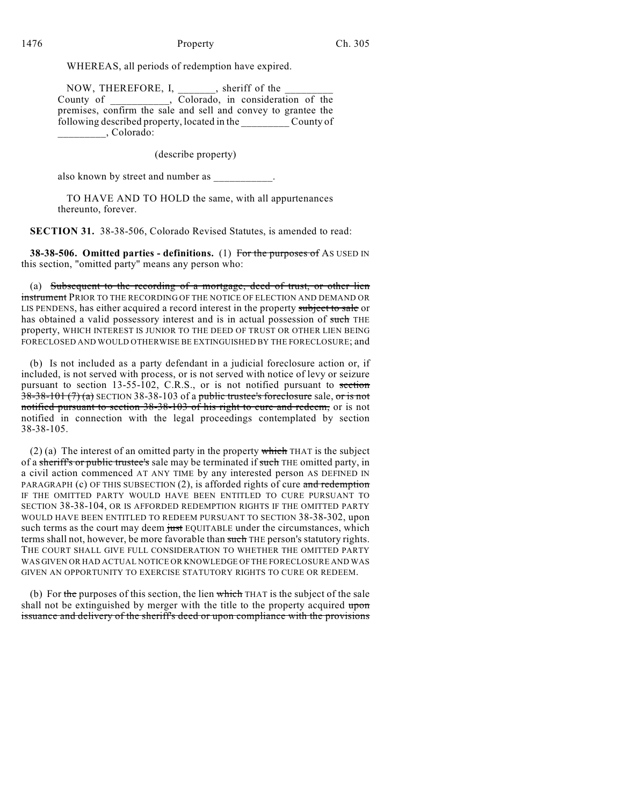WHEREAS, all periods of redemption have expired.

NOW, THEREFORE, I, \_\_\_\_\_\_, sheriff of the County of \_\_\_\_\_\_\_\_\_\_\_, Colorado, in consideration of the premises, confirm the sale and sell and convey to grantee the following described property, located in the \_\_\_\_\_\_\_\_\_ County of \_\_\_\_\_\_\_\_\_, Colorado:

(describe property)

also known by street and number as  $\qquad \qquad$ .

TO HAVE AND TO HOLD the same, with all appurtenances thereunto, forever.

**SECTION 31.** 38-38-506, Colorado Revised Statutes, is amended to read:

**38-38-506. Omitted parties - definitions.** (1) For the purposes of AS USED IN this section, "omitted party" means any person who:

(a) Subsequent to the recording of a mortgage, deed of trust, or other lien instrument PRIOR TO THE RECORDING OF THE NOTICE OF ELECTION AND DEMAND OR LIS PENDENS, has either acquired a record interest in the property subject to sale or has obtained a valid possessory interest and is in actual possession of such THE property, WHICH INTEREST IS JUNIOR TO THE DEED OF TRUST OR OTHER LIEN BEING FORECLOSED AND WOULD OTHERWISE BE EXTINGUISHED BY THE FORECLOSURE; and

(b) Is not included as a party defendant in a judicial foreclosure action or, if included, is not served with process, or is not served with notice of levy or seizure pursuant to section 13-55-102, C.R.S., or is not notified pursuant to section  $38-38-101(7)(a)$  SECTION 38-38-103 of a public trustee's foreclosure sale, or is not notified pursuant to section 38-38-103 of his right to cure and redeem, or is not notified in connection with the legal proceedings contemplated by section 38-38-105.

(2) (a) The interest of an omitted party in the property which THAT is the subject of a sheriff's or public trustee's sale may be terminated if such THE omitted party, in a civil action commenced AT ANY TIME by any interested person AS DEFINED IN PARAGRAPH (c) OF THIS SUBSECTION  $(2)$ , is afforded rights of cure and redemption IF THE OMITTED PARTY WOULD HAVE BEEN ENTITLED TO CURE PURSUANT TO SECTION 38-38-104, OR IS AFFORDED REDEMPTION RIGHTS IF THE OMITTED PARTY WOULD HAVE BEEN ENTITLED TO REDEEM PURSUANT TO SECTION 38-38-302, upon such terms as the court may deem just EQUITABLE under the circumstances, which terms shall not, however, be more favorable than such THE person's statutory rights. THE COURT SHALL GIVE FULL CONSIDERATION TO WHETHER THE OMITTED PARTY WAS GIVEN OR HAD ACTUAL NOTICE OR KNOWLEDGE OF THE FORECLOSURE AND WAS GIVEN AN OPPORTUNITY TO EXERCISE STATUTORY RIGHTS TO CURE OR REDEEM.

(b) For the purposes of this section, the lien which THAT is the subject of the sale shall not be extinguished by merger with the title to the property acquired upon issuance and delivery of the sheriff's deed or upon compliance with the provisions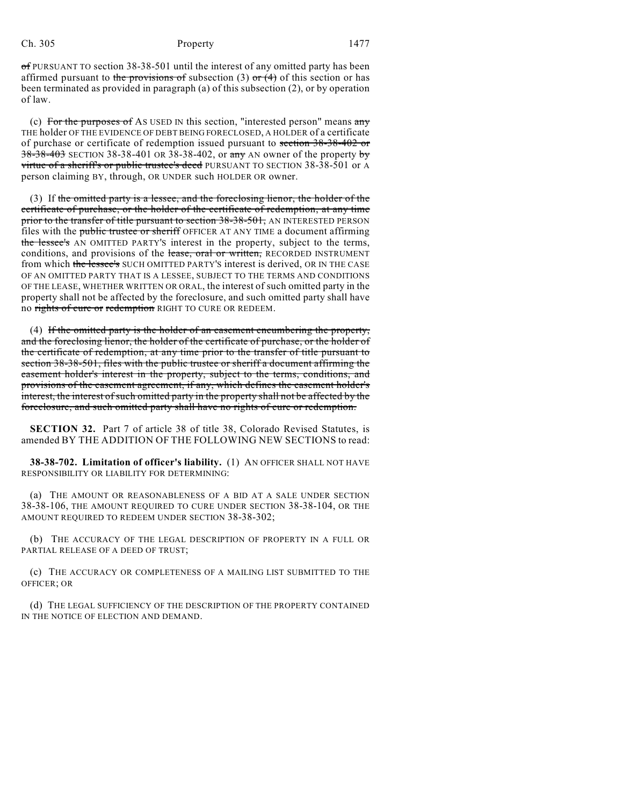of PURSUANT TO section 38-38-501 until the interest of any omitted party has been affirmed pursuant to the provisions of subsection (3) or  $(4)$  of this section or has been terminated as provided in paragraph (a) of this subsection (2), or by operation of law.

(c) For the purposes of AS USED IN this section, "interested person" means any THE holder OF THE EVIDENCE OF DEBT BEING FORECLOSED, A HOLDER of a certificate of purchase or certificate of redemption issued pursuant to section 38-38-402 or  $38-38-403$  SECTION 38-38-401 OR 38-38-402, or any AN owner of the property by virtue of a sheriff's or public trustee's deed PURSUANT TO SECTION 38-38-501 or A person claiming BY, through, OR UNDER such HOLDER OR owner.

(3) If the omitted party is a lessee, and the foreclosing lienor, the holder of the certificate of purchase, or the holder of the certificate of redemption, at any time prior to the transfer of title pursuant to section 38-38-501, AN INTERESTED PERSON files with the public trustee or sheriff OFFICER AT ANY TIME a document affirming the lessee's AN OMITTED PARTY'S interest in the property, subject to the terms, conditions, and provisions of the lease, oral or written, RECORDED INSTRUMENT from which the lessee's SUCH OMITTED PARTY'S interest is derived, OR IN THE CASE OF AN OMITTED PARTY THAT IS A LESSEE, SUBJECT TO THE TERMS AND CONDITIONS OF THE LEASE, WHETHER WRITTEN OR ORAL, the interest of such omitted party in the property shall not be affected by the foreclosure, and such omitted party shall have no rights of cure or redemption RIGHT TO CURE OR REDEEM.

(4) If the omitted party is the holder of an easement encumbering the property, and the foreclosing lienor, the holder of the certificate of purchase, or the holder of the certificate of redemption, at any time prior to the transfer of title pursuant to section 38-38-501, files with the public trustee or sheriff a document affirming the easement holder's interest in the property, subject to the terms, conditions, and provisions of the easement agreement, if any, which defines the easement holder's interest, the interest of such omitted party in the property shall not be affected by the foreclosure, and such omitted party shall have no rights of cure or redemption.

**SECTION 32.** Part 7 of article 38 of title 38, Colorado Revised Statutes, is amended BY THE ADDITION OF THE FOLLOWING NEW SECTIONS to read:

**38-38-702. Limitation of officer's liability.** (1) AN OFFICER SHALL NOT HAVE RESPONSIBILITY OR LIABILITY FOR DETERMINING:

(a) THE AMOUNT OR REASONABLENESS OF A BID AT A SALE UNDER SECTION 38-38-106, THE AMOUNT REQUIRED TO CURE UNDER SECTION 38-38-104, OR THE AMOUNT REQUIRED TO REDEEM UNDER SECTION 38-38-302;

(b) THE ACCURACY OF THE LEGAL DESCRIPTION OF PROPERTY IN A FULL OR PARTIAL RELEASE OF A DEED OF TRUST;

(c) THE ACCURACY OR COMPLETENESS OF A MAILING LIST SUBMITTED TO THE OFFICER; OR

(d) THE LEGAL SUFFICIENCY OF THE DESCRIPTION OF THE PROPERTY CONTAINED IN THE NOTICE OF ELECTION AND DEMAND.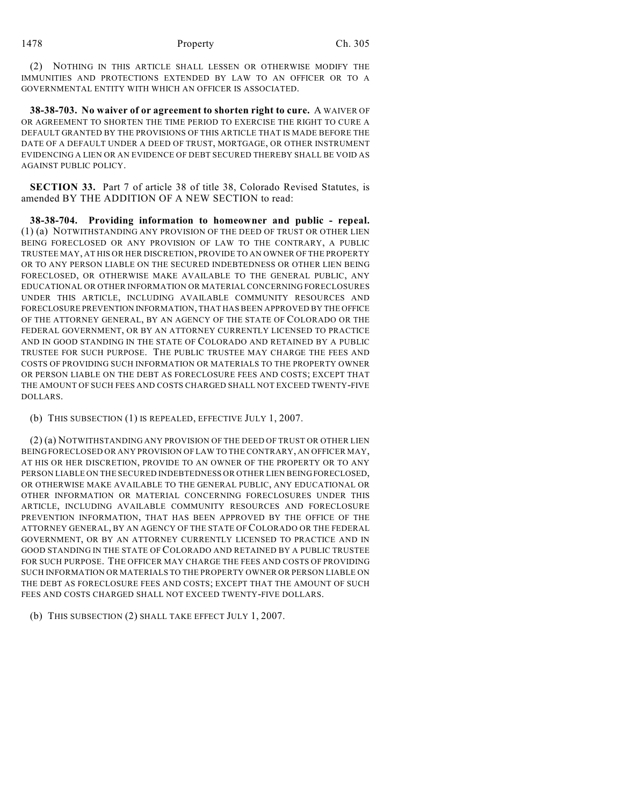(2) NOTHING IN THIS ARTICLE SHALL LESSEN OR OTHERWISE MODIFY THE IMMUNITIES AND PROTECTIONS EXTENDED BY LAW TO AN OFFICER OR TO A GOVERNMENTAL ENTITY WITH WHICH AN OFFICER IS ASSOCIATED.

**38-38-703. No waiver of or agreement to shorten right to cure.** A WAIVER OF OR AGREEMENT TO SHORTEN THE TIME PERIOD TO EXERCISE THE RIGHT TO CURE A DEFAULT GRANTED BY THE PROVISIONS OF THIS ARTICLE THAT IS MADE BEFORE THE DATE OF A DEFAULT UNDER A DEED OF TRUST, MORTGAGE, OR OTHER INSTRUMENT EVIDENCING A LIEN OR AN EVIDENCE OF DEBT SECURED THEREBY SHALL BE VOID AS AGAINST PUBLIC POLICY.

**SECTION 33.** Part 7 of article 38 of title 38, Colorado Revised Statutes, is amended BY THE ADDITION OF A NEW SECTION to read:

**38-38-704. Providing information to homeowner and public - repeal.** (1) (a) NOTWITHSTANDING ANY PROVISION OF THE DEED OF TRUST OR OTHER LIEN BEING FORECLOSED OR ANY PROVISION OF LAW TO THE CONTRARY, A PUBLIC TRUSTEE MAY, AT HIS OR HER DISCRETION, PROVIDE TO AN OWNER OF THE PROPERTY OR TO ANY PERSON LIABLE ON THE SECURED INDEBTEDNESS OR OTHER LIEN BEING FORECLOSED, OR OTHERWISE MAKE AVAILABLE TO THE GENERAL PUBLIC, ANY EDUCATIONAL OR OTHER INFORMATION OR MATERIAL CONCERNING FORECLOSURES UNDER THIS ARTICLE, INCLUDING AVAILABLE COMMUNITY RESOURCES AND FORECLOSURE PREVENTION INFORMATION, THAT HAS BEEN APPROVED BY THE OFFICE OF THE ATTORNEY GENERAL, BY AN AGENCY OF THE STATE OF COLORADO OR THE FEDERAL GOVERNMENT, OR BY AN ATTORNEY CURRENTLY LICENSED TO PRACTICE AND IN GOOD STANDING IN THE STATE OF COLORADO AND RETAINED BY A PUBLIC TRUSTEE FOR SUCH PURPOSE. THE PUBLIC TRUSTEE MAY CHARGE THE FEES AND COSTS OF PROVIDING SUCH INFORMATION OR MATERIALS TO THE PROPERTY OWNER OR PERSON LIABLE ON THE DEBT AS FORECLOSURE FEES AND COSTS; EXCEPT THAT THE AMOUNT OF SUCH FEES AND COSTS CHARGED SHALL NOT EXCEED TWENTY-FIVE DOLLARS.

(b) THIS SUBSECTION (1) IS REPEALED, EFFECTIVE JULY 1, 2007.

(2) (a) NOTWITHSTANDING ANY PROVISION OF THE DEED OF TRUST OR OTHER LIEN BEING FORECLOSED OR ANY PROVISION OF LAW TO THE CONTRARY, AN OFFICER MAY, AT HIS OR HER DISCRETION, PROVIDE TO AN OWNER OF THE PROPERTY OR TO ANY PERSON LIABLE ON THE SECURED INDEBTEDNESS OR OTHER LIEN BEING FORECLOSED, OR OTHERWISE MAKE AVAILABLE TO THE GENERAL PUBLIC, ANY EDUCATIONAL OR OTHER INFORMATION OR MATERIAL CONCERNING FORECLOSURES UNDER THIS ARTICLE, INCLUDING AVAILABLE COMMUNITY RESOURCES AND FORECLOSURE PREVENTION INFORMATION, THAT HAS BEEN APPROVED BY THE OFFICE OF THE ATTORNEY GENERAL, BY AN AGENCY OF THE STATE OF COLORADO OR THE FEDERAL GOVERNMENT, OR BY AN ATTORNEY CURRENTLY LICENSED TO PRACTICE AND IN GOOD STANDING IN THE STATE OF COLORADO AND RETAINED BY A PUBLIC TRUSTEE FOR SUCH PURPOSE. THE OFFICER MAY CHARGE THE FEES AND COSTS OF PROVIDING SUCH INFORMATION OR MATERIALS TO THE PROPERTY OWNER OR PERSON LIABLE ON THE DEBT AS FORECLOSURE FEES AND COSTS; EXCEPT THAT THE AMOUNT OF SUCH FEES AND COSTS CHARGED SHALL NOT EXCEED TWENTY-FIVE DOLLARS.

(b) THIS SUBSECTION (2) SHALL TAKE EFFECT JULY 1, 2007.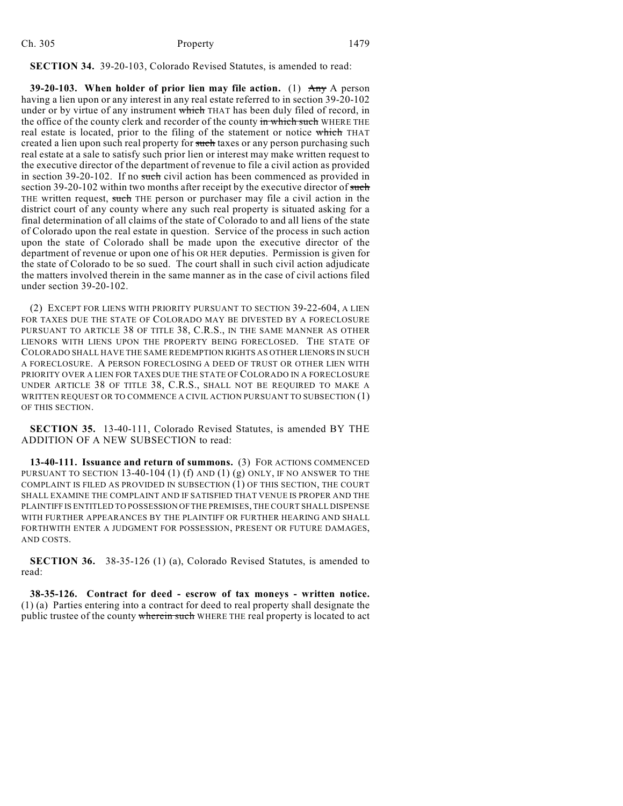**SECTION 34.** 39-20-103, Colorado Revised Statutes, is amended to read:

**39-20-103. When holder of prior lien may file action.** (1) Any A person having a lien upon or any interest in any real estate referred to in section 39-20-102 under or by virtue of any instrument which THAT has been duly filed of record, in the office of the county clerk and recorder of the county in which such WHERE THE real estate is located, prior to the filing of the statement or notice which THAT created a lien upon such real property for such taxes or any person purchasing such real estate at a sale to satisfy such prior lien or interest may make written request to the executive director of the department of revenue to file a civil action as provided in section 39-20-102. If no such civil action has been commenced as provided in section 39-20-102 within two months after receipt by the executive director of such THE written request, such THE person or purchaser may file a civil action in the district court of any county where any such real property is situated asking for a final determination of all claims of the state of Colorado to and all liens of the state of Colorado upon the real estate in question. Service of the process in such action upon the state of Colorado shall be made upon the executive director of the department of revenue or upon one of his OR HER deputies. Permission is given for the state of Colorado to be so sued. The court shall in such civil action adjudicate the matters involved therein in the same manner as in the case of civil actions filed under section 39-20-102.

(2) EXCEPT FOR LIENS WITH PRIORITY PURSUANT TO SECTION 39-22-604, A LIEN FOR TAXES DUE THE STATE OF COLORADO MAY BE DIVESTED BY A FORECLOSURE PURSUANT TO ARTICLE 38 OF TITLE 38, C.R.S., IN THE SAME MANNER AS OTHER LIENORS WITH LIENS UPON THE PROPERTY BEING FORECLOSED. THE STATE OF COLORADO SHALL HAVE THE SAME REDEMPTION RIGHTS AS OTHER LIENORS IN SUCH A FORECLOSURE. A PERSON FORECLOSING A DEED OF TRUST OR OTHER LIEN WITH PRIORITY OVER A LIEN FOR TAXES DUE THE STATE OF COLORADO IN A FORECLOSURE UNDER ARTICLE 38 OF TITLE 38, C.R.S., SHALL NOT BE REQUIRED TO MAKE A WRITTEN REQUEST OR TO COMMENCE A CIVIL ACTION PURSUANT TO SUBSECTION (1) OF THIS SECTION.

**SECTION 35.** 13-40-111, Colorado Revised Statutes, is amended BY THE ADDITION OF A NEW SUBSECTION to read:

**13-40-111. Issuance and return of summons.** (3) FOR ACTIONS COMMENCED PURSUANT TO SECTION  $13-40-104$  (1) (f) AND (1) (g) ONLY, IF NO ANSWER TO THE COMPLAINT IS FILED AS PROVIDED IN SUBSECTION (1) OF THIS SECTION, THE COURT SHALL EXAMINE THE COMPLAINT AND IF SATISFIED THAT VENUE IS PROPER AND THE PLAINTIFF IS ENTITLED TO POSSESSION OF THE PREMISES, THE COURT SHALL DISPENSE WITH FURTHER APPEARANCES BY THE PLAINTIFF OR FURTHER HEARING AND SHALL FORTHWITH ENTER A JUDGMENT FOR POSSESSION, PRESENT OR FUTURE DAMAGES, AND COSTS.

**SECTION 36.** 38-35-126 (1) (a), Colorado Revised Statutes, is amended to read:

**38-35-126. Contract for deed - escrow of tax moneys - written notice.** (1) (a) Parties entering into a contract for deed to real property shall designate the public trustee of the county wherein such WHERE THE real property is located to act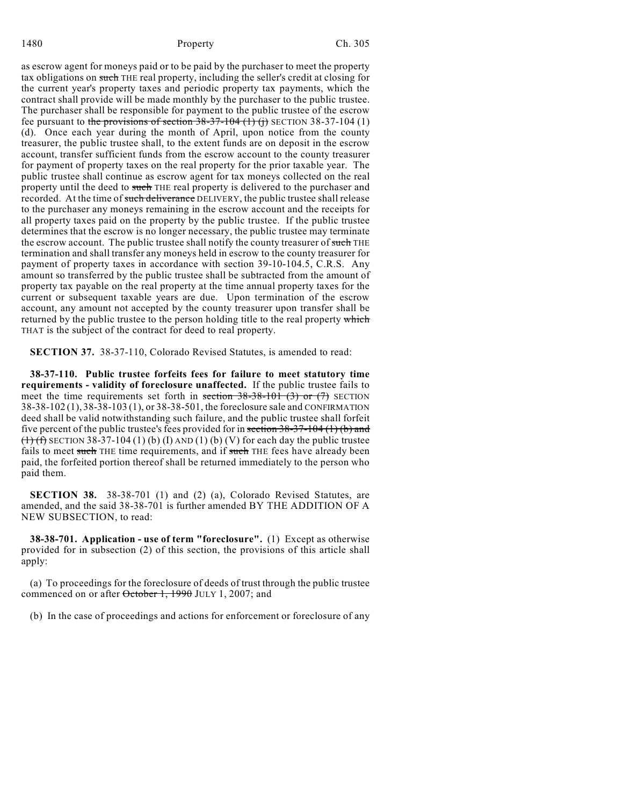1480 Property Ch. 305

as escrow agent for moneys paid or to be paid by the purchaser to meet the property tax obligations on such THE real property, including the seller's credit at closing for the current year's property taxes and periodic property tax payments, which the contract shall provide will be made monthly by the purchaser to the public trustee. The purchaser shall be responsible for payment to the public trustee of the escrow fee pursuant to the provisions of section  $38-37-104$  (1)  $(j)$  SECTION 38-37-104 (1) (d). Once each year during the month of April, upon notice from the county treasurer, the public trustee shall, to the extent funds are on deposit in the escrow account, transfer sufficient funds from the escrow account to the county treasurer for payment of property taxes on the real property for the prior taxable year. The public trustee shall continue as escrow agent for tax moneys collected on the real property until the deed to such THE real property is delivered to the purchaser and recorded. At the time of such deliverance DELIVERY, the public trustee shall release to the purchaser any moneys remaining in the escrow account and the receipts for all property taxes paid on the property by the public trustee. If the public trustee determines that the escrow is no longer necessary, the public trustee may terminate the escrow account. The public trustee shall notify the county treasurer of such THE termination and shall transfer any moneys held in escrow to the county treasurer for payment of property taxes in accordance with section 39-10-104.5, C.R.S. Any amount so transferred by the public trustee shall be subtracted from the amount of property tax payable on the real property at the time annual property taxes for the current or subsequent taxable years are due. Upon termination of the escrow account, any amount not accepted by the county treasurer upon transfer shall be returned by the public trustee to the person holding title to the real property which THAT is the subject of the contract for deed to real property.

**SECTION 37.** 38-37-110, Colorado Revised Statutes, is amended to read:

**38-37-110. Public trustee forfeits fees for failure to meet statutory time requirements - validity of foreclosure unaffected.** If the public trustee fails to meet the time requirements set forth in section  $38-38-101$  (3) or (7) SECTION 38-38-102 (1), 38-38-103 (1), or 38-38-501, the foreclosure sale and CONFIRMATION deed shall be valid notwithstanding such failure, and the public trustee shall forfeit five percent of the public trustee's fees provided for in section  $38-37-104$  (1) (b) and  $(1)$  (f) SECTION 38-37-104 (1) (b) (I) AND (1) (b) (V) for each day the public trustee fails to meet such THE time requirements, and if such THE fees have already been paid, the forfeited portion thereof shall be returned immediately to the person who paid them.

**SECTION 38.** 38-38-701 (1) and (2) (a), Colorado Revised Statutes, are amended, and the said 38-38-701 is further amended BY THE ADDITION OF A NEW SUBSECTION, to read:

**38-38-701. Application - use of term "foreclosure".** (1) Except as otherwise provided for in subsection (2) of this section, the provisions of this article shall apply:

(a) To proceedings for the foreclosure of deeds of trust through the public trustee commenced on or after October 1, 1990 JULY 1, 2007; and

(b) In the case of proceedings and actions for enforcement or foreclosure of any